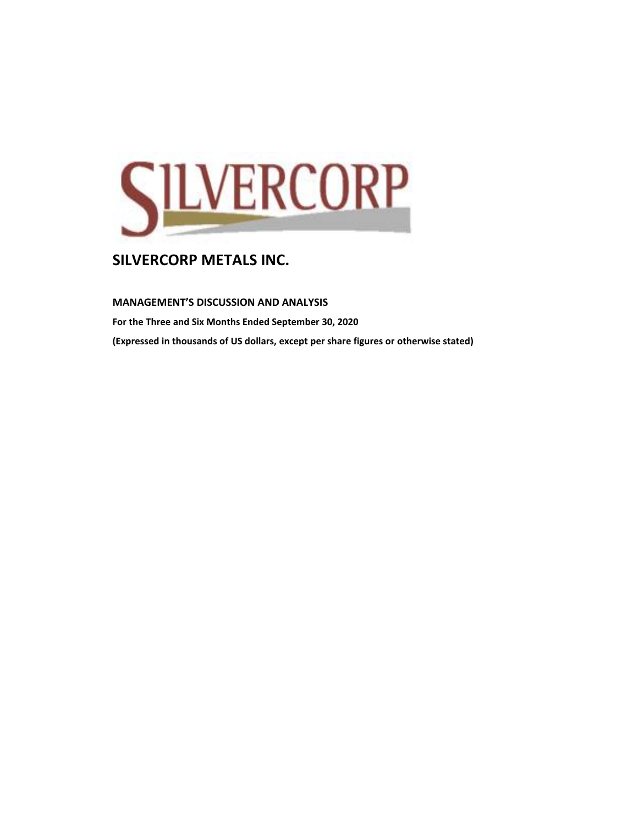

**MANAGEMENT'S DISCUSSION AND ANALYSIS** 

**For the Three and Six Months Ended September 30, 2020 (Expressed in thousands of US dollars, except per share figures or otherwise stated)**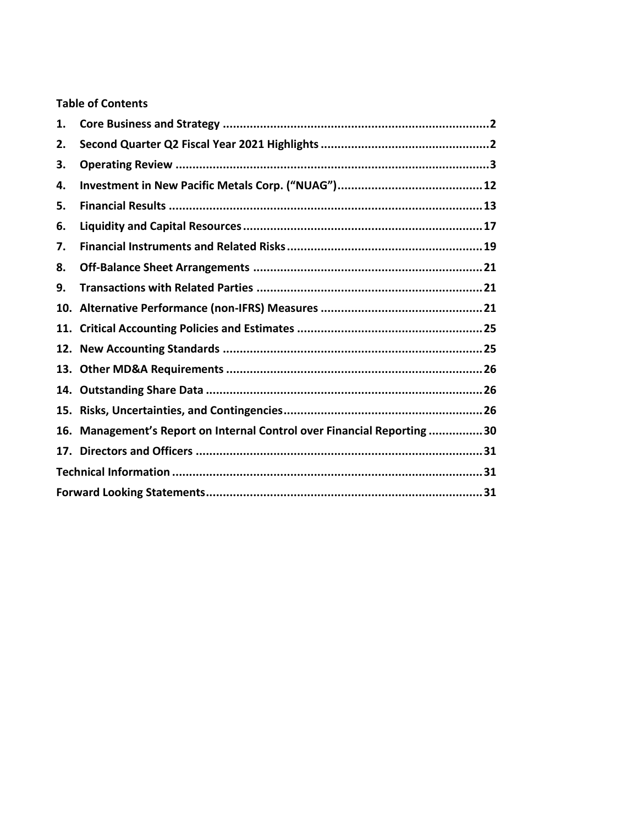# **Table of Contents**

| 1.  |                                                                     |
|-----|---------------------------------------------------------------------|
| 2.  |                                                                     |
| З.  |                                                                     |
| 4.  |                                                                     |
| 5.  |                                                                     |
| 6.  |                                                                     |
| 7.  |                                                                     |
| 8.  |                                                                     |
| 9.  |                                                                     |
|     |                                                                     |
|     |                                                                     |
|     |                                                                     |
|     |                                                                     |
|     |                                                                     |
| 15. |                                                                     |
| 16. | Management's Report on Internal Control over Financial Reporting 30 |
|     |                                                                     |
|     |                                                                     |
|     |                                                                     |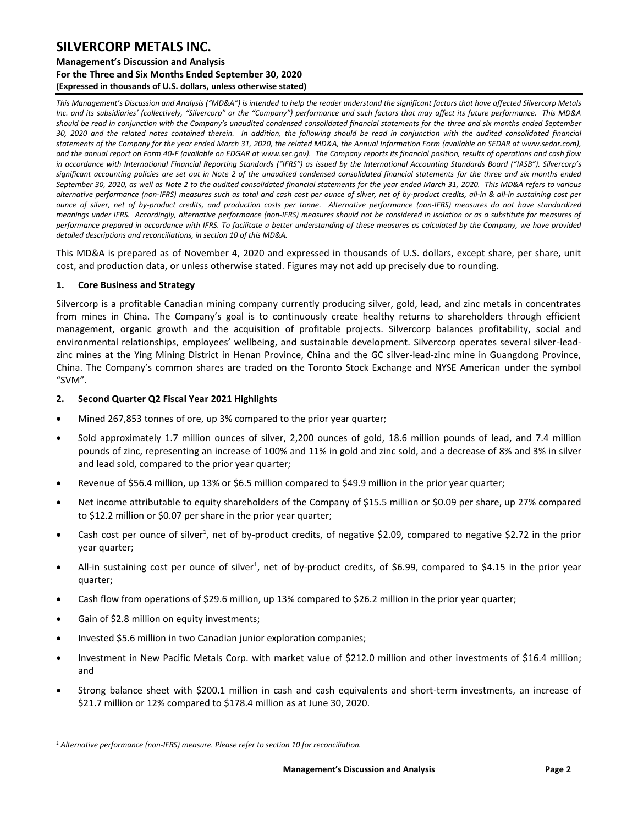### **Management's Discussion and Analysis For the Three and Six Months Ended September 30, 2020 (Expressed in thousands of U.S. dollars, unless otherwise stated)**

*This Management's Discussion and Analysis ("MD&A") is intended to help the reader understand the significant factors that have affected Silvercorp Metals Inc. and its subsidiaries' (collectively, "Silvercorp" or the "Company") performance and such factors that may affect its future performance. This MD&A*  should be read in conjunction with the Company's unaudited condensed consolidated financial statements for the three and six months ended September *30, 2020 and the related notes contained therein. In addition, the following should be read in conjunction with the audited consolidated financial statements of the Company for the year ended March 31, 2020, the related MD&A, the Annual Information Form (available on SEDAR at www.sedar.com), and the annual report on Form 40-F (available on EDGAR at www.sec.gov). The Company reports its financial position, results of operations and cash flow*  in accordance with International Financial Reporting Standards ("IFRS") as issued by the International Accounting Standards Board ("IASB"). Silvercorp's *significant accounting policies are set out in Note 2 of the unaudited condensed consolidated financial statements for the three and six months ended September 30, 2020, as well as Note 2 to the audited consolidated financial statements for the year ended March 31, 2020. This MD&A refers to various alternative performance (non-IFRS) measures such as total and cash cost per ounce of silver, net of by-product credits, all-in & all-in sustaining cost per ounce of silver, net of by-product credits, and production costs per tonne. Alternative performance (non-IFRS) measures do not have standardized meanings under IFRS. Accordingly, alternative performance (non-IFRS) measures should not be considered in isolation or as a substitute for measures of performance prepared in accordance with IFRS. To facilitate a better understanding of these measures as calculated by the Company, we have provided detailed descriptions and reconciliations, in section 10 of this MD&A.* 

This MD&A is prepared as of November 4, 2020 and expressed in thousands of U.S. dollars, except share, per share, unit cost, and production data, or unless otherwise stated. Figures may not add up precisely due to rounding.

### <span id="page-2-0"></span>**1. Core Business and Strategy**

Silvercorp is a profitable Canadian mining company currently producing silver, gold, lead, and zinc metals in concentrates from mines in China. The Company's goal is to continuously create healthy returns to shareholders through efficient management, organic growth and the acquisition of profitable projects. Silvercorp balances profitability, social and environmental relationships, employees' wellbeing, and sustainable development. Silvercorp operates several silver-leadzinc mines at the Ying Mining District in Henan Province, China and the GC silver-lead-zinc mine in Guangdong Province, China. The Company's common shares are traded on the Toronto Stock Exchange and NYSE American under the symbol "SVM".

### <span id="page-2-1"></span>**2. Second Quarter Q2 Fiscal Year 2021 Highlights**

- Mined 267,853 tonnes of ore, up 3% compared to the prior year quarter;
- Sold approximately 1.7 million ounces of silver, 2,200 ounces of gold, 18.6 million pounds of lead, and 7.4 million pounds of zinc, representing an increase of 100% and 11% in gold and zinc sold, and a decrease of 8% and 3% in silver and lead sold, compared to the prior year quarter;
- Revenue of \$56.4 million, up 13% or \$6.5 million compared to \$49.9 million in the prior year quarter;
- Net income attributable to equity shareholders of the Company of \$15.5 million or \$0.09 per share, up 27% compared to \$12.2 million or \$0.07 per share in the prior year quarter;
- Cash cost per ounce of silver<sup>1</sup>, net of by-product credits, of negative \$2.09, compared to negative \$2.72 in the prior year quarter;
- All-in sustaining cost per ounce of silver<sup>1</sup>, net of by-product credits, of \$6.99, compared to \$4.15 in the prior year quarter;
- Cash flow from operations of \$29.6 million, up 13% compared to \$26.2 million in the prior year quarter;
- Gain of \$2.8 million on equity investments;
- Invested \$5.6 million in two Canadian junior exploration companies;
- Investment in New Pacific Metals Corp. with market value of \$212.0 million and other investments of \$16.4 million; and
- Strong balance sheet with \$200.1 million in cash and cash equivalents and short-term investments, an increase of \$21.7 million or 12% compared to \$178.4 million as at June 30, 2020.

*<sup>1</sup> Alternative performance (non-IFRS) measure. Please refer to section 10 for reconciliation.*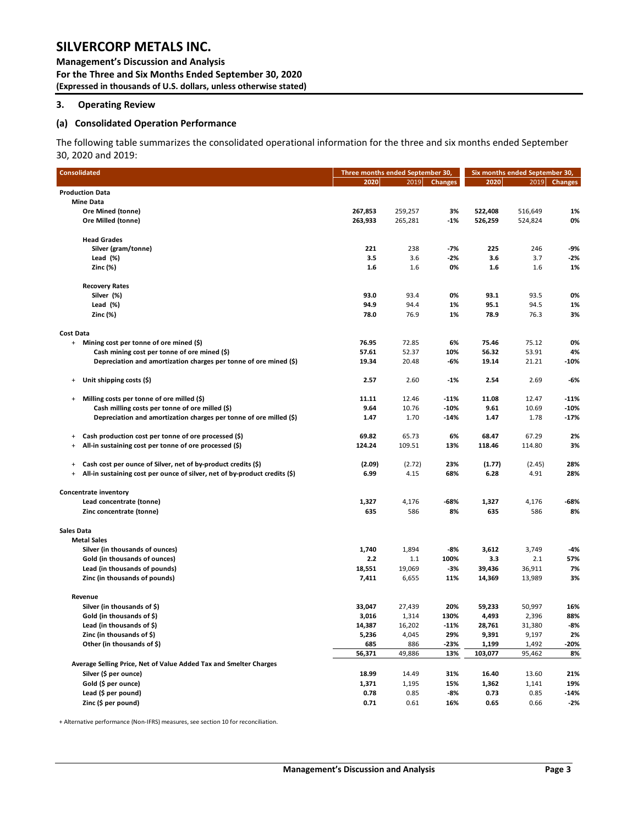**Management's Discussion and Analysis For the Three and Six Months Ended September 30, 2020 (Expressed in thousands of U.S. dollars, unless otherwise stated)** 

### <span id="page-3-0"></span>**3. Operating Review**

#### **(a) Consolidated Operation Performance**

The following table summarizes the consolidated operational information for the three and six months ended September 30, 2020 and 2019:

| <b>Consolidated</b>                                                               | Three months ended September 30, |                 |                |                  | Six months ended September 30, |                |
|-----------------------------------------------------------------------------------|----------------------------------|-----------------|----------------|------------------|--------------------------------|----------------|
|                                                                                   | 2020                             | 2019            | <b>Changes</b> | 2020             | 2019                           | <b>Changes</b> |
| <b>Production Data</b>                                                            |                                  |                 |                |                  |                                |                |
| <b>Mine Data</b>                                                                  |                                  |                 |                |                  |                                |                |
| Ore Mined (tonne)                                                                 | 267,853                          | 259,257         | 3%             | 522,408          | 516,649                        | 1%             |
| Ore Milled (tonne)                                                                | 263,933                          | 265,281         | $-1%$          | 526,259          | 524,824                        | 0%             |
| <b>Head Grades</b>                                                                |                                  |                 |                |                  |                                |                |
| Silver (gram/tonne)                                                               | 221                              | 238             | $-7%$          | 225              | 246                            | $-9%$          |
| Lead $(\%)$                                                                       | 3.5                              | 3.6             | $-2%$          | 3.6              | 3.7                            | $-2%$          |
| Zinc (%)                                                                          | 1.6                              | 1.6             | 0%             | 1.6              | 1.6                            | 1%             |
| <b>Recovery Rates</b>                                                             |                                  |                 |                |                  |                                |                |
| Silver (%)                                                                        | 93.0                             | 93.4            | 0%             | 93.1             | 93.5                           | 0%             |
| Lead (%)                                                                          | 94.9                             | 94.4            | 1%             | 95.1             | 94.5                           | 1%             |
| Zinc (%)                                                                          | 78.0                             | 76.9            | 1%             | 78.9             | 76.3                           | 3%             |
| <b>Cost Data</b>                                                                  |                                  |                 |                |                  |                                |                |
| + Mining cost per tonne of ore mined (\$)                                         | 76.95                            | 72.85           | 6%             | 75.46            | 75.12                          | 0%             |
| Cash mining cost per tonne of ore mined (\$)                                      | 57.61                            | 52.37           | 10%            | 56.32            | 53.91                          | 4%             |
| Depreciation and amortization charges per tonne of ore mined (\$)                 | 19.34                            | 20.48           | -6%            | 19.14            | 21.21                          | $-10%$         |
| Unit shipping costs (\$)<br>$\ddot{}$                                             | 2.57                             | 2.60            | $-1%$          | 2.54             | 2.69                           | $-6%$          |
| Milling costs per tonne of ore milled (\$)<br>$\begin{array}{c} + \end{array}$    | 11.11                            | 12.46           | $-11%$         | 11.08            | 12.47                          | $-11%$         |
| Cash milling costs per tonne of ore milled (\$)                                   | 9.64                             | 10.76           | $-10%$         | 9.61             | 10.69                          | $-10%$         |
| Depreciation and amortization charges per tonne of ore milled (\$)                | 1.47                             | 1.70            | $-14%$         | 1.47             | 1.78                           | $-17%$         |
| Cash production cost per tonne of ore processed (\$)<br>$\ddot{}$                 | 69.82                            | 65.73           | 6%             | 68.47            | 67.29                          | 2%             |
| All-in sustaining cost per tonne of ore processed (\$)<br>$\ddot{}$               | 124.24                           | 109.51          | 13%            | 118.46           | 114.80                         | 3%             |
|                                                                                   |                                  |                 |                |                  |                                |                |
| Cash cost per ounce of Silver, net of by-product credits (\$)<br>$\ddot{}$        | (2.09)                           | (2.72)          | 23%            | (1.77)           | (2.45)                         | 28%            |
| All-in sustaining cost per ounce of silver, net of by-product credits (\$)<br>$+$ | 6.99                             | 4.15            | 68%            | 6.28             | 4.91                           | 28%            |
| Concentrate inventory                                                             |                                  |                 |                |                  |                                |                |
| Lead concentrate (tonne)                                                          | 1,327                            | 4,176           | -68%           | 1,327            | 4,176                          | -68%           |
| Zinc concentrate (tonne)                                                          | 635                              | 586             | 8%             | 635              | 586                            | 8%             |
| <b>Sales Data</b>                                                                 |                                  |                 |                |                  |                                |                |
| <b>Metal Sales</b>                                                                |                                  |                 |                |                  |                                |                |
| Silver (in thousands of ounces)                                                   | 1,740                            | 1,894           | -8%            | 3,612            | 3,749                          | $-4%$          |
| Gold (in thousands of ounces)                                                     | 2.2                              | 1.1             | 100%           | 3.3              | 2.1                            | 57%            |
| Lead (in thousands of pounds)<br>Zinc (in thousands of pounds)                    | 18,551<br>7,411                  | 19,069<br>6,655 | $-3%$<br>11%   | 39,436<br>14,369 | 36,911<br>13,989               | 7%<br>3%       |
|                                                                                   |                                  |                 |                |                  |                                |                |
| Revenue                                                                           |                                  |                 |                |                  |                                |                |
| Silver (in thousands of \$)                                                       | 33,047                           | 27,439          | 20%            | 59,233           | 50,997                         | 16%            |
| Gold (in thousands of \$)                                                         | 3,016                            | 1,314           | 130%           | 4,493            | 2,396                          | 88%            |
| Lead (in thousands of \$)                                                         | 14,387                           | 16,202          | $-11%$         | 28,761           | 31,380                         | $-8%$          |
| Zinc (in thousands of \$)                                                         | 5,236                            | 4,045           | 29%            | 9,391            | 9,197                          | 2%             |
| Other (in thousands of \$)                                                        | 685                              | 886             | -23%<br>13%    | 1,199<br>103,077 | 1,492<br>95,462                | $-20%$<br>8%   |
| Average Selling Price, Net of Value Added Tax and Smelter Charges                 | 56,371                           | 49,886          |                |                  |                                |                |
| Silver (\$ per ounce)                                                             | 18.99                            | 14.49           | 31%            | 16.40            | 13.60                          | 21%            |
| Gold (\$ per ounce)                                                               | 1,371                            | 1,195           | 15%            | 1,362            | 1,141                          | 19%            |
| Lead (\$ per pound)                                                               | 0.78                             | 0.85            | -8%            | 0.73             | 0.85                           | $-14%$         |
| Zinc (\$ per pound)                                                               | 0.71                             | 0.61            | 16%            | 0.65             | 0.66                           | $-2%$          |

+ Alternative performance (Non-IFRS) measures, see section 10 for reconciliation.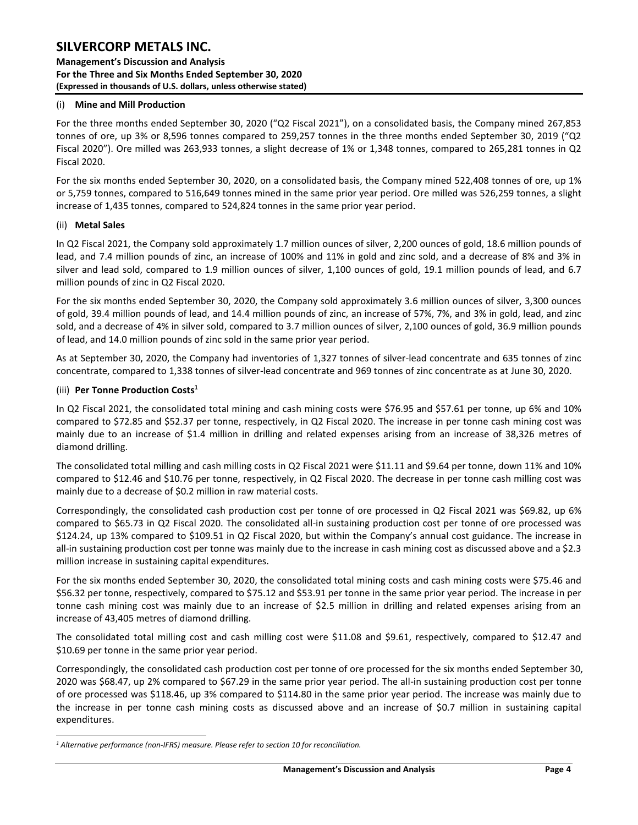**Management's Discussion and Analysis For the Three and Six Months Ended September 30, 2020 (Expressed in thousands of U.S. dollars, unless otherwise stated)** 

### (i) **Mine and Mill Production**

For the three months ended September 30, 2020 ("Q2 Fiscal 2021"), on a consolidated basis, the Company mined 267,853 tonnes of ore, up 3% or 8,596 tonnes compared to 259,257 tonnes in the three months ended September 30, 2019 ("Q2 Fiscal 2020"). Ore milled was 263,933 tonnes, a slight decrease of 1% or 1,348 tonnes, compared to 265,281 tonnes in Q2 Fiscal 2020.

For the six months ended September 30, 2020, on a consolidated basis, the Company mined 522,408 tonnes of ore, up 1% or 5,759 tonnes, compared to 516,649 tonnes mined in the same prior year period. Ore milled was 526,259 tonnes, a slight increase of 1,435 tonnes, compared to 524,824 tonnes in the same prior year period.

### (ii) **Metal Sales**

In Q2 Fiscal 2021, the Company sold approximately 1.7 million ounces of silver, 2,200 ounces of gold, 18.6 million pounds of lead, and 7.4 million pounds of zinc, an increase of 100% and 11% in gold and zinc sold, and a decrease of 8% and 3% in silver and lead sold, compared to 1.9 million ounces of silver, 1,100 ounces of gold, 19.1 million pounds of lead, and 6.7 million pounds of zinc in Q2 Fiscal 2020.

For the six months ended September 30, 2020, the Company sold approximately 3.6 million ounces of silver, 3,300 ounces of gold, 39.4 million pounds of lead, and 14.4 million pounds of zinc, an increase of 57%, 7%, and 3% in gold, lead, and zinc sold, and a decrease of 4% in silver sold, compared to 3.7 million ounces of silver, 2,100 ounces of gold, 36.9 million pounds of lead, and 14.0 million pounds of zinc sold in the same prior year period.

As at September 30, 2020, the Company had inventories of 1,327 tonnes of silver-lead concentrate and 635 tonnes of zinc concentrate, compared to 1,338 tonnes of silver-lead concentrate and 969 tonnes of zinc concentrate as at June 30, 2020.

### (iii) **Per Tonne Production Costs 1**

In Q2 Fiscal 2021, the consolidated total mining and cash mining costs were \$76.95 and \$57.61 per tonne, up 6% and 10% compared to \$72.85 and \$52.37 per tonne, respectively, in Q2 Fiscal 2020. The increase in per tonne cash mining cost was mainly due to an increase of \$1.4 million in drilling and related expenses arising from an increase of 38,326 metres of diamond drilling.

The consolidated total milling and cash milling costs in Q2 Fiscal 2021 were \$11.11 and \$9.64 per tonne, down 11% and 10% compared to \$12.46 and \$10.76 per tonne, respectively, in Q2 Fiscal 2020. The decrease in per tonne cash milling cost was mainly due to a decrease of \$0.2 million in raw material costs.

Correspondingly, the consolidated cash production cost per tonne of ore processed in Q2 Fiscal 2021 was \$69.82, up 6% compared to \$65.73 in Q2 Fiscal 2020. The consolidated all-in sustaining production cost per tonne of ore processed was \$124.24, up 13% compared to \$109.51 in Q2 Fiscal 2020, but within the Company's annual cost guidance. The increase in all-in sustaining production cost per tonne was mainly due to the increase in cash mining cost as discussed above and a \$2.3 million increase in sustaining capital expenditures.

For the six months ended September 30, 2020, the consolidated total mining costs and cash mining costs were \$75.46 and \$56.32 per tonne, respectively, compared to \$75.12 and \$53.91 per tonne in the same prior year period. The increase in per tonne cash mining cost was mainly due to an increase of \$2.5 million in drilling and related expenses arising from an increase of 43,405 metres of diamond drilling.

The consolidated total milling cost and cash milling cost were \$11.08 and \$9.61, respectively, compared to \$12.47 and \$10.69 per tonne in the same prior year period.

Correspondingly, the consolidated cash production cost per tonne of ore processed for the six months ended September 30, 2020 was \$68.47, up 2% compared to \$67.29 in the same prior year period. The all-in sustaining production cost per tonne of ore processed was \$118.46, up 3% compared to \$114.80 in the same prior year period. The increase was mainly due to the increase in per tonne cash mining costs as discussed above and an increase of \$0.7 million in sustaining capital expenditures.

*<sup>1</sup> Alternative performance (non-IFRS) measure. Please refer to section 10 for reconciliation.*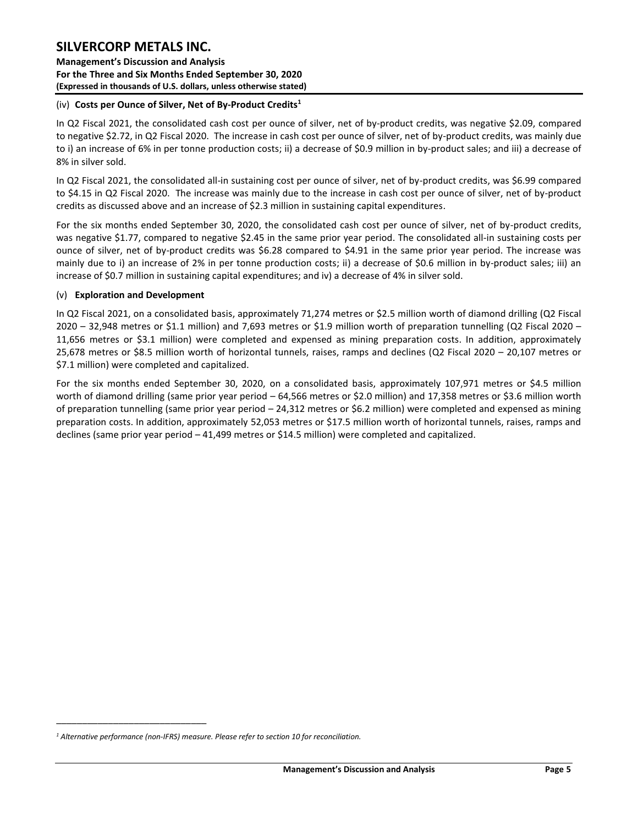**Management's Discussion and Analysis For the Three and Six Months Ended September 30, 2020 (Expressed in thousands of U.S. dollars, unless otherwise stated)** 

### (iv) **Costs per Ounce of Silver, Net of By-Product Credits<sup>1</sup>**

In Q2 Fiscal 2021, the consolidated cash cost per ounce of silver, net of by-product credits, was negative \$2.09, compared to negative \$2.72, in Q2 Fiscal 2020. The increase in cash cost per ounce of silver, net of by-product credits, was mainly due to i) an increase of 6% in per tonne production costs; ii) a decrease of \$0.9 million in by-product sales; and iii) a decrease of 8% in silver sold.

In Q2 Fiscal 2021, the consolidated all-in sustaining cost per ounce of silver, net of by-product credits, was \$6.99 compared to \$4.15 in Q2 Fiscal 2020. The increase was mainly due to the increase in cash cost per ounce of silver, net of by-product credits as discussed above and an increase of \$2.3 million in sustaining capital expenditures.

For the six months ended September 30, 2020, the consolidated cash cost per ounce of silver, net of by-product credits, was negative \$1.77, compared to negative \$2.45 in the same prior year period. The consolidated all-in sustaining costs per ounce of silver, net of by-product credits was \$6.28 compared to \$4.91 in the same prior year period. The increase was mainly due to i) an increase of 2% in per tonne production costs; ii) a decrease of \$0.6 million in by-product sales; iii) an increase of \$0.7 million in sustaining capital expenditures; and iv) a decrease of 4% in silver sold.

### (v) **Exploration and Development**

In Q2 Fiscal 2021, on a consolidated basis, approximately 71,274 metres or \$2.5 million worth of diamond drilling (Q2 Fiscal  $2020 - 32,948$  metres or \$1.1 million) and 7,693 metres or \$1.9 million worth of preparation tunnelling (Q2 Fiscal 2020 – 11,656 metres or \$3.1 million) were completed and expensed as mining preparation costs. In addition, approximately 25,678 metres or \$8.5 million worth of horizontal tunnels, raises, ramps and declines (Q2 Fiscal 2020 – 20,107 metres or \$7.1 million) were completed and capitalized.

For the six months ended September 30, 2020, on a consolidated basis, approximately 107,971 metres or \$4.5 million worth of diamond drilling (same prior year period – 64,566 metres or \$2.0 million) and 17,358 metres or \$3.6 million worth of preparation tunnelling (same prior year period – 24,312 metres or \$6.2 million) were completed and expensed as mining preparation costs. In addition, approximately 52,053 metres or \$17.5 million worth of horizontal tunnels, raises, ramps and declines (same prior year period – 41,499 metres or \$14.5 million) were completed and capitalized.

\_\_\_\_\_\_\_\_\_\_\_\_\_\_\_\_\_\_\_\_\_\_\_\_\_\_\_\_\_

*<sup>1</sup> Alternative performance (non-IFRS) measure. Please refer to section 10 for reconciliation.*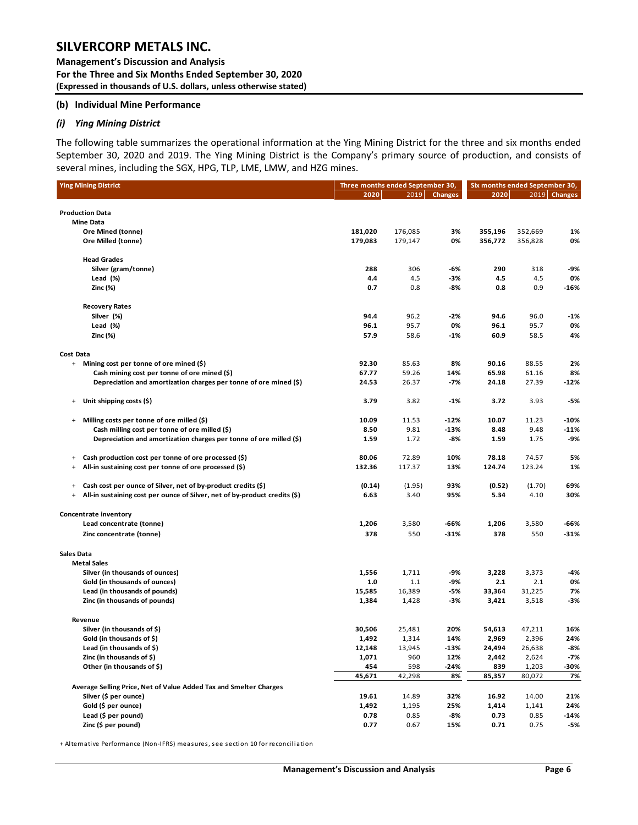**Management's Discussion and Analysis For the Three and Six Months Ended September 30, 2020 (Expressed in thousands of U.S. dollars, unless otherwise stated)** 

#### **(b) Individual Mine Performance**

#### *(i) Ying Mining District*

The following table summarizes the operational information at the Ying Mining District for the three and six months ended September 30, 2020 and 2019. The Ying Mining District is the Company's primary source of production, and consists of several mines, including the SGX, HPG, TLP, LME, LMW, and HZG mines.

|                                               | <b>Ying Mining District</b>                                                | Three months ended September 30, |               |                | Six months ended September 30, |                |              |
|-----------------------------------------------|----------------------------------------------------------------------------|----------------------------------|---------------|----------------|--------------------------------|----------------|--------------|
|                                               |                                                                            | 2020                             | 2019          | <b>Changes</b> | 2020                           |                | 2019 Changes |
|                                               |                                                                            |                                  |               |                |                                |                |              |
|                                               | <b>Production Data</b>                                                     |                                  |               |                |                                |                |              |
|                                               | <b>Mine Data</b>                                                           |                                  |               |                |                                |                |              |
|                                               | Ore Mined (tonne)                                                          | 181,020                          | 176,085       | 3%<br>0%       | 355,196                        | 352,669        | 1%<br>0%     |
|                                               | Ore Milled (tonne)                                                         | 179,083                          | 179,147       |                | 356,772                        | 356,828        |              |
|                                               | <b>Head Grades</b>                                                         |                                  |               |                |                                |                |              |
|                                               | Silver (gram/tonne)                                                        | 288                              | 306           | -6%            | 290                            | 318            | -9%          |
|                                               | Lead $(\%)$                                                                | 4.4                              | 4.5           | -3%            | 4.5                            | 4.5            | 0%           |
|                                               | Zinc (%)                                                                   | 0.7                              | 0.8           | -8%            | 0.8                            | 0.9            | $-16%$       |
|                                               | <b>Recovery Rates</b>                                                      |                                  |               |                |                                |                |              |
|                                               | Silver (%)                                                                 | 94.4                             | 96.2          | -2%            | 94.6                           | 96.0           | $-1%$        |
|                                               | Lead (%)                                                                   | 96.1                             | 95.7          | 0%             | 96.1                           | 95.7           | 0%           |
|                                               | Zinc (%)                                                                   | 57.9                             | 58.6          | -1%            | 60.9                           | 58.5           | 4%           |
| <b>Cost Data</b>                              |                                                                            |                                  |               |                |                                |                |              |
| $\ddot{}$                                     | Mining cost per tonne of ore mined (\$)                                    | 92.30                            | 85.63         | 8%             | 90.16                          | 88.55          | 2%           |
|                                               | Cash mining cost per tonne of ore mined (\$)                               | 67.77                            | 59.26         | 14%            | 65.98                          | 61.16          | 8%           |
|                                               | Depreciation and amortization charges per tonne of ore mined (\$)          | 24.53                            | 26.37         | -7%            | 24.18                          | 27.39          | $-12%$       |
| $\ddot{}$                                     | Unit shipping costs (\$)                                                   | 3.79                             | 3.82          | -1%            | 3.72                           | 3.93           | -5%          |
| $\begin{array}{c} + \end{array}$              | Milling costs per tonne of ore milled (\$)                                 | 10.09                            | 11.53         | $-12%$         | 10.07                          | 11.23          | $-10%$       |
|                                               | Cash milling cost per tonne of ore milled (\$)                             | 8.50                             | 9.81          | $-13%$         | 8.48                           | 9.48           | $-11%$       |
|                                               | Depreciation and amortization charges per tonne of ore milled (\$)         | 1.59                             | 1.72          | -8%            | 1.59                           | 1.75           | -9%          |
|                                               | Cash production cost per tonne of ore processed (\$)                       | 80.06                            | 72.89         | 10%            | 78.18                          | 74.57          | 5%           |
| $\ddot{}$<br>$\begin{array}{c} + \end{array}$ | All-in sustaining cost per tonne of ore processed (\$)                     | 132.36                           | 117.37        | 13%            | 124.74                         | 123.24         | 1%           |
|                                               |                                                                            |                                  |               |                |                                |                |              |
| $\ddot{}$                                     | Cash cost per ounce of Silver, net of by-product credits (\$)              | (0.14)                           | (1.95)        | 93%            | (0.52)                         | (1.70)         | 69%          |
| $\begin{array}{c} + \end{array}$              | All-in sustaining cost per ounce of Silver, net of by-product credits (\$) | 6.63                             | 3.40          | 95%            | 5.34                           | 4.10           | 30%          |
|                                               | Concentrate inventory                                                      |                                  |               |                |                                |                |              |
|                                               | Lead concentrate (tonne)                                                   | 1,206                            | 3,580         | -66%           | 1,206                          | 3,580          | -66%         |
|                                               | Zinc concentrate (tonne)                                                   | 378                              | 550           | $-31%$         | 378                            | 550            | $-31%$       |
| <b>Sales Data</b>                             |                                                                            |                                  |               |                |                                |                |              |
|                                               | <b>Metal Sales</b>                                                         |                                  |               |                |                                |                |              |
|                                               | Silver (in thousands of ounces)                                            | 1,556                            | 1,711         | -9%            | 3,228                          | 3,373          | -4%          |
|                                               | Gold (in thousands of ounces)                                              | 1.0                              | 1.1           | -9%            | 2.1                            | 2.1            | 0%           |
|                                               | Lead (in thousands of pounds)                                              | 15,585                           | 16,389        | -5%            | 33,364                         | 31,225         | 7%           |
|                                               | Zinc (in thousands of pounds)                                              | 1,384                            | 1,428         | -3%            | 3,421                          | 3,518          | -3%          |
|                                               | Revenue                                                                    |                                  |               |                |                                |                |              |
|                                               | Silver (in thousands of \$)                                                | 30,506                           | 25,481        | 20%            | 54,613                         | 47,211         | 16%          |
|                                               | Gold (in thousands of \$)                                                  | 1,492                            | 1,314         | 14%            | 2,969                          | 2,396          | 24%          |
|                                               | Lead (in thousands of \$)                                                  | 12,148                           | 13,945        | -13%           | 24,494                         | 26,638         | -8%          |
|                                               | Zinc (in thousands of \$)                                                  | 1,071                            | 960           | 12%            | 2,442                          | 2,624          | -7%          |
|                                               | Other (in thousands of \$)                                                 | 454                              | 598           | -24%           | 839                            | 1,203          | -30%         |
|                                               |                                                                            | 45,671                           | 42,298        | 8%             | 85,357                         | 80,072         | 7%           |
|                                               | Average Selling Price, Net of Value Added Tax and Smelter Charges          |                                  |               |                |                                |                |              |
|                                               | Silver (\$ per ounce)<br>Gold (\$ per ounce)                               | 19.61<br>1,492                   | 14.89         | 32%<br>25%     | 16.92<br>1,414                 | 14.00<br>1,141 | 21%<br>24%   |
|                                               | Lead (\$ per pound)                                                        | 0.78                             | 1,195<br>0.85 | -8%            | 0.73                           | 0.85           | -14%         |
|                                               | Zinc (\$ per pound)                                                        | 0.77                             | 0.67          | 15%            | 0.71                           | 0.75           | -5%          |
|                                               |                                                                            |                                  |               |                |                                |                |              |

+ Alternative Performance (Non-IFRS) measures, see section 10 for reconciliation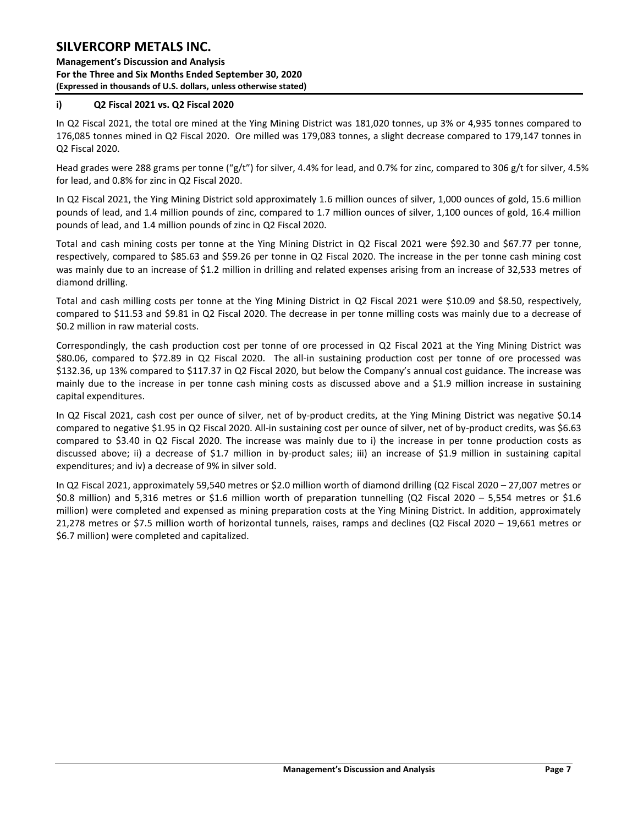**Management's Discussion and Analysis For the Three and Six Months Ended September 30, 2020 (Expressed in thousands of U.S. dollars, unless otherwise stated)** 

### **i) Q2 Fiscal 2021 vs. Q2 Fiscal 2020**

In Q2 Fiscal 2021, the total ore mined at the Ying Mining District was 181,020 tonnes, up 3% or 4,935 tonnes compared to 176,085 tonnes mined in Q2 Fiscal 2020. Ore milled was 179,083 tonnes, a slight decrease compared to 179,147 tonnes in Q2 Fiscal 2020.

Head grades were 288 grams per tonne ("g/t") for silver, 4.4% for lead, and 0.7% for zinc, compared to 306 g/t for silver, 4.5% for lead, and 0.8% for zinc in Q2 Fiscal 2020.

In Q2 Fiscal 2021, the Ying Mining District sold approximately 1.6 million ounces of silver, 1,000 ounces of gold, 15.6 million pounds of lead, and 1.4 million pounds of zinc, compared to 1.7 million ounces of silver, 1,100 ounces of gold, 16.4 million pounds of lead, and 1.4 million pounds of zinc in Q2 Fiscal 2020.

Total and cash mining costs per tonne at the Ying Mining District in Q2 Fiscal 2021 were \$92.30 and \$67.77 per tonne, respectively, compared to \$85.63 and \$59.26 per tonne in Q2 Fiscal 2020. The increase in the per tonne cash mining cost was mainly due to an increase of \$1.2 million in drilling and related expenses arising from an increase of 32,533 metres of diamond drilling.

Total and cash milling costs per tonne at the Ying Mining District in Q2 Fiscal 2021 were \$10.09 and \$8.50, respectively, compared to \$11.53 and \$9.81 in Q2 Fiscal 2020. The decrease in per tonne milling costs was mainly due to a decrease of \$0.2 million in raw material costs.

Correspondingly, the cash production cost per tonne of ore processed in Q2 Fiscal 2021 at the Ying Mining District was \$80.06, compared to \$72.89 in Q2 Fiscal 2020. The all-in sustaining production cost per tonne of ore processed was \$132.36, up 13% compared to \$117.37 in Q2 Fiscal 2020, but below the Company's annual cost guidance. The increase was mainly due to the increase in per tonne cash mining costs as discussed above and a \$1.9 million increase in sustaining capital expenditures.

In Q2 Fiscal 2021, cash cost per ounce of silver, net of by-product credits, at the Ying Mining District was negative \$0.14 compared to negative \$1.95 in Q2 Fiscal 2020. All-in sustaining cost per ounce of silver, net of by-product credits, was \$6.63 compared to \$3.40 in Q2 Fiscal 2020. The increase was mainly due to i) the increase in per tonne production costs as discussed above; ii) a decrease of \$1.7 million in by-product sales; iii) an increase of \$1.9 million in sustaining capital expenditures; and iv) a decrease of 9% in silver sold.

In Q2 Fiscal 2021, approximately 59,540 metres or \$2.0 million worth of diamond drilling (Q2 Fiscal 2020 – 27,007 metres or \$0.8 million) and 5,316 metres or \$1.6 million worth of preparation tunnelling (Q2 Fiscal 2020 – 5,554 metres or \$1.6 million) were completed and expensed as mining preparation costs at the Ying Mining District. In addition, approximately 21,278 metres or \$7.5 million worth of horizontal tunnels, raises, ramps and declines (Q2 Fiscal 2020 – 19,661 metres or \$6.7 million) were completed and capitalized.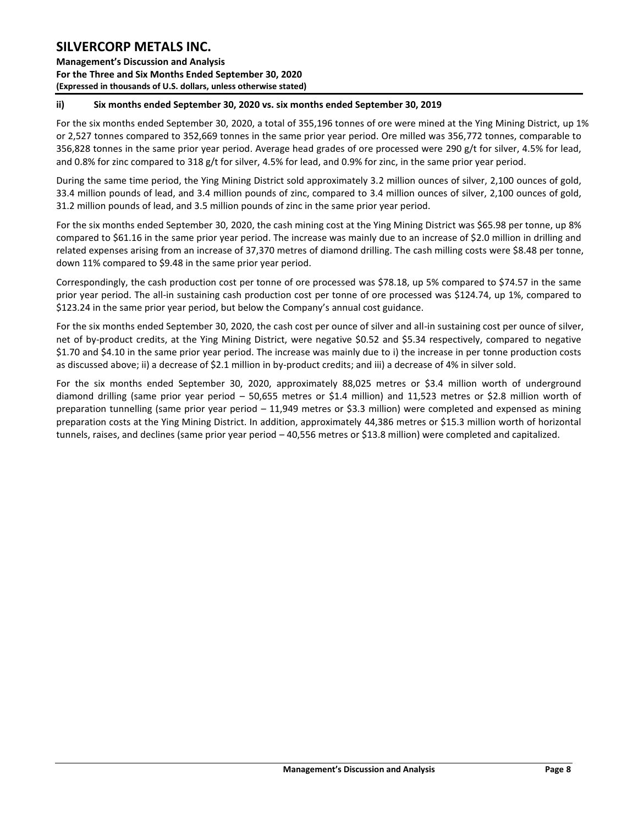**Management's Discussion and Analysis For the Three and Six Months Ended September 30, 2020 (Expressed in thousands of U.S. dollars, unless otherwise stated)** 

### **ii) Six months ended September 30, 2020 vs. six months ended September 30, 2019**

For the six months ended September 30, 2020, a total of 355,196 tonnes of ore were mined at the Ying Mining District, up 1% or 2,527 tonnes compared to 352,669 tonnes in the same prior year period. Ore milled was 356,772 tonnes, comparable to 356,828 tonnes in the same prior year period. Average head grades of ore processed were 290 g/t for silver, 4.5% for lead, and 0.8% for zinc compared to 318 g/t for silver, 4.5% for lead, and 0.9% for zinc, in the same prior year period.

During the same time period, the Ying Mining District sold approximately 3.2 million ounces of silver, 2,100 ounces of gold, 33.4 million pounds of lead, and 3.4 million pounds of zinc, compared to 3.4 million ounces of silver, 2,100 ounces of gold, 31.2 million pounds of lead, and 3.5 million pounds of zinc in the same prior year period.

For the six months ended September 30, 2020, the cash mining cost at the Ying Mining District was \$65.98 per tonne, up 8% compared to \$61.16 in the same prior year period. The increase was mainly due to an increase of \$2.0 million in drilling and related expenses arising from an increase of 37,370 metres of diamond drilling. The cash milling costs were \$8.48 per tonne, down 11% compared to \$9.48 in the same prior year period.

Correspondingly, the cash production cost per tonne of ore processed was \$78.18, up 5% compared to \$74.57 in the same prior year period. The all-in sustaining cash production cost per tonne of ore processed was \$124.74, up 1%, compared to \$123.24 in the same prior year period, but below the Company's annual cost guidance.

For the six months ended September 30, 2020, the cash cost per ounce of silver and all-in sustaining cost per ounce of silver, net of by-product credits, at the Ying Mining District, were negative \$0.52 and \$5.34 respectively, compared to negative \$1.70 and \$4.10 in the same prior year period. The increase was mainly due to i) the increase in per tonne production costs as discussed above; ii) a decrease of \$2.1 million in by-product credits; and iii) a decrease of 4% in silver sold.

For the six months ended September 30, 2020, approximately 88,025 metres or \$3.4 million worth of underground diamond drilling (same prior year period – 50,655 metres or \$1.4 million) and 11,523 metres or \$2.8 million worth of preparation tunnelling (same prior year period – 11,949 metres or \$3.3 million) were completed and expensed as mining preparation costs at the Ying Mining District. In addition, approximately 44,386 metres or \$15.3 million worth of horizontal tunnels, raises, and declines (same prior year period – 40,556 metres or \$13.8 million) were completed and capitalized.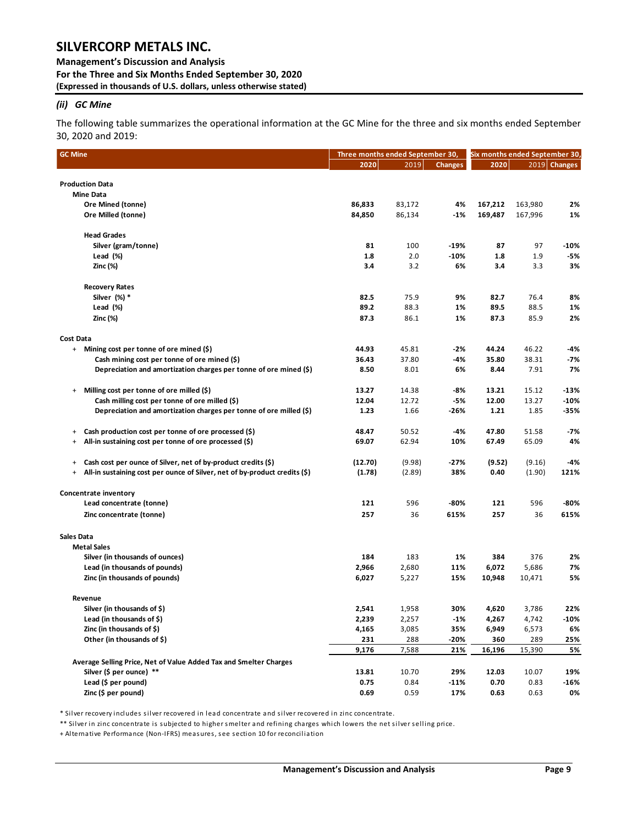**Management's Discussion and Analysis For the Three and Six Months Ended September 30, 2020 (Expressed in thousands of U.S. dollars, unless otherwise stated)** 

### *(ii) GC Mine*

The following table summarizes the operational information at the GC Mine for the three and six months ended September 30, 2020 and 2019:

| <b>GC Mine</b>                                                                    | Three months ended September 30, |        |                | Six months ended September 30, |         |                |  |  |
|-----------------------------------------------------------------------------------|----------------------------------|--------|----------------|--------------------------------|---------|----------------|--|--|
|                                                                                   | 2020                             | 2019   | <b>Changes</b> | 2020                           |         | $2019$ Changes |  |  |
|                                                                                   |                                  |        |                |                                |         |                |  |  |
| <b>Production Data</b><br><b>Mine Data</b>                                        |                                  |        |                |                                |         |                |  |  |
|                                                                                   | 86,833                           | 83,172 | 4%             | 167,212                        | 163,980 | 2%             |  |  |
| Ore Mined (tonne)                                                                 | 84,850                           | 86,134 | $-1%$          | 169,487                        | 167,996 | 1%             |  |  |
| Ore Milled (tonne)                                                                |                                  |        |                |                                |         |                |  |  |
| <b>Head Grades</b>                                                                |                                  |        |                |                                |         |                |  |  |
| Silver (gram/tonne)                                                               | 81                               | 100    | -19%           | 87                             | 97      | -10%           |  |  |
| Lead (%)                                                                          | 1.8                              | 2.0    | $-10%$         | 1.8                            | 1.9     | -5%            |  |  |
| Zinc (%)                                                                          | 3.4                              | 3.2    | 6%             | 3.4                            | 3.3     | 3%             |  |  |
| <b>Recovery Rates</b>                                                             |                                  |        |                |                                |         |                |  |  |
| Silver (%) *                                                                      | 82.5                             | 75.9   | 9%             | 82.7                           | 76.4    | 8%             |  |  |
| Lead (%)                                                                          | 89.2                             | 88.3   | 1%             | 89.5                           | 88.5    | 1%             |  |  |
| Zinc (%)                                                                          | 87.3                             | 86.1   | 1%             | 87.3                           | 85.9    | 2%             |  |  |
|                                                                                   |                                  |        |                |                                |         |                |  |  |
| Cost Data                                                                         |                                  |        |                |                                |         |                |  |  |
| + Mining cost per tonne of ore mined (\$)                                         | 44.93                            | 45.81  | -2%            | 44.24                          | 46.22   | -4%            |  |  |
| Cash mining cost per tonne of ore mined (\$)                                      | 36.43                            | 37.80  | -4%            | 35.80                          | 38.31   | -7%            |  |  |
| Depreciation and amortization charges per tonne of ore mined (\$)                 | 8.50                             | 8.01   | 6%             | 8.44                           | 7.91    | 7%             |  |  |
| Milling cost per tonne of ore milled (\$)<br>$\ddot{}$                            | 13.27                            | 14.38  | -8%            | 13.21                          | 15.12   | $-13%$         |  |  |
| Cash milling cost per tonne of ore milled (\$)                                    | 12.04                            | 12.72  | -5%            | 12.00                          | 13.27   | $-10%$         |  |  |
| Depreciation and amortization charges per tonne of ore milled (\$)                | 1.23                             | 1.66   | -26%           | 1.21                           | 1.85    | -35%           |  |  |
| Cash production cost per tonne of ore processed (\$)<br>+                         | 48.47                            | 50.52  | -4%            | 47.80                          | 51.58   | -7%            |  |  |
| All-in sustaining cost per tonne of ore processed (\$)<br>+                       | 69.07                            | 62.94  | 10%            | 67.49                          | 65.09   | 4%             |  |  |
|                                                                                   |                                  |        |                |                                |         |                |  |  |
| Cash cost per ounce of Silver, net of by-product credits (\$)<br>+                | (12.70)                          | (9.98) | -27%           | (9.52)                         | (9.16)  | -4%            |  |  |
| All-in sustaining cost per ounce of Silver, net of by-product credits (\$)<br>$+$ | (1.78)                           | (2.89) | 38%            | 0.40                           | (1.90)  | 121%           |  |  |
| Concentrate inventory                                                             |                                  |        |                |                                |         |                |  |  |
| Lead concentrate (tonne)                                                          | 121                              | 596    | $-80%$         | 121                            | 596     | -80%           |  |  |
| Zinc concentrate (tonne)                                                          | 257                              | 36     | 615%           | 257                            | 36      | 615%           |  |  |
|                                                                                   |                                  |        |                |                                |         |                |  |  |
| Sales Data<br><b>Metal Sales</b>                                                  |                                  |        |                |                                |         |                |  |  |
| Silver (in thousands of ounces)                                                   | 184                              | 183    | 1%             | 384                            | 376     | 2%             |  |  |
| Lead (in thousands of pounds)                                                     | 2,966                            | 2,680  | 11%            | 6,072                          | 5,686   | 7%             |  |  |
| Zinc (in thousands of pounds)                                                     | 6,027                            | 5,227  | 15%            | 10,948                         | 10,471  | 5%             |  |  |
| Revenue                                                                           |                                  |        |                |                                |         |                |  |  |
| Silver (in thousands of \$)                                                       | 2,541                            | 1,958  | 30%            | 4,620                          | 3,786   | 22%            |  |  |
| Lead (in thousands of \$)                                                         | 2,239                            | 2,257  | -1%            | 4,267                          | 4,742   | $-10%$         |  |  |
| Zinc (in thousands of \$)                                                         | 4,165                            | 3,085  | 35%            | 6,949                          | 6,573   | 6%             |  |  |
| Other (in thousands of \$)                                                        | 231                              | 288    | -20%           | 360                            | 289     | 25%            |  |  |
|                                                                                   | 9,176                            | 7,588  | 21%            | 16,196                         | 15,390  | 5%             |  |  |
| Average Selling Price, Net of Value Added Tax and Smelter Charges                 |                                  |        |                |                                |         |                |  |  |
| Silver (\$ per ounce) **                                                          | 13.81                            | 10.70  | 29%            | 12.03                          | 10.07   | 19%            |  |  |
| Lead (\$ per pound)                                                               | 0.75                             | 0.84   | $-11%$         | 0.70                           | 0.83    | $-16%$         |  |  |
| Zinc (\$ per pound)                                                               | 0.69                             | 0.59   | 17%            | 0.63                           | 0.63    | 0%             |  |  |
|                                                                                   |                                  |        |                |                                |         |                |  |  |

\* Silver recovery includes silver recovered in lead concentrate and silver recovered in zinc concentrate.

\*\* Silver in zinc concentrate is subjected to higher smelter and refining charges which lowers the net silver selling price.

+ Alternative Performance (Non-IFRS) measures, see section 10 for reconciliation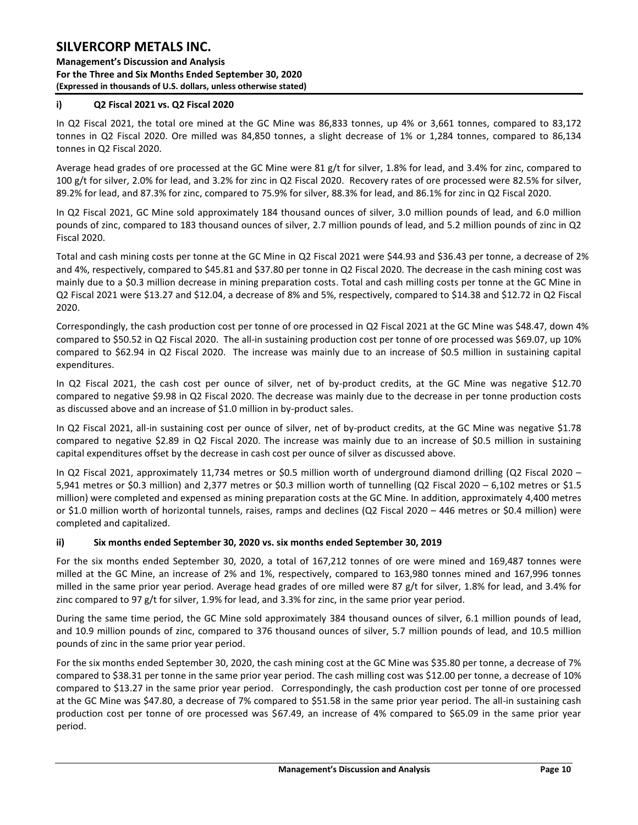### **Management's Discussion and Analysis For the Three and Six Months Ended September 30, 2020 (Expressed in thousands of U.S. dollars, unless otherwise stated)**

### **i) Q2 Fiscal 2021 vs. Q2 Fiscal 2020**

In Q2 Fiscal 2021, the total ore mined at the GC Mine was 86,833 tonnes, up 4% or 3,661 tonnes, compared to 83,172 tonnes in Q2 Fiscal 2020. Ore milled was 84,850 tonnes, a slight decrease of 1% or 1,284 tonnes, compared to 86,134 tonnes in Q2 Fiscal 2020.

Average head grades of ore processed at the GC Mine were 81 g/t for silver, 1.8% for lead, and 3.4% for zinc, compared to 100 g/t for silver, 2.0% for lead, and 3.2% for zinc in Q2 Fiscal 2020. Recovery rates of ore processed were 82.5% for silver, 89.2% for lead, and 87.3% for zinc, compared to 75.9% for silver, 88.3% for lead, and 86.1% for zinc in Q2 Fiscal 2020.

In Q2 Fiscal 2021, GC Mine sold approximately 184 thousand ounces of silver, 3.0 million pounds of lead, and 6.0 million pounds of zinc, compared to 183 thousand ounces of silver, 2.7 million pounds of lead, and 5.2 million pounds of zinc in Q2 Fiscal 2020.

Total and cash mining costs per tonne at the GC Mine in Q2 Fiscal 2021 were \$44.93 and \$36.43 per tonne, a decrease of 2% and 4%, respectively, compared to \$45.81 and \$37.80 per tonne in Q2 Fiscal 2020. The decrease in the cash mining cost was mainly due to a \$0.3 million decrease in mining preparation costs. Total and cash milling costs per tonne at the GC Mine in Q2 Fiscal 2021 were \$13.27 and \$12.04, a decrease of 8% and 5%, respectively, compared to \$14.38 and \$12.72 in Q2 Fiscal 2020.

Correspondingly, the cash production cost per tonne of ore processed in Q2 Fiscal 2021 at the GC Mine was \$48.47, down 4% compared to \$50.52 in Q2 Fiscal 2020. The all-in sustaining production cost per tonne of ore processed was \$69.07, up 10% compared to \$62.94 in Q2 Fiscal 2020. The increase was mainly due to an increase of \$0.5 million in sustaining capital expenditures.

In Q2 Fiscal 2021, the cash cost per ounce of silver, net of by-product credits, at the GC Mine was negative \$12.70 compared to negative \$9.98 in Q2 Fiscal 2020. The decrease was mainly due to the decrease in per tonne production costs as discussed above and an increase of \$1.0 million in by-product sales.

In Q2 Fiscal 2021, all-in sustaining cost per ounce of silver, net of by-product credits, at the GC Mine was negative \$1.78 compared to negative \$2.89 in Q2 Fiscal 2020. The increase was mainly due to an increase of \$0.5 million in sustaining capital expenditures offset by the decrease in cash cost per ounce of silver as discussed above.

In Q2 Fiscal 2021, approximately 11,734 metres or \$0.5 million worth of underground diamond drilling (Q2 Fiscal 2020 – 5,941 metres or \$0.3 million) and 2,377 metres or \$0.3 million worth of tunnelling (Q2 Fiscal 2020 – 6,102 metres or \$1.5 million) were completed and expensed as mining preparation costs at the GC Mine. In addition, approximately 4,400 metres or \$1.0 million worth of horizontal tunnels, raises, ramps and declines (Q2 Fiscal 2020 – 446 metres or \$0.4 million) were completed and capitalized.

### **ii) Six months ended September 30, 2020 vs. six months ended September 30, 2019**

For the six months ended September 30, 2020, a total of 167,212 tonnes of ore were mined and 169,487 tonnes were milled at the GC Mine, an increase of 2% and 1%, respectively, compared to 163,980 tonnes mined and 167,996 tonnes milled in the same prior year period. Average head grades of ore milled were 87 g/t for silver, 1.8% for lead, and 3.4% for zinc compared to 97 g/t for silver, 1.9% for lead, and 3.3% for zinc, in the same prior year period.

During the same time period, the GC Mine sold approximately 384 thousand ounces of silver, 6.1 million pounds of lead, and 10.9 million pounds of zinc, compared to 376 thousand ounces of silver, 5.7 million pounds of lead, and 10.5 million pounds of zinc in the same prior year period.

For the six months ended September 30, 2020, the cash mining cost at the GC Mine was \$35.80 per tonne, a decrease of 7% compared to \$38.31 per tonne in the same prior year period. The cash milling cost was \$12.00 per tonne, a decrease of 10% compared to \$13.27 in the same prior year period. Correspondingly, the cash production cost per tonne of ore processed at the GC Mine was \$47.80, a decrease of 7% compared to \$51.58 in the same prior year period. The all-in sustaining cash production cost per tonne of ore processed was \$67.49, an increase of 4% compared to \$65.09 in the same prior year period.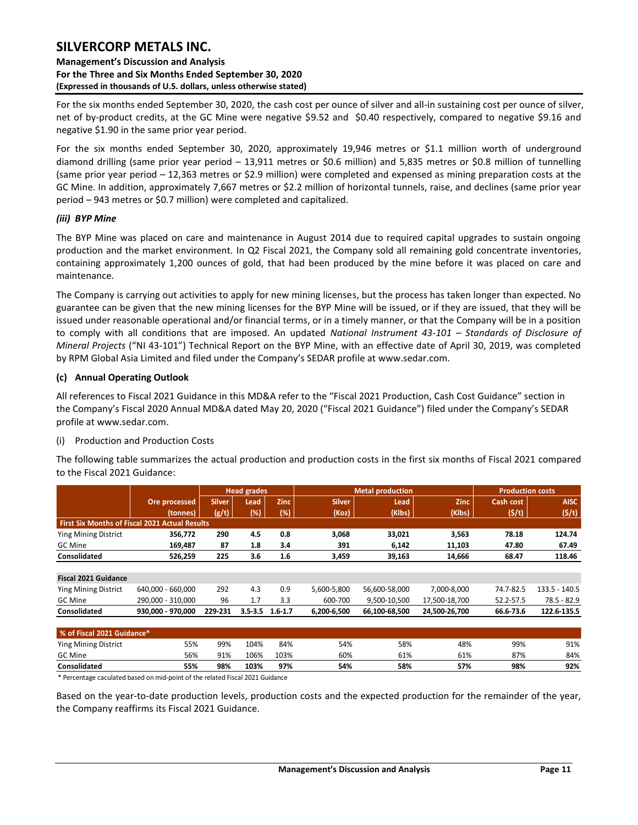### **Management's Discussion and Analysis For the Three and Six Months Ended September 30, 2020 (Expressed in thousands of U.S. dollars, unless otherwise stated)**

For the six months ended September 30, 2020, the cash cost per ounce of silver and all-in sustaining cost per ounce of silver, net of by‐product credits, at the GC Mine were negative \$9.52 and \$0.40 respectively, compared to negative \$9.16 and negative \$1.90 in the same prior year period.

For the six months ended September 30, 2020, approximately 19,946 metres or \$1.1 million worth of underground diamond drilling (same prior year period – 13,911 metres or \$0.6 million) and 5,835 metres or \$0.8 million of tunnelling (same prior year period – 12,363 metres or \$2.9 million) were completed and expensed as mining preparation costs at the GC Mine. In addition, approximately 7,667 metres or \$2.2 million of horizontal tunnels, raise, and declines (same prior year period – 943 metres or \$0.7 million) were completed and capitalized.

### *(iii) BYP Mine*

The BYP Mine was placed on care and maintenance in August 2014 due to required capital upgrades to sustain ongoing production and the market environment. In Q2 Fiscal 2021, the Company sold all remaining gold concentrate inventories, containing approximately 1,200 ounces of gold, that had been produced by the mine before it was placed on care and maintenance.

The Company is carrying out activities to apply for new mining licenses, but the process has taken longer than expected. No guarantee can be given that the new mining licenses for the BYP Mine will be issued, or if they are issued, that they will be issued under reasonable operational and/or financial terms, or in a timely manner, or that the Company will be in a position to comply with all conditions that are imposed. An updated *National Instrument 43-101 – Standards of Disclosure of Mineral Projects* ("NI 43-101") Technical Report on the BYP Mine, with an effective date of April 30, 2019, was completed by RPM Global Asia Limited and filed under the Company's SEDAR profile at www.sedar.com.

### **(c) Annual Operating Outlook**

All references to Fiscal 2021 Guidance in this MD&A refer to the "Fiscal 2021 Production, Cash Cost Guidance" section in the Company's Fiscal 2020 Annual MD&A dated May 20, 2020 ("Fiscal 2021 Guidance") filed under the Company's SEDAR profile at www.sedar.com.

### (i) Production and Production Costs

The following table summarizes the actual production and production costs in the first six months of Fiscal 2021 compared to the Fiscal 2021 Guidance:

|                                                       |                   |               | <b>Head grades</b> |             |               | <b>Metal production</b> |               | <b>Production costs</b> |                 |
|-------------------------------------------------------|-------------------|---------------|--------------------|-------------|---------------|-------------------------|---------------|-------------------------|-----------------|
|                                                       | Ore processed     | <b>Silver</b> | Lead               | <b>Zinc</b> | <b>Silver</b> | Lead                    | <b>Zinc</b>   | Cash cost               | <b>AISC</b>     |
|                                                       | (tonnes)          | (g/t)         | (%)                | (%)         | (Koz)         | (Klbs)                  | (Klbs)        | (5/t)                   | (5/t)           |
| <b>First Six Months of Fiscal 2021 Actual Results</b> |                   |               |                    |             |               |                         |               |                         |                 |
| <b>Ying Mining District</b>                           | 356.772           | 290           | 4.5                | 0.8         | 3,068         | 33,021                  | 3,563         | 78.18                   | 124.74          |
| <b>GC Mine</b>                                        | 169.487           | 87            | 1.8                | 3.4         | 391           | 6,142                   | 11,103        | 47.80                   | 67.49           |
| Consolidated                                          | 526.259           | 225           | 3.6                | 1.6         | 3,459         | 39.163                  | 14,666        | 68.47                   | 118.46          |
|                                                       |                   |               |                    |             |               |                         |               |                         |                 |
| <b>Fiscal 2021 Guidance</b>                           |                   |               |                    |             |               |                         |               |                         |                 |
| <b>Ying Mining District</b>                           | 640.000 - 660.000 | 292           | 4.3                | 0.9         | 5,600-5,800   | 56,600-58,000           | 7.000-8.000   | 74.7-82.5               | $133.5 - 140.5$ |
| <b>GC Mine</b>                                        | 290.000 - 310.000 | 96            | 1.7                | 3.3         | 600-700       | 9.500-10.500            | 17,500-18,700 | 52.2-57.5               | 78.5 - 82.9     |
| Consolidated                                          | 930.000 - 970.000 | 229-231       | $3.5 - 3.5$        | $1.6 - 1.7$ | 6.200-6.500   | 66.100-68.500           | 24.500-26.700 | 66.6-73.6               | 122.6-135.5     |
|                                                       |                   |               |                    |             |               |                         |               |                         |                 |

| % of Fiscal 2021 Guidance* |     |     |      |      |     |     |     |     |     |  |  |  |  |  |
|----------------------------|-----|-----|------|------|-----|-----|-----|-----|-----|--|--|--|--|--|
| Ying Mining District       | 55% | 99% | 104% | 84%  | 54% | 58% | 48% | 99% | 91% |  |  |  |  |  |
| <b>GC Mine</b>             | 56% | 91% | 106% | 103% | 60% | 61% | 61% | 87% | 84% |  |  |  |  |  |
| Consolidated               | 55% | 98% | 103% | 97%  | 54% | 58% | 57% | 98% | 92% |  |  |  |  |  |

\* Percentage caculated based on mid-point of the related Fiscal 2021 Guidance

Based on the year-to-date production levels, production costs and the expected production for the remainder of the year, the Company reaffirms its Fiscal 2021 Guidance.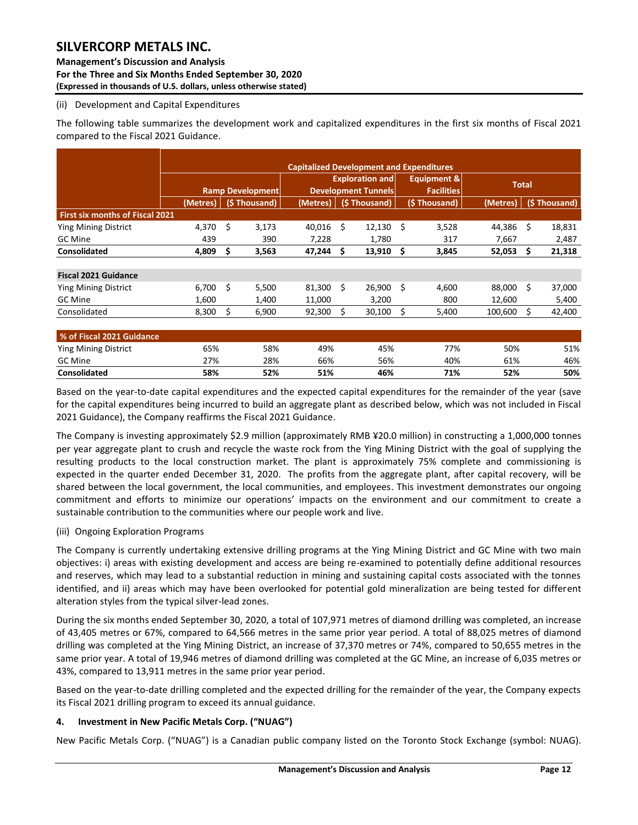**Management's Discussion and Analysis For the Three and Six Months Ended September 30, 2020 (Expressed in thousands of U.S. dollars, unless otherwise stated)** 

### (ii) Development and Capital Expenditures

The following table summarizes the development work and capitalized expenditures in the first six months of Fiscal 2021 compared to the Fiscal 2021 Guidance.

|                                        |          |                         | <b>Capitalized Development and Expenditures</b> |     |                                                      |    |                                  |              |              |        |  |  |  |  |
|----------------------------------------|----------|-------------------------|-------------------------------------------------|-----|------------------------------------------------------|----|----------------------------------|--------------|--------------|--------|--|--|--|--|
|                                        |          | <b>Ramp Development</b> |                                                 |     | <b>Exploration and</b><br><b>Development Tunnels</b> |    | Equipment &<br><b>Facilities</b> | <b>Total</b> |              |        |  |  |  |  |
|                                        | (Metres) | (\$Thousand)            | (Metres)                                        |     | (\$Thousand)                                         |    | (\$Thousand)                     | (Metres)     | (\$Thousand) |        |  |  |  |  |
| <b>First six months of Fiscal 2021</b> |          |                         |                                                 |     |                                                      |    |                                  |              |              |        |  |  |  |  |
| <b>Ying Mining District</b>            | 4,370    | \$<br>3,173             | 40,016                                          | Ŝ.  | 12,130                                               | Ś  | 3,528                            | 44,386       | Ś.           | 18,831 |  |  |  |  |
| GC Mine                                | 439      | 390                     | 7,228                                           |     | 1,780                                                |    | 317                              | 7,667        |              | 2,487  |  |  |  |  |
| <b>Consolidated</b>                    | 4,809    | \$<br>3,563             | 47,244                                          | - S | 13,910                                               | \$ | 3,845                            | 52,053       | S            | 21,318 |  |  |  |  |
|                                        |          |                         |                                                 |     |                                                      |    |                                  |              |              |        |  |  |  |  |
| <b>Fiscal 2021 Guidance</b>            |          |                         |                                                 |     |                                                      |    |                                  |              |              |        |  |  |  |  |
| <b>Ying Mining District</b>            | 6,700    | \$<br>5,500             | 81,300                                          | -Ś  | 26,900                                               | Ś  | 4,600                            | 88,000       | Ś.           | 37,000 |  |  |  |  |
| <b>GC</b> Mine                         | 1,600    | 1,400                   | 11,000                                          |     | 3,200                                                |    | 800                              | 12,600       |              | 5,400  |  |  |  |  |
| Consolidated                           | 8,300    | \$<br>6,900             | 92,300                                          | Ś   | 30,100                                               | Ś  | 5,400                            | 100,600      | S            | 42,400 |  |  |  |  |
|                                        |          |                         |                                                 |     |                                                      |    |                                  |              |              |        |  |  |  |  |
| % of Fiscal 2021 Guidance              |          |                         |                                                 |     |                                                      |    |                                  |              |              |        |  |  |  |  |
| <b>Ying Mining District</b>            | 65%      | 58%                     | 49%                                             |     | 45%                                                  |    | 77%                              | 50%          |              | 51%    |  |  |  |  |
| GC Mine                                | 27%      | 28%                     | 66%                                             |     | 56%                                                  |    | 40%                              | 61%          |              | 46%    |  |  |  |  |

Based on the year-to-date capital expenditures and the expected capital expenditures for the remainder of the year (save for the capital expenditures being incurred to build an aggregate plant as described below, which was not included in Fiscal 2021 Guidance), the Company reaffirms the Fiscal 2021 Guidance.

**Consolidated 58% 52% 51% 46% 71% 52% 50%**

The Company is investing approximately \$2.9 million (approximately RMB ¥20.0 million) in constructing a 1,000,000 tonnes per year aggregate plant to crush and recycle the waste rock from the Ying Mining District with the goal of supplying the resulting products to the local construction market. The plant is approximately 75% complete and commissioning is expected in the quarter ended December 31, 2020. The profits from the aggregate plant, after capital recovery, will be shared between the local government, the local communities, and employees. This investment demonstrates our ongoing commitment and efforts to minimize our operations' impacts on the environment and our commitment to create a sustainable contribution to the communities where our people work and live.

### (iii) Ongoing Exploration Programs

The Company is currently undertaking extensive drilling programs at the Ying Mining District and GC Mine with two main objectives: i) areas with existing development and access are being re-examined to potentially define additional resources and reserves, which may lead to a substantial reduction in mining and sustaining capital costs associated with the tonnes identified, and ii) areas which may have been overlooked for potential gold mineralization are being tested for different alteration styles from the typical silver-lead zones.

During the six months ended September 30, 2020, a total of 107,971 metres of diamond drilling was completed, an increase of 43,405 metres or 67%, compared to 64,566 metres in the same prior year period. A total of 88,025 metres of diamond drilling was completed at the Ying Mining District, an increase of 37,370 metres or 74%, compared to 50,655 metres in the same prior year. A total of 19,946 metres of diamond drilling was completed at the GC Mine, an increase of 6,035 metres or 43%, compared to 13,911 metres in the same prior year period.

Based on the year-to-date drilling completed and the expected drilling for the remainder of the year, the Company expects its Fiscal 2021 drilling program to exceed its annual guidance.

### <span id="page-12-0"></span>**4. Investment in New Pacific Metals Corp. ("NUAG")**

New Pacific Metals Corp. ("NUAG") is a Canadian public company listed on the Toronto Stock Exchange (symbol: NUAG).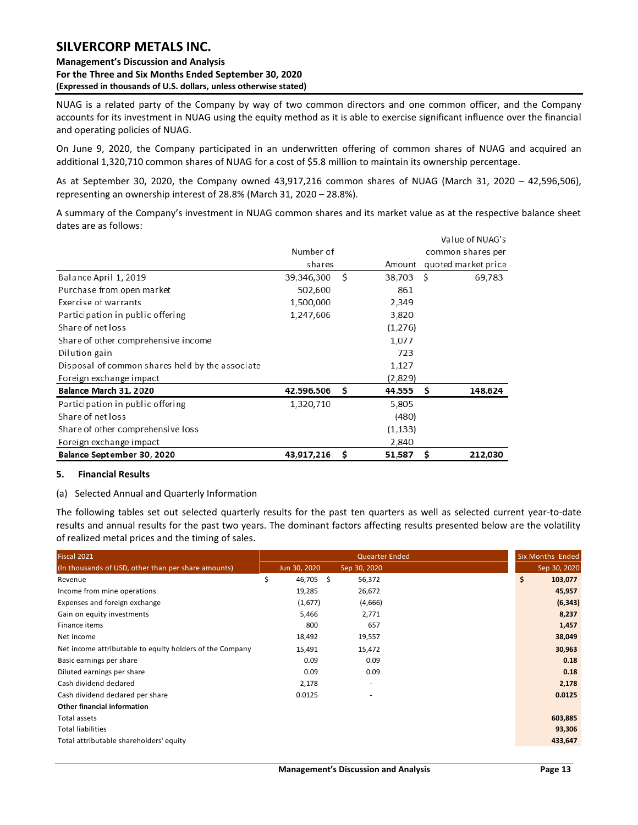**Management's Discussion and Analysis For the Three and Six Months Ended September 30, 2020 (Expressed in thousands of U.S. dollars, unless otherwise stated)** 

NUAG is a related party of the Company by way of two common directors and one common officer, and the Company accounts for its investment in NUAG using the equity method as it is able to exercise significant influence over the financial and operating policies of NUAG.

On June 9, 2020, the Company participated in an underwritten offering of common shares of NUAG and acquired an additional 1,320,710 common shares of NUAG for a cost of \$5.8 million to maintain its ownership percentage.

As at September 30, 2020, the Company owned 43,917,216 common shares of NUAG (March 31, 2020 – 42,596,506), representing an ownership interest of 28.8% (March 31, 2020 – 28.8%).

A summary of the Company's investment in NUAG common shares and its market value as at the respective balance sheet dates are as follows:

|                                                 |            |     |           |    | Value of NUAG's     |
|-------------------------------------------------|------------|-----|-----------|----|---------------------|
|                                                 | Number of  |     |           |    | common shares per   |
|                                                 | shares     |     | Amount    |    | quoted market price |
| Balance April 1, 2019                           | 39,346,300 | -Ś  | 38,703 \$ |    | 69,783              |
| Purchase from open market                       | 502,600    |     | 861       |    |                     |
| Exercise of warrants                            | 1,500,000  |     | 2,349     |    |                     |
| Participation in public offering                | 1,247,606  |     | 3,820     |    |                     |
| Share of net loss                               |            |     | (1,276)   |    |                     |
| Share of other comprehensive income             |            |     | 1,077     |    |                     |
| Dilution gain                                   |            |     | 723       |    |                     |
| Disposal of common shares held by the associate |            |     | 1,127     |    |                     |
| Foreign exchange impact                         |            |     | (2,829)   |    |                     |
| Balance March 31, 2020                          | 42,596,506 | - Ś | 44,555    | -S | 148,624             |
| Participation in public offering                | 1,320,710  |     | 5,805     |    |                     |
| Share of net loss                               |            |     | (480)     |    |                     |
| Share of other comprehensive loss               |            |     | (1, 133)  |    |                     |
| Foreign exchange impact                         |            |     | 2,840     |    |                     |
| Balance September 30, 2020                      | 43,917,216 | Ś   | 51,587    | \$ | 212,030             |

### <span id="page-13-0"></span>**5. Financial Results**

### (a) Selected Annual and Quarterly Information

The following tables set out selected quarterly results for the past ten quarters as well as selected current year-to-date results and annual results for the past two years. The dominant factors affecting results presented below are the volatility of realized metal prices and the timing of sales.

| Fiscal 2021                                              |                 | Quearter Ended |    | <b>Six Months Ended</b> |
|----------------------------------------------------------|-----------------|----------------|----|-------------------------|
| (In thousands of USD, other than per share amounts)      | Jun 30, 2020    | Sep 30, 2020   |    | Sep 30, 2020            |
| Revenue                                                  | \$<br>46,705 \$ | 56,372         | \$ | 103,077                 |
| Income from mine operations                              | 19,285          | 26,672         |    | 45,957                  |
| Expenses and foreign exchange                            | (1,677)         | (4,666)        |    | (6, 343)                |
| Gain on equity investments                               | 5,466           | 2,771          |    | 8,237                   |
| Finance items                                            | 800             | 657            |    | 1,457                   |
| Net income                                               | 18,492          | 19,557         |    | 38,049                  |
| Net income attributable to equity holders of the Company | 15,491          | 15,472         |    | 30,963                  |
| Basic earnings per share                                 | 0.09            | 0.09           |    | 0.18                    |
| Diluted earnings per share                               | 0.09            | 0.09           |    | 0.18                    |
| Cash dividend declared                                   | 2,178           |                |    | 2,178                   |
| Cash dividend declared per share                         | 0.0125          |                |    | 0.0125                  |
| <b>Other financial information</b>                       |                 |                |    |                         |
| Total assets                                             |                 |                |    | 603,885                 |
| <b>Total liabilities</b>                                 |                 |                |    | 93,306                  |
| Total attributable shareholders' equity                  |                 |                |    | 433,647                 |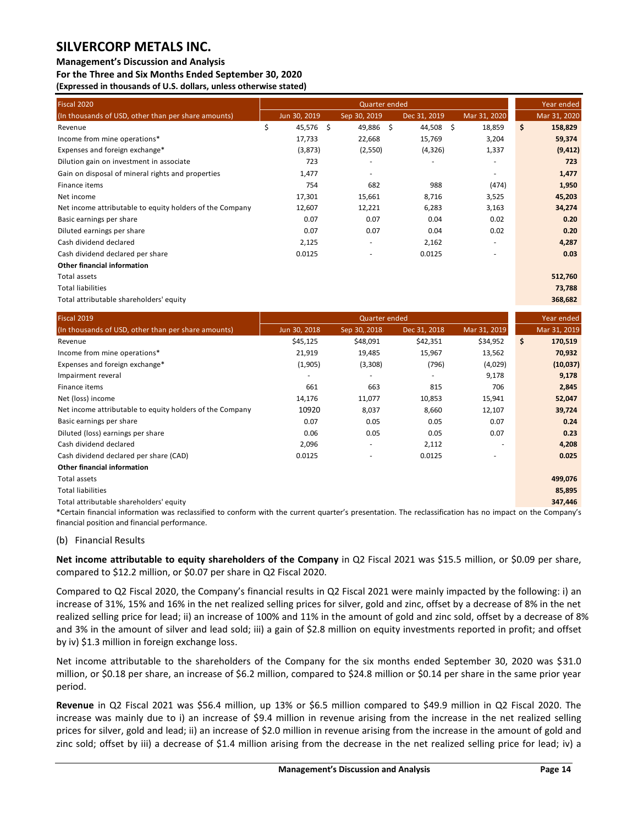### **Management's Discussion and Analysis**

**For the Three and Six Months Ended September 30, 2020 (Expressed in thousands of U.S. dollars, unless otherwise stated)** 

| Fiscal 2020                                              |                 | Quarter ended |              |    |                          | Year ended    |
|----------------------------------------------------------|-----------------|---------------|--------------|----|--------------------------|---------------|
| (In thousands of USD, other than per share amounts)      | Jun 30, 2019    | Sep 30, 2019  | Dec 31, 2019 |    | Mar 31, 2020             | Mar 31, 2020  |
| Revenue                                                  | \$<br>45,576 \$ | 49,886 \$     | 44,508       | Ŝ. | 18,859                   | \$<br>158,829 |
| Income from mine operations*                             | 17,733          | 22,668        | 15,769       |    | 3,204                    | 59,374        |
| Expenses and foreign exchange*                           | (3,873)         | (2,550)       | (4, 326)     |    | 1,337                    | (9, 412)      |
| Dilution gain on investment in associate                 | 723             |               |              |    | $\overline{\phantom{a}}$ | 723           |
| Gain on disposal of mineral rights and properties        | 1,477           | $\sim$        |              |    | $\overline{\phantom{a}}$ | 1,477         |
| Finance items                                            | 754             | 682           | 988          |    | (474)                    | 1,950         |
| Net income                                               | 17,301          | 15,661        | 8,716        |    | 3,525                    | 45,203        |
| Net income attributable to equity holders of the Company | 12,607          | 12,221        | 6,283        |    | 3,163                    | 34,274        |
| Basic earnings per share                                 | 0.07            | 0.07          | 0.04         |    | 0.02                     | 0.20          |
| Diluted earnings per share                               | 0.07            | 0.07          | 0.04         |    | 0.02                     | 0.20          |
| Cash dividend declared                                   | 2,125           |               | 2,162        |    | $\overline{\phantom{a}}$ | 4,287         |
| Cash dividend declared per share                         | 0.0125          |               | 0.0125       |    | ٠                        | 0.03          |
| <b>Other financial information</b>                       |                 |               |              |    |                          |               |
| Total assets                                             |                 |               |              |    |                          | 512,760       |
| <b>Total liabilities</b>                                 |                 |               |              |    |                          | 73,788        |
| Total attributable shareholders' equity                  |                 |               |              |    |                          | 368,682       |

|              | Quarter ended |              |              |                                                                                                                             |                                                            |  |  |  |  |  |  |
|--------------|---------------|--------------|--------------|-----------------------------------------------------------------------------------------------------------------------------|------------------------------------------------------------|--|--|--|--|--|--|
| Jun 30, 2018 | Sep 30, 2018  | Dec 31, 2018 | Mar 31, 2019 |                                                                                                                             | Mar 31, 2019                                               |  |  |  |  |  |  |
| \$45,125     | \$48,091      | \$42,351     | \$34,952     | \$                                                                                                                          | 170,519                                                    |  |  |  |  |  |  |
| 21,919       | 19,485        | 15,967       | 13,562       |                                                                                                                             | 70,932                                                     |  |  |  |  |  |  |
| (1,905)      | (3,308)       | (796)        | (4,029)      |                                                                                                                             | (10,037)                                                   |  |  |  |  |  |  |
|              |               |              | 9,178        |                                                                                                                             | 9,178                                                      |  |  |  |  |  |  |
| 661          | 663           | 815          | 706          |                                                                                                                             | 2,845                                                      |  |  |  |  |  |  |
| 14,176       | 11,077        | 10,853       | 15,941       |                                                                                                                             | 52,047                                                     |  |  |  |  |  |  |
| 10920        | 8,037         | 8,660        | 12,107       |                                                                                                                             | 39,724                                                     |  |  |  |  |  |  |
| 0.07         | 0.05          | 0.05         | 0.07         |                                                                                                                             | 0.24                                                       |  |  |  |  |  |  |
| 0.06         | 0.05          | 0.05         | 0.07         |                                                                                                                             | 0.23                                                       |  |  |  |  |  |  |
| 2,096        |               | 2,112        |              |                                                                                                                             | 4,208                                                      |  |  |  |  |  |  |
| 0.0125       |               | 0.0125       |              |                                                                                                                             | 0.025                                                      |  |  |  |  |  |  |
|              |               |              |              |                                                                                                                             |                                                            |  |  |  |  |  |  |
|              |               |              |              |                                                                                                                             | 499,076                                                    |  |  |  |  |  |  |
|              |               |              |              |                                                                                                                             | 85,895                                                     |  |  |  |  |  |  |
|              |               |              |              |                                                                                                                             | 347,446                                                    |  |  |  |  |  |  |
|              |               |              |              | ∳Acapt: βρεσιλή λεβρουργίου του συμβριλή κατοιδή του λημαίου στους του αναλυτιστική του πίου συμβριλή του κατοιδή του του κ | $\sim$ at $\sim$ $\sim$ $\sim$ $\sim$ $\sim$ $\sim$ $\sim$ |  |  |  |  |  |  |

\*Certain financial information was reclassified to conform with the current quarter's presentation. The reclassification has no impact on the Company's financial position and financial performance.

### (b) Financial Results

**Net income attributable to equity shareholders of the Company** in Q2 Fiscal 2021 was \$15.5 million, or \$0.09 per share, compared to \$12.2 million, or \$0.07 per share in Q2 Fiscal 2020.

Compared to Q2 Fiscal 2020, the Company's financial results in Q2 Fiscal 2021 were mainly impacted by the following: i) an increase of 31%, 15% and 16% in the net realized selling prices for silver, gold and zinc, offset by a decrease of 8% in the net realized selling price for lead; ii) an increase of 100% and 11% in the amount of gold and zinc sold, offset by a decrease of 8% and 3% in the amount of silver and lead sold; iii) a gain of \$2.8 million on equity investments reported in profit; and offset by iv) \$1.3 million in foreign exchange loss.

Net income attributable to the shareholders of the Company for the six months ended September 30, 2020 was \$31.0 million, or \$0.18 per share, an increase of \$6.2 million, compared to \$24.8 million or \$0.14 per share in the same prior year period.

**Revenue** in Q2 Fiscal 2021 was \$56.4 million, up 13% or \$6.5 million compared to \$49.9 million in Q2 Fiscal 2020. The increase was mainly due to i) an increase of \$9.4 million in revenue arising from the increase in the net realized selling prices for silver, gold and lead; ii) an increase of \$2.0 million in revenue arising from the increase in the amount of gold and zinc sold; offset by iii) a decrease of \$1.4 million arising from the decrease in the net realized selling price for lead; iv) a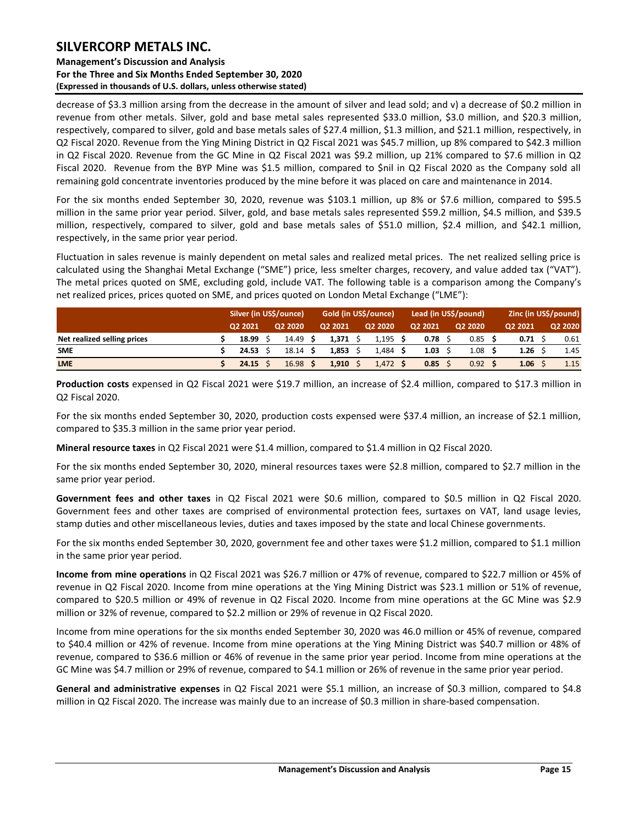### **Management's Discussion and Analysis For the Three and Six Months Ended September 30, 2020 (Expressed in thousands of U.S. dollars, unless otherwise stated)**

decrease of \$3.3 million arsing from the decrease in the amount of silver and lead sold; and v) a decrease of \$0.2 million in revenue from other metals. Silver, gold and base metal sales represented \$33.0 million, \$3.0 million, and \$20.3 million, respectively, compared to silver, gold and base metals sales of \$27.4 million, \$1.3 million, and \$21.1 million, respectively, in Q2 Fiscal 2020. Revenue from the Ying Mining District in Q2 Fiscal 2021 was \$45.7 million, up 8% compared to \$42.3 million in Q2 Fiscal 2020. Revenue from the GC Mine in Q2 Fiscal 2021 was \$9.2 million, up 21% compared to \$7.6 million in Q2 Fiscal 2020. Revenue from the BYP Mine was \$1.5 million, compared to \$nil in Q2 Fiscal 2020 as the Company sold all remaining gold concentrate inventories produced by the mine before it was placed on care and maintenance in 2014.

For the six months ended September 30, 2020, revenue was \$103.1 million, up 8% or \$7.6 million, compared to \$95.5 million in the same prior year period. Silver, gold, and base metals sales represented \$59.2 million, \$4.5 million, and \$39.5 million, respectively, compared to silver, gold and base metals sales of \$51.0 million, \$2.4 million, and \$42.1 million, respectively, in the same prior year period.

Fluctuation in sales revenue is mainly dependent on metal sales and realized metal prices. The net realized selling price is calculated using the Shanghai Metal Exchange ("SME") price, less smelter charges, recovery, and value added tax ("VAT"). The metal prices quoted on SME, excluding gold, include VAT. The following table is a comparison among the Company's net realized prices, prices quoted on SME, and prices quoted on London Metal Exchange ("LME"):

|                             | Silver (in US\$/ounce) |                    |         | Gold (in US\$/ounce) |         | Lead (in US\$/pound) | Zinc (in US\$/pound) |         |  |         |
|-----------------------------|------------------------|--------------------|---------|----------------------|---------|----------------------|----------------------|---------|--|---------|
|                             | 02 2021                | Q2 2020            | Q2 2021 | Q2 2020              | Q2 2021 |                      | Q2 2020              | Q2 2021 |  | Q2 2020 |
| Net realized selling prices | 18.99                  | 14.49 S            | 1.371   | 1,195                | 0.78    |                      | 0.85                 | 0.71    |  | 0.61    |
| <b>SME</b>                  | 24.53                  | $18.14 \text{ }$   | 1.853   | 1,484                | 1.03    |                      | 1.08                 | 1.26    |  | 1.45    |
| <b>LME</b>                  | 24.15                  | 16.98 <sup>5</sup> | 1.910   | 1,472                | 0.85    |                      | 0.92                 | 1.06    |  | 1.15    |

**Production costs** expensed in Q2 Fiscal 2021 were \$19.7 million, an increase of \$2.4 million, compared to \$17.3 million in Q2 Fiscal 2020.

For the six months ended September 30, 2020, production costs expensed were \$37.4 million, an increase of \$2.1 million, compared to \$35.3 million in the same prior year period.

**Mineral resource taxes** in Q2 Fiscal 2021 were \$1.4 million, compared to \$1.4 million in Q2 Fiscal 2020.

For the six months ended September 30, 2020, mineral resources taxes were \$2.8 million, compared to \$2.7 million in the same prior year period.

**Government fees and other taxes** in Q2 Fiscal 2021 were \$0.6 million, compared to \$0.5 million in Q2 Fiscal 2020. Government fees and other taxes are comprised of environmental protection fees, surtaxes on VAT, land usage levies, stamp duties and other miscellaneous levies, duties and taxes imposed by the state and local Chinese governments.

For the six months ended September 30, 2020, government fee and other taxes were \$1.2 million, compared to \$1.1 million in the same prior year period.

**Income from mine operations** in Q2 Fiscal 2021 was \$26.7 million or 47% of revenue, compared to \$22.7 million or 45% of revenue in Q2 Fiscal 2020. Income from mine operations at the Ying Mining District was \$23.1 million or 51% of revenue, compared to \$20.5 million or 49% of revenue in Q2 Fiscal 2020. Income from mine operations at the GC Mine was \$2.9 million or 32% of revenue, compared to \$2.2 million or 29% of revenue in Q2 Fiscal 2020.

Income from mine operations for the six months ended September 30, 2020 was 46.0 million or 45% of revenue, compared to \$40.4 million or 42% of revenue. Income from mine operations at the Ying Mining District was \$40.7 million or 48% of revenue, compared to \$36.6 million or 46% of revenue in the same prior year period. Income from mine operations at the GC Mine was \$4.7 million or 29% of revenue, compared to \$4.1 million or 26% of revenue in the same prior year period.

**General and administrative expenses** in Q2 Fiscal 2021 were \$5.1 million, an increase of \$0.3 million, compared to \$4.8 million in Q2 Fiscal 2020. The increase was mainly due to an increase of \$0.3 million in share-based compensation.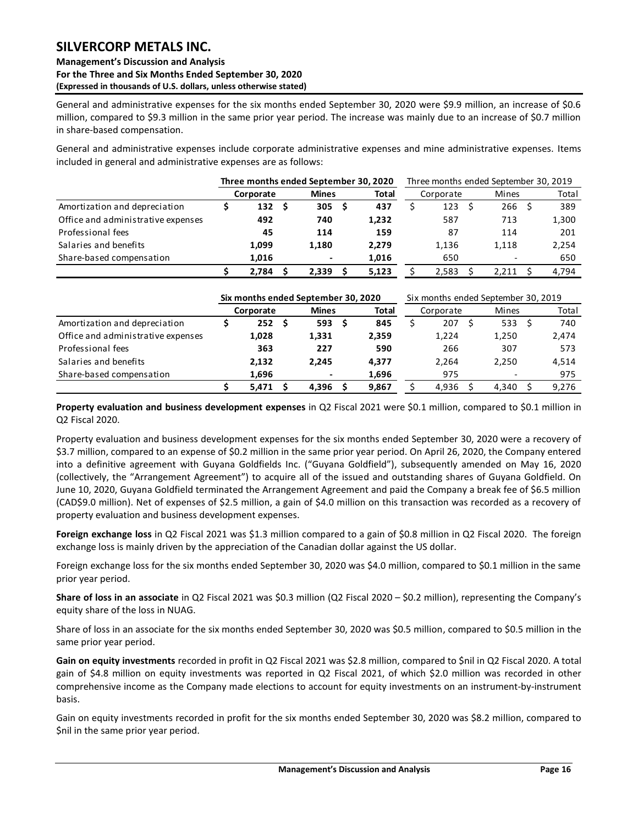### **Management's Discussion and Analysis For the Three and Six Months Ended September 30, 2020 (Expressed in thousands of U.S. dollars, unless otherwise stated)**

General and administrative expenses for the six months ended September 30, 2020 were \$9.9 million, an increase of \$0.6 million, compared to \$9.3 million in the same prior year period. The increase was mainly due to an increase of \$0.7 million in share-based compensation.

General and administrative expenses include corporate administrative expenses and mine administrative expenses. Items included in general and administrative expenses are as follows:

|                                    | Three months ended September 30, 2020 |              |       | Three months ended September 30, 2019 |           |  |                          |       |  |  |  |  |
|------------------------------------|---------------------------------------|--------------|-------|---------------------------------------|-----------|--|--------------------------|-------|--|--|--|--|
|                                    | Corporate                             | <b>Mines</b> | Total |                                       | Corporate |  | Mines                    | Total |  |  |  |  |
| Amortization and depreciation      | 132<br>- S                            | 305          | 437   |                                       | 123       |  | 266                      | 389   |  |  |  |  |
| Office and administrative expenses | 492                                   | 740          | 1,232 |                                       | 587       |  | 713                      | 1,300 |  |  |  |  |
| Professional fees                  | 45                                    | 114          | 159   |                                       | 87        |  | 114                      | 201   |  |  |  |  |
| Salaries and benefits              | 1,099                                 | 1.180        | 2.279 |                                       | 1,136     |  | 1,118                    | 2,254 |  |  |  |  |
| Share-based compensation           | 1.016                                 |              | 1,016 |                                       | 650       |  | $\overline{\phantom{a}}$ | 650   |  |  |  |  |
|                                    | 2.784                                 | 2.339        | 5,123 |                                       | 2.583     |  | 2.211                    | 4.794 |  |  |  |  |

|                                    |           |     | Six months ended September 30, 2020 |              | Six months ended September 30, 2019 |           |  |       |  |       |  |  |  |
|------------------------------------|-----------|-----|-------------------------------------|--------------|-------------------------------------|-----------|--|-------|--|-------|--|--|--|
|                                    | Corporate |     | <b>Mines</b>                        | <b>Total</b> |                                     | Corporate |  | Mines |  | Total |  |  |  |
| Amortization and depreciation      | 252       | - S | 593 <sub>5</sub>                    | 845          |                                     | 207       |  | 533   |  | 740   |  |  |  |
| Office and administrative expenses | 1,028     |     | 1,331                               | 2,359        |                                     | 1.224     |  | 1,250 |  | 2,474 |  |  |  |
| Professional fees                  | 363       |     | 227                                 | 590          |                                     | 266       |  | 307   |  | 573   |  |  |  |
| Salaries and benefits              | 2,132     |     | 2.245                               | 4.377        |                                     | 2.264     |  | 2,250 |  | 4,514 |  |  |  |
| Share-based compensation           | 1,696     |     | $\blacksquare$                      | 1,696        |                                     | 975       |  |       |  | 975   |  |  |  |
|                                    | 5.471     |     | 4.396                               | 9.867        |                                     | 4.936     |  | 4.340 |  | 9.276 |  |  |  |

**Property evaluation and business development expenses** in Q2 Fiscal 2021 were \$0.1 million, compared to \$0.1 million in Q2 Fiscal 2020.

Property evaluation and business development expenses for the six months ended September 30, 2020 were a recovery of \$3.7 million, compared to an expense of \$0.2 million in the same prior year period. On April 26, 2020, the Company entered into a definitive agreement with Guyana Goldfields Inc. ("Guyana Goldfield"), subsequently amended on May 16, 2020 (collectively, the "Arrangement Agreement") to acquire all of the issued and outstanding shares of Guyana Goldfield. On June 10, 2020, Guyana Goldfield terminated the Arrangement Agreement and paid the Company a break fee of \$6.5 million (CAD\$9.0 million). Net of expenses of \$2.5 million, a gain of \$4.0 million on this transaction was recorded as a recovery of property evaluation and business development expenses.

**Foreign exchange loss** in Q2 Fiscal 2021 was \$1.3 million compared to a gain of \$0.8 million in Q2 Fiscal 2020. The foreign exchange loss is mainly driven by the appreciation of the Canadian dollar against the US dollar.

Foreign exchange loss for the six months ended September 30, 2020 was \$4.0 million, compared to \$0.1 million in the same prior year period.

**Share of loss in an associate** in Q2 Fiscal 2021 was \$0.3 million (Q2 Fiscal 2020 – \$0.2 million), representing the Company's equity share of the loss in NUAG.

Share of loss in an associate for the six months ended September 30, 2020 was \$0.5 million, compared to \$0.5 million in the same prior year period.

**Gain on equity investments** recorded in profit in Q2 Fiscal 2021 was \$2.8 million, compared to \$nil in Q2 Fiscal 2020. A total gain of \$4.8 million on equity investments was reported in Q2 Fiscal 2021, of which \$2.0 million was recorded in other comprehensive income as the Company made elections to account for equity investments on an instrument-by-instrument basis.

Gain on equity investments recorded in profit for the six months ended September 30, 2020 was \$8.2 million, compared to \$nil in the same prior year period.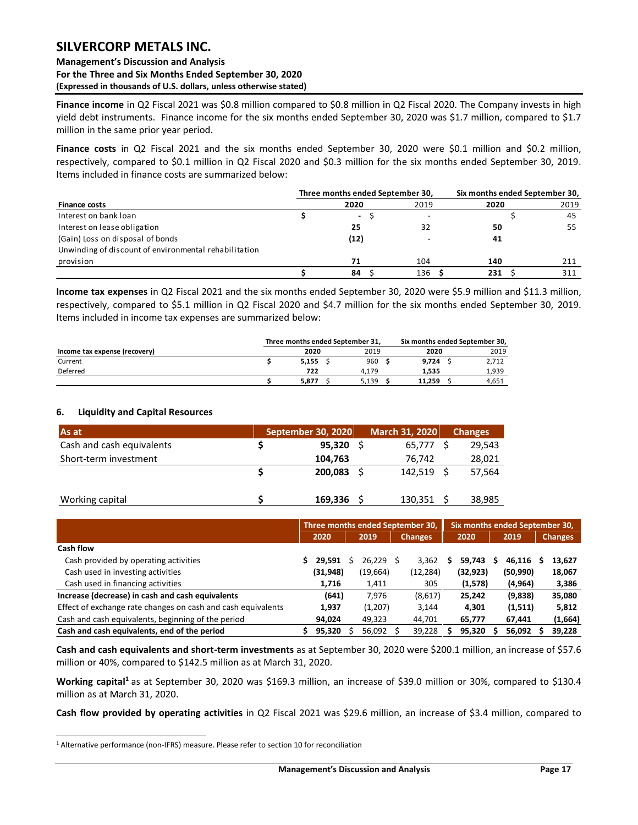### **Management's Discussion and Analysis For the Three and Six Months Ended September 30, 2020 (Expressed in thousands of U.S. dollars, unless otherwise stated)**

**Finance income** in Q2 Fiscal 2021 was \$0.8 million compared to \$0.8 million in Q2 Fiscal 2020. The Company invests in high yield debt instruments. Finance income for the six months ended September 30, 2020 was \$1.7 million, compared to \$1.7 million in the same prior year period.

**Finance costs** in Q2 Fiscal 2021 and the six months ended September 30, 2020 were \$0.1 million and \$0.2 million, respectively, compared to \$0.1 million in Q2 Fiscal 2020 and \$0.3 million for the six months ended September 30, 2019. Items included in finance costs are summarized below:

|                                                       | Three months ended September 30, |                  | Six months ended September 30, |      |  |  |  |  |  |
|-------------------------------------------------------|----------------------------------|------------------|--------------------------------|------|--|--|--|--|--|
| <b>Finance costs</b>                                  | 2020                             | 2019             | 2020                           | 2019 |  |  |  |  |  |
| Interest on bank loan                                 | $\overline{\phantom{0}}$         |                  |                                | 45   |  |  |  |  |  |
| Interest on lease obligation                          | 25                               | 32               | 50                             | 55   |  |  |  |  |  |
| (Gain) Loss on disposal of bonds                      | (12)                             |                  | 41                             |      |  |  |  |  |  |
| Unwinding of discount of environmental rehabilitation |                                  |                  |                                |      |  |  |  |  |  |
| provision                                             | 71                               | 104              | 140                            | 211  |  |  |  |  |  |
|                                                       | 84                               | 136 <sup>5</sup> | 231                            | 311  |  |  |  |  |  |

**Income tax expenses** in Q2 Fiscal 2021 and the six months ended September 30, 2020 were \$5.9 million and \$11.3 million, respectively, compared to \$5.1 million in Q2 Fiscal 2020 and \$4.7 million for the six months ended September 30, 2019. Items included in income tax expenses are summarized below:

|                               |       | Three months ended September 31. |        | Six months ended September 30, |       |  |
|-------------------------------|-------|----------------------------------|--------|--------------------------------|-------|--|
| Income tax expense (recovery) | 2020  | 2019                             | 2020   |                                | 2019  |  |
| Current                       | 5.155 | 960                              | 9.724  |                                | 2.712 |  |
| Deferred                      | 722   | 4.179                            | 1.535  |                                | 1,939 |  |
|                               | 5.877 | 5.139                            | 11.259 |                                | 4.651 |  |

### <span id="page-17-0"></span>**6. Liquidity and Capital Resources**

| As at                     | September 30, 2020 | March 31, 2020 | <b>Changes</b> |
|---------------------------|--------------------|----------------|----------------|
| Cash and cash equivalents | 95.320             | 65.777         | 29,543         |
| Short-term investment     | 104,763            | 76.742         | 28,021         |
|                           | 200.083            | 142.519        | 57,564         |
| Working capital           | 169,336            | 130,351        | 38,985         |

|                                                              |           |      |          |                | Three months ended September 30, |      |           | Six months ended September 30, |          |   |                |  |
|--------------------------------------------------------------|-----------|------|----------|----------------|----------------------------------|------|-----------|--------------------------------|----------|---|----------------|--|
|                                                              | 2020      | 2019 |          | <b>Changes</b> |                                  | 2020 |           | 2019                           |          |   | <b>Changes</b> |  |
| Cash flow                                                    |           |      |          |                |                                  |      |           |                                |          |   |                |  |
| Cash provided by operating activities                        | 29.591    |      | 26.229 S |                | 3.362                            |      | 59.743    | s                              | 46.116   | s | 13,627         |  |
| Cash used in investing activities                            | (31, 948) |      | (19,664) |                | (12, 284)                        |      | (32, 923) |                                | (50,990) |   | 18,067         |  |
| Cash used in financing activities                            | 1,716     |      | 1,411    |                | 305                              |      | (1,578)   |                                | (4,964)  |   | 3,386          |  |
| Increase (decrease) in cash and cash equivalents             | (641)     |      | 7.976    |                | (8,617)                          |      | 25,242    |                                | (9,838)  |   | 35,080         |  |
| Effect of exchange rate changes on cash and cash equivalents | 1,937     |      | (1,207)  |                | 3.144                            |      | 4,301     |                                | (1,511)  |   | 5,812          |  |
| Cash and cash equivalents, beginning of the period           | 94.024    |      | 49,323   |                | 44.701                           |      | 65,777    |                                | 67.441   |   | (1,664)        |  |
| Cash and cash equivalents, end of the period                 | 95,320    |      | 56,092   |                | 39.228                           |      | 95.320    |                                | 56,092   |   | 39,228         |  |

**Cash and cash equivalents and short-term investments** as at September 30, 2020 were \$200.1 million, an increase of \$57.6 million or 40%, compared to \$142.5 million as at March 31, 2020.

**Working capital<sup>1</sup>** as at September 30, 2020 was \$169.3 million, an increase of \$39.0 million or 30%, compared to \$130.4 million as at March 31, 2020.

**Cash flow provided by operating activities** in Q2 Fiscal 2021 was \$29.6 million, an increase of \$3.4 million, compared to

<sup>&</sup>lt;sup>1</sup> Alternative performance (non-IFRS) measure. Please refer to section 10 for reconciliation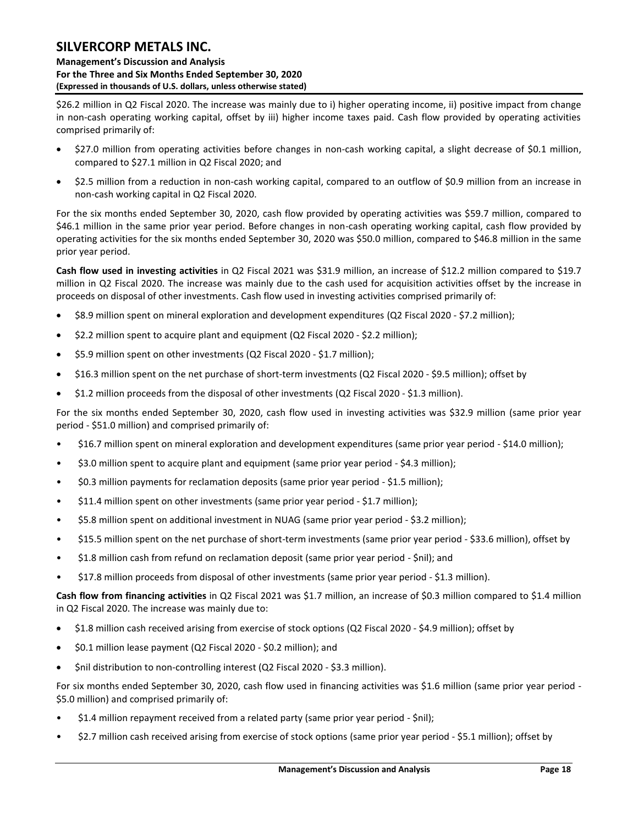**Management's Discussion and Analysis For the Three and Six Months Ended September 30, 2020 (Expressed in thousands of U.S. dollars, unless otherwise stated)** 

\$26.2 million in Q2 Fiscal 2020. The increase was mainly due to i) higher operating income, ii) positive impact from change in non-cash operating working capital, offset by iii) higher income taxes paid. Cash flow provided by operating activities comprised primarily of:

- \$27.0 million from operating activities before changes in non-cash working capital, a slight decrease of \$0.1 million, compared to \$27.1 million in Q2 Fiscal 2020; and
- \$2.5 million from a reduction in non-cash working capital, compared to an outflow of \$0.9 million from an increase in non-cash working capital in Q2 Fiscal 2020.

For the six months ended September 30, 2020, cash flow provided by operating activities was \$59.7 million, compared to \$46.1 million in the same prior year period. Before changes in non-cash operating working capital, cash flow provided by operating activities for the six months ended September 30, 2020 was \$50.0 million, compared to \$46.8 million in the same prior year period.

**Cash flow used in investing activities** in Q2 Fiscal 2021 was \$31.9 million, an increase of \$12.2 million compared to \$19.7 million in Q2 Fiscal 2020. The increase was mainly due to the cash used for acquisition activities offset by the increase in proceeds on disposal of other investments. Cash flow used in investing activities comprised primarily of:

- \$8.9 million spent on mineral exploration and development expenditures (Q2 Fiscal 2020 \$7.2 million);
- \$2.2 million spent to acquire plant and equipment (Q2 Fiscal 2020 \$2.2 million);
- \$5.9 million spent on other investments (Q2 Fiscal 2020 \$1.7 million);
- \$16.3 million spent on the net purchase of short-term investments (Q2 Fiscal 2020 \$9.5 million); offset by
- \$1.2 million proceeds from the disposal of other investments (Q2 Fiscal 2020 \$1.3 million).

For the six months ended September 30, 2020, cash flow used in investing activities was \$32.9 million (same prior year period - \$51.0 million) and comprised primarily of:

- \$16.7 million spent on mineral exploration and development expenditures (same prior year period \$14.0 million);
- \$3.0 million spent to acquire plant and equipment (same prior year period \$4.3 million);
- \$0.3 million payments for reclamation deposits (same prior year period \$1.5 million);
- \$11.4 million spent on other investments (same prior year period \$1.7 million);
- \$5.8 million spent on additional investment in NUAG (same prior year period \$3.2 million);
- \$15.5 million spent on the net purchase of short-term investments (same prior year period \$33.6 million), offset by
- \$1.8 million cash from refund on reclamation deposit (same prior year period \$nil); and
- \$17.8 million proceeds from disposal of other investments (same prior year period \$1.3 million).

**Cash flow from financing activities** in Q2 Fiscal 2021 was \$1.7 million, an increase of \$0.3 million compared to \$1.4 million in Q2 Fiscal 2020. The increase was mainly due to:

- \$1.8 million cash received arising from exercise of stock options (Q2 Fiscal 2020 \$4.9 million); offset by
- \$0.1 million lease payment (Q2 Fiscal 2020 \$0.2 million); and
- Snil distribution to non-controlling interest (Q2 Fiscal 2020 \$3.3 million).

For six months ended September 30, 2020, cash flow used in financing activities was \$1.6 million (same prior year period - \$5.0 million) and comprised primarily of:

- \$1.4 million repayment received from a related party (same prior year period \$nil);
- \$2.7 million cash received arising from exercise of stock options (same prior year period \$5.1 million); offset by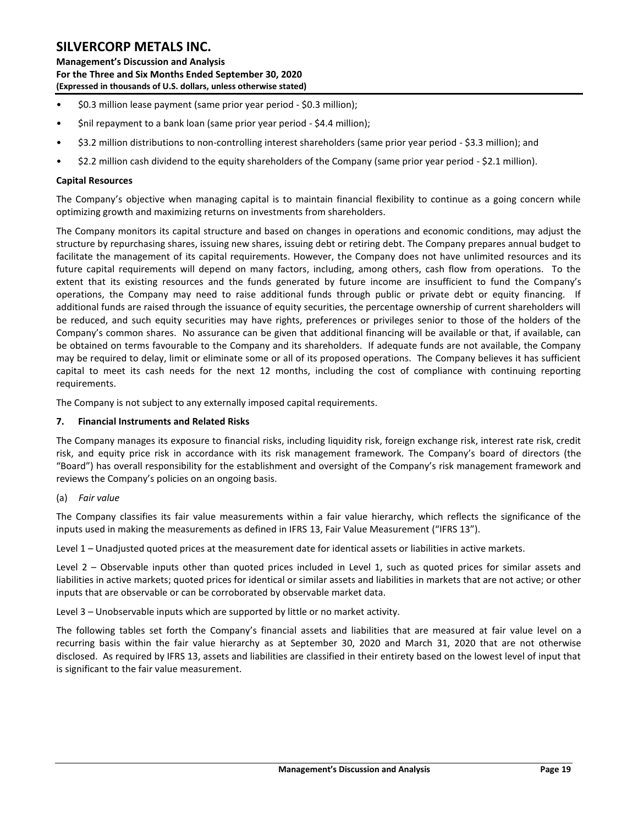**Management's Discussion and Analysis For the Three and Six Months Ended September 30, 2020 (Expressed in thousands of U.S. dollars, unless otherwise stated)** 

- \$0.3 million lease payment (same prior year period \$0.3 million);
- \$nil repayment to a bank loan (same prior year period \$4.4 million);
- \$3.2 million distributions to non-controlling interest shareholders (same prior year period \$3.3 million); and
- \$2.2 million cash dividend to the equity shareholders of the Company (same prior year period \$2.1 million).

### **Capital Resources**

The Company's objective when managing capital is to maintain financial flexibility to continue as a going concern while optimizing growth and maximizing returns on investments from shareholders.

The Company monitors its capital structure and based on changes in operations and economic conditions, may adjust the structure by repurchasing shares, issuing new shares, issuing debt or retiring debt. The Company prepares annual budget to facilitate the management of its capital requirements. However, the Company does not have unlimited resources and its future capital requirements will depend on many factors, including, among others, cash flow from operations. To the extent that its existing resources and the funds generated by future income are insufficient to fund the Company's operations, the Company may need to raise additional funds through public or private debt or equity financing. If additional funds are raised through the issuance of equity securities, the percentage ownership of current shareholders will be reduced, and such equity securities may have rights, preferences or privileges senior to those of the holders of the Company's common shares. No assurance can be given that additional financing will be available or that, if available, can be obtained on terms favourable to the Company and its shareholders. If adequate funds are not available, the Company may be required to delay, limit or eliminate some or all of its proposed operations. The Company believes it has sufficient capital to meet its cash needs for the next 12 months, including the cost of compliance with continuing reporting requirements.

The Company is not subject to any externally imposed capital requirements.

### <span id="page-19-0"></span>**7. Financial Instruments and Related Risks**

The Company manages its exposure to financial risks, including liquidity risk, foreign exchange risk, interest rate risk, credit risk, and equity price risk in accordance with its risk management framework. The Company's board of directors (the "Board") has overall responsibility for the establishment and oversight of the Company's risk management framework and reviews the Company's policies on an ongoing basis.

### (a) *Fair value*

The Company classifies its fair value measurements within a fair value hierarchy, which reflects the significance of the inputs used in making the measurements as defined in IFRS 13, Fair Value Measurement ("IFRS 13").

Level 1 – Unadjusted quoted prices at the measurement date for identical assets or liabilities in active markets.

Level 2 – Observable inputs other than quoted prices included in Level 1, such as quoted prices for similar assets and liabilities in active markets; quoted prices for identical or similar assets and liabilities in markets that are not active; or other inputs that are observable or can be corroborated by observable market data.

Level 3 – Unobservable inputs which are supported by little or no market activity.

The following tables set forth the Company's financial assets and liabilities that are measured at fair value level on a recurring basis within the fair value hierarchy as at September 30, 2020 and March 31, 2020 that are not otherwise disclosed. As required by IFRS 13, assets and liabilities are classified in their entirety based on the lowest level of input that is significant to the fair value measurement.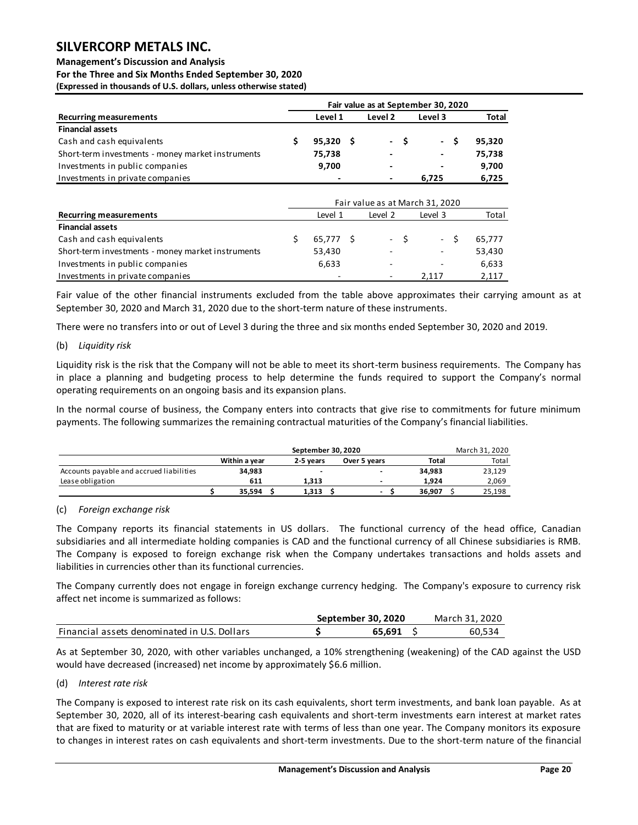#### **Management's Discussion and Analysis**

**For the Three and Six Months Ended September 30, 2020 (Expressed in thousands of U.S. dollars, unless otherwise stated)** 

|                                                   | Fair value as at September 30, 2020 |             |  |                          |     |         |     |        |  |  |  |  |  |  |
|---------------------------------------------------|-------------------------------------|-------------|--|--------------------------|-----|---------|-----|--------|--|--|--|--|--|--|
| <b>Recurring measurements</b>                     |                                     | Level 1     |  | Level 2                  |     | Level 3 |     | Total  |  |  |  |  |  |  |
| <b>Financial assets</b>                           |                                     |             |  |                          |     |         |     |        |  |  |  |  |  |  |
| Cash and cash equivalents                         |                                     | $95,320$ \$ |  |                          | - S |         | - S | 95.320 |  |  |  |  |  |  |
| Short-term investments - money market instruments |                                     | 75.738      |  | $\overline{\phantom{a}}$ |     | ٠       |     | 75.738 |  |  |  |  |  |  |
| Investments in public companies                   |                                     | 9,700       |  | $\overline{\phantom{0}}$ |     | ٠       |     | 9,700  |  |  |  |  |  |  |
| Investments in private companies                  |                                     |             |  |                          |     | 6.725   |     | 6.725  |  |  |  |  |  |  |

|                                                   |           |         |       | Fair value as at March 31, 2020 |        |  |  |
|---------------------------------------------------|-----------|---------|-------|---------------------------------|--------|--|--|
| <b>Recurring measurements</b>                     | Level 1   | Level 3 | Total |                                 |        |  |  |
| <b>Financial assets</b>                           |           |         |       |                                 |        |  |  |
| Cash and cash equivalents                         | 65.777 \$ | $-S$    |       | $-S$                            | 65.777 |  |  |
| Short-term investments - money market instruments | 53,430    | -       |       | $\overline{\phantom{a}}$        | 53,430 |  |  |
| Investments in public companies                   | 6,633     | -       |       | $\overline{\phantom{0}}$        | 6,633  |  |  |
| Investments in private companies                  |           | -       |       | 2.117                           | 2,117  |  |  |

Fair value of the other financial instruments excluded from the table above approximates their carrying amount as at September 30, 2020 and March 31, 2020 due to the short-term nature of these instruments.

There were no transfers into or out of Level 3 during the three and six months ended September 30, 2020 and 2019.

#### (b) *Liquidity risk*

Liquidity risk is the risk that the Company will not be able to meet its short-term business requirements. The Company has in place a planning and budgeting process to help determine the funds required to support the Company's normal operating requirements on an ongoing basis and its expansion plans.

In the normal course of business, the Company enters into contracts that give rise to commitments for future minimum payments. The following summarizes the remaining contractual maturities of the Company's financial liabilities.

|                                          |               | March 31, 2020 |              |        |  |        |
|------------------------------------------|---------------|----------------|--------------|--------|--|--------|
|                                          | Within a vear | 2-5 years      | Over 5 years | Total  |  | Total  |
| Accounts payable and accrued liabilities | 34.983        | -              | -            | 34.983 |  | 23,129 |
| Lease obligation                         | 611           | 1.313          |              | 1.924  |  | 2.069  |
|                                          | 35.594        | 1.313          | -            | 36.907 |  | 25.198 |

### (c) *Foreign exchange risk*

The Company reports its financial statements in US dollars. The functional currency of the head office, Canadian subsidiaries and all intermediate holding companies is CAD and the functional currency of all Chinese subsidiaries is RMB. The Company is exposed to foreign exchange risk when the Company undertakes transactions and holds assets and liabilities in currencies other than its functional currencies.

The Company currently does not engage in foreign exchange currency hedging. The Company's exposure to currency risk affect net income is summarized as follows:

|                                              | September 30, 2020 |        | March 31, 2020 |
|----------------------------------------------|--------------------|--------|----------------|
| Financial assets denominated in U.S. Dollars |                    | 65.691 | 60.534         |

As at September 30, 2020, with other variables unchanged, a 10% strengthening (weakening) of the CAD against the USD would have decreased (increased) net income by approximately \$6.6 million.

### (d) *Interest rate risk*

The Company is exposed to interest rate risk on its cash equivalents, short term investments, and bank loan payable. As at September 30, 2020, all of its interest-bearing cash equivalents and short-term investments earn interest at market rates that are fixed to maturity or at variable interest rate with terms of less than one year. The Company monitors its exposure to changes in interest rates on cash equivalents and short-term investments. Due to the short-term nature of the financial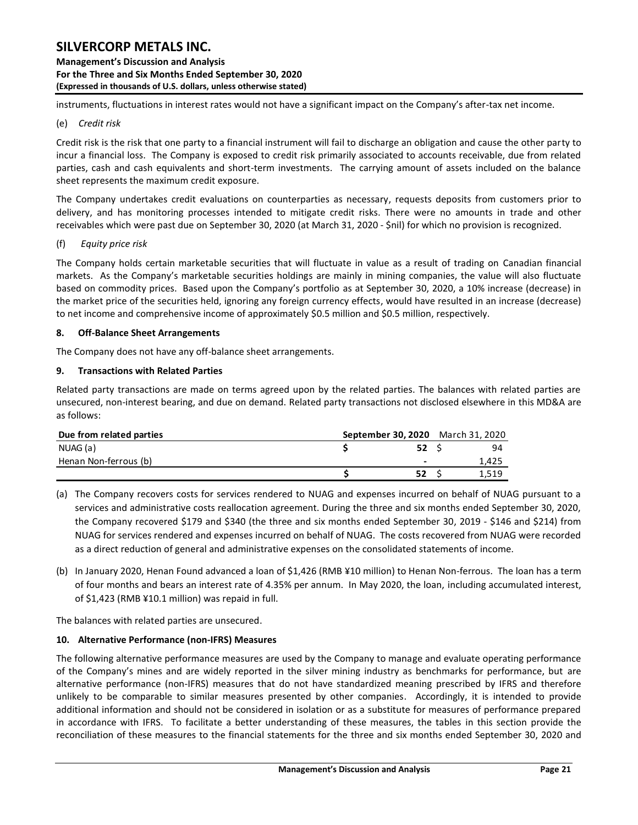**Management's Discussion and Analysis For the Three and Six Months Ended September 30, 2020 (Expressed in thousands of U.S. dollars, unless otherwise stated)** 

instruments, fluctuations in interest rates would not have a significant impact on the Company's after-tax net income.

#### (e) *Credit risk*

Credit risk is the risk that one party to a financial instrument will fail to discharge an obligation and cause the other party to incur a financial loss. The Company is exposed to credit risk primarily associated to accounts receivable, due from related parties, cash and cash equivalents and short-term investments. The carrying amount of assets included on the balance sheet represents the maximum credit exposure.

The Company undertakes credit evaluations on counterparties as necessary, requests deposits from customers prior to delivery, and has monitoring processes intended to mitigate credit risks. There were no amounts in trade and other receivables which were past due on September 30, 2020 (at March 31, 2020 - \$nil) for which no provision is recognized.

#### (f) *Equity price risk*

The Company holds certain marketable securities that will fluctuate in value as a result of trading on Canadian financial markets. As the Company's marketable securities holdings are mainly in mining companies, the value will also fluctuate based on commodity prices. Based upon the Company's portfolio as at September 30, 2020, a 10% increase (decrease) in the market price of the securities held, ignoring any foreign currency effects, would have resulted in an increase (decrease) to net income and comprehensive income of approximately \$0.5 million and \$0.5 million, respectively.

### <span id="page-21-0"></span>**8. Off-Balance Sheet Arrangements**

The Company does not have any off-balance sheet arrangements.

#### <span id="page-21-1"></span>**9. Transactions with Related Parties**

Related party transactions are made on terms agreed upon by the related parties. The balances with related parties are unsecured, non-interest bearing, and due on demand. Related party transactions not disclosed elsewhere in this MD&A are as follows:

| and concentration interest wearing, and add on acmanar neideed party transactions not also locatinere in<br>as follows: |                                          |             |       |
|-------------------------------------------------------------------------------------------------------------------------|------------------------------------------|-------------|-------|
| Due from related parties                                                                                                | <b>September 30, 2020</b> March 31, 2020 |             |       |
| NUAG (a)                                                                                                                |                                          | 52 S        | 94    |
| Henan Non-ferrous (b)                                                                                                   |                                          |             | 1,425 |
|                                                                                                                         |                                          | <b>52</b> S | 1.519 |

- (a) The Company recovers costs for services rendered to NUAG and expenses incurred on behalf of NUAG pursuant to a services and administrative costs reallocation agreement. During the three and six months ended September 30, 2020, the Company recovered \$179 and \$340 (the three and six months ended September 30, 2019 - \$146 and \$214) from NUAG for services rendered and expenses incurred on behalf of NUAG. The costs recovered from NUAG were recorded as a direct reduction of general and administrative expenses on the consolidated statements of income.
- (b) In January 2020, Henan Found advanced a loan of \$1,426 (RMB ¥10 million) to Henan Non-ferrous. The loan has a term of four months and bears an interest rate of 4.35% per annum. In May 2020, the loan, including accumulated interest, of \$1,423 (RMB ¥10.1 million) was repaid in full.

The balances with related parties are unsecured.

### <span id="page-21-2"></span>**10. Alternative Performance (non-IFRS) Measures**

The following alternative performance measures are used by the Company to manage and evaluate operating performance of the Company's mines and are widely reported in the silver mining industry as benchmarks for performance, but are alternative performance (non-IFRS) measures that do not have standardized meaning prescribed by IFRS and therefore unlikely to be comparable to similar measures presented by other companies. Accordingly, it is intended to provide additional information and should not be considered in isolation or as a substitute for measures of performance prepared in accordance with IFRS. To facilitate a better understanding of these measures, the tables in this section provide the reconciliation of these measures to the financial statements for the three and six months ended September 30, 2020 and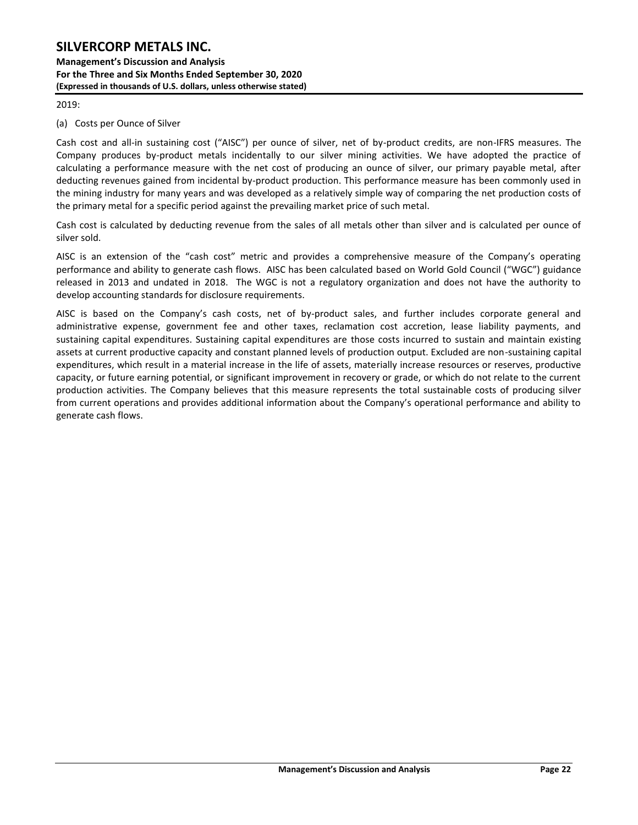**Management's Discussion and Analysis For the Three and Six Months Ended September 30, 2020 (Expressed in thousands of U.S. dollars, unless otherwise stated)** 

2019:

(a) Costs per Ounce of Silver

Cash cost and all-in sustaining cost ("AISC") per ounce of silver, net of by-product credits, are non-IFRS measures. The Company produces by-product metals incidentally to our silver mining activities. We have adopted the practice of calculating a performance measure with the net cost of producing an ounce of silver, our primary payable metal, after deducting revenues gained from incidental by-product production. This performance measure has been commonly used in the mining industry for many years and was developed as a relatively simple way of comparing the net production costs of the primary metal for a specific period against the prevailing market price of such metal.

Cash cost is calculated by deducting revenue from the sales of all metals other than silver and is calculated per ounce of silver sold.

AISC is an extension of the "cash cost" metric and provides a comprehensive measure of the Company's operating performance and ability to generate cash flows. AISC has been calculated based on World Gold Council ("WGC") guidance released in 2013 and undated in 2018. The WGC is not a regulatory organization and does not have the authority to develop accounting standards for disclosure requirements.

AISC is based on the Company's cash costs, net of by-product sales, and further includes corporate general and administrative expense, government fee and other taxes, reclamation cost accretion, lease liability payments, and sustaining capital expenditures. Sustaining capital expenditures are those costs incurred to sustain and maintain existing assets at current productive capacity and constant planned levels of production output. Excluded are non-sustaining capital expenditures, which result in a material increase in the life of assets, materially increase resources or reserves, productive capacity, or future earning potential, or significant improvement in recovery or grade, or which do not relate to the current production activities. The Company believes that this measure represents the total sustainable costs of producing silver from current operations and provides additional information about the Company's operational performance and ability to generate cash flows.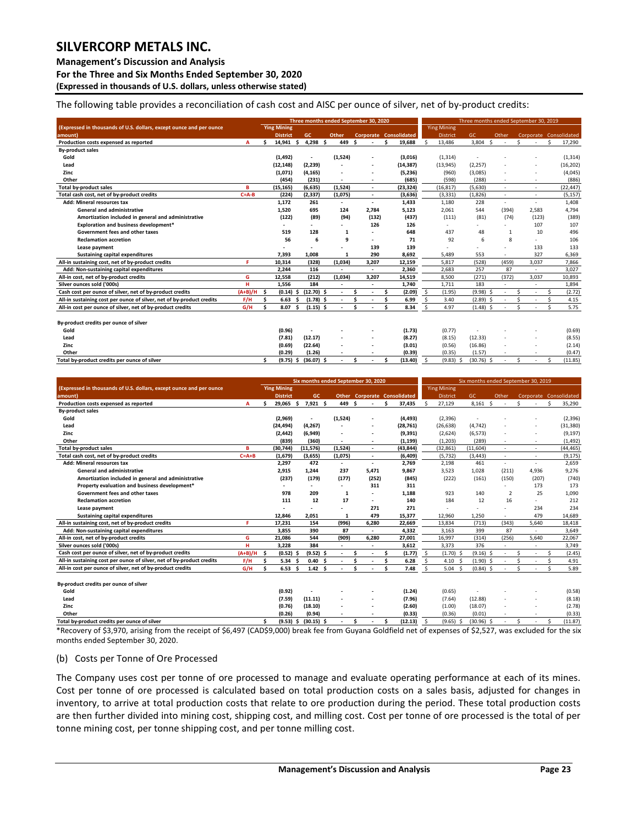#### **Management's Discussion and Analysis**

**For the Three and Six Months Ended September 30, 2020**

**(Expressed in thousands of U.S. dollars, unless otherwise stated)** 

The following table provides a reconciliation of cash cost and AISC per ounce of silver, net of by-product credits:

|                                                                       |             | Three months ended September 30, 2020 |                    |     |                |       |                          |    |                          |   | Three months ended September 30, 2019 |                    |                    |              |    |                          |     |                          |    |                        |  |  |
|-----------------------------------------------------------------------|-------------|---------------------------------------|--------------------|-----|----------------|-------|--------------------------|----|--------------------------|---|---------------------------------------|--------------------|--------------------|--------------|----|--------------------------|-----|--------------------------|----|------------------------|--|--|
| (Expressed in thousands of U.S. dollars, except ounce and per ounce   |             |                                       | <b>Ying Mining</b> |     |                |       |                          |    |                          |   |                                       |                    | <b>Ying Mining</b> |              |    |                          |     |                          |    |                        |  |  |
| amount)                                                               |             |                                       | <b>District</b>    |     | GC.            | Other |                          |    |                          |   | <b>Corporate Consolidated</b>         |                    | District           | GC           |    | Other                    |     |                          |    | Corporate Consolidated |  |  |
| Production costs expensed as reported                                 | A           | Ś                                     | 14,941             | Ŝ.  | $4,298$ \$     |       | 449                      | \$ |                          | Ś | 19,688                                |                    | 13,486             | 3,804        | Ś, | $\overline{\phantom{a}}$ | \$. | ٠                        | Š, | 17,290                 |  |  |
| <b>By-product sales</b>                                               |             |                                       |                    |     |                |       |                          |    |                          |   |                                       |                    |                    |              |    |                          |     |                          |    |                        |  |  |
| Gold                                                                  |             |                                       | (1, 492)           |     | $\blacksquare$ |       | (1,524)                  |    |                          |   | (3,016)                               |                    | (1, 314)           | ٠            |    |                          |     |                          |    | (1, 314)               |  |  |
| Lead                                                                  |             |                                       | (12, 148)          |     | (2, 239)       |       |                          |    |                          |   | (14, 387)                             |                    | (13, 945)          | (2, 257)     |    |                          |     |                          |    | (16, 202)              |  |  |
| Zinc                                                                  |             |                                       | (1,071)            |     | (4, 165)       |       |                          |    |                          |   | (5,236)                               |                    | (960)              | (3,085)      |    |                          |     | $\overline{\phantom{a}}$ |    | (4,045)                |  |  |
| Other                                                                 |             |                                       | (454)              |     | (231)          |       | ٠                        |    | $\overline{\phantom{a}}$ |   | (685)                                 |                    | (598)              | (288)        |    |                          |     | $\overline{\phantom{a}}$ |    | (886)                  |  |  |
| Total by-product sales                                                | B           |                                       | (15, 165)          |     | (6.635)        |       | (1.524)                  |    | $\overline{\phantom{a}}$ |   | (23, 324)                             |                    | (16.817)           | (5.630)      |    | $\overline{\phantom{a}}$ |     | $\overline{\phantom{a}}$ |    | (22, 447)              |  |  |
| Total cash cost, net of by-product credits                            | $C = A - B$ |                                       | (224)              |     | (2, 337)       |       | (1,075)                  |    | $\overline{\phantom{a}}$ |   | (3,636)                               |                    | (3, 331)           | (1,826)      |    |                          |     | ٠                        |    | (5, 157)               |  |  |
| Add: Mineral resources tax                                            |             |                                       | 1,172              |     | 261            |       | $\overline{\phantom{a}}$ |    | $\overline{\phantom{a}}$ |   | 1,433                                 |                    | 1,180              | 228          |    | $\overline{\phantom{a}}$ |     | $\overline{\phantom{a}}$ |    | 1,408                  |  |  |
| <b>General and administrative</b>                                     |             |                                       | 1.520              |     | 695            |       | 124                      |    | 2.784                    |   | 5.123                                 |                    | 2.061              | 544          |    | (394)                    |     | 2.583                    |    | 4.794                  |  |  |
| Amortization included in general and administrative                   |             |                                       | (122)              |     | (89)           |       | (94)                     |    | (132)                    |   | (437)                                 |                    | (111)              | (81)         |    | (74)                     |     | (123)                    |    | (389)                  |  |  |
| Exploration and business development*                                 |             |                                       |                    |     |                |       |                          |    | 126                      |   | 126                                   |                    |                    |              |    |                          |     | 107                      |    | 107                    |  |  |
| Government fees and other taxes                                       |             |                                       | 519                |     | 128            |       | $\mathbf{1}$             |    |                          |   | 648                                   |                    | 437                | 48           |    | $\mathbf{1}$             |     | 10                       |    | 496                    |  |  |
| <b>Reclamation accretion</b>                                          |             |                                       | 56                 |     | 6              |       | 9                        |    | $\overline{\phantom{a}}$ |   | 71                                    |                    | 92                 | 6            |    | 8                        |     | $\overline{a}$           |    | 106                    |  |  |
| Lease payment                                                         |             |                                       |                    |     |                |       |                          |    | 139                      |   | 139                                   |                    |                    |              |    |                          |     | 133                      |    | 133                    |  |  |
| Sustaining capital expenditures                                       |             |                                       | 7.393              |     | 1.008          |       | $\mathbf{1}$             |    | 290                      |   | 8,692                                 |                    | 5,489              | 553          |    | ٠                        |     | 327                      |    | 6,369                  |  |  |
| All-in sustaining cost, net of by-product credits                     | F           |                                       | 10.314             |     | (328)          |       | (1,034)                  |    | 3.207                    |   | 12,159                                |                    | 5.817              | (528)        |    | (459)                    |     | 3,037                    |    | 7,866                  |  |  |
| Add: Non-sustaining capital expenditures                              |             |                                       | 2,244              |     | 116            |       | $\overline{\phantom{a}}$ |    | $\sim$                   |   | 2,360                                 |                    | 2,683              | 257          |    | 87                       |     | ٠                        |    | 3,027                  |  |  |
| All-in cost, net of by-product credits                                | G           |                                       | 12,558             |     | (212)          |       | (1,034)                  |    | 3.207                    |   | 14,519                                |                    | 8,500              | (271)        |    | (372)                    |     | 3,037                    |    | 10,893                 |  |  |
| Silver ounces sold ('000s)                                            | н           |                                       | 1.556              |     | 184            |       |                          |    |                          |   | 1,740                                 |                    | 1,711              | 183          |    |                          |     |                          |    | 1,894                  |  |  |
| Cash cost per ounce of silver, net of by-product credits              | $(A+B)/H$   | \$                                    | (0.14)             | Ŝ   | $(12.70)$ \$   |       | $\overline{\phantom{a}}$ |    | $\overline{\phantom{a}}$ | Ś | (2.09)                                | \$                 | (1.95)             | (9.98)       |    | $\overline{\phantom{a}}$ | Ś   | ٠                        |    | (2.72)                 |  |  |
| All-in sustaining cost per ounce of silver, net of by-product credits | F/H         | Ś                                     | 6.63               |     | $(1.78)$ \$    |       |                          |    |                          | Ś | 6.99                                  | $\mathsf{\hat{S}}$ | 3.40               | $(2.89)$ \$  |    |                          | Ś   | ٠                        |    | 4.15                   |  |  |
| All-in cost per ounce of silver, net of by-product credits            | G/H         | ¢                                     | 8.07               | Ŝ   | $(1.15)$ \$    |       |                          | Ś  |                          | Ś | 8.34                                  | <sup>\$</sup>      | 4.97               | $(1.48)$ \$  |    |                          | Ś.  |                          | Š, | 5.75                   |  |  |
|                                                                       |             |                                       |                    |     |                |       |                          |    |                          |   |                                       |                    |                    |              |    |                          |     |                          |    |                        |  |  |
| By-product credits per ounce of silver                                |             |                                       |                    |     |                |       |                          |    |                          |   |                                       |                    |                    |              |    |                          |     |                          |    |                        |  |  |
| Gold                                                                  |             |                                       | (0.96)             |     |                |       |                          |    |                          |   | (1.73)                                |                    | (0.77)             |              |    |                          |     |                          |    | (0.69)                 |  |  |
| Lead                                                                  |             |                                       | (7.81)             |     | (12.17)        |       |                          |    |                          |   | (8.27)                                |                    | (8.15)             | (12.33)      |    |                          |     |                          |    | (8.55)                 |  |  |
| Zinc                                                                  |             |                                       | (0.69)             |     | (22.64)        |       |                          |    |                          |   | (3.01)                                |                    | (0.56)             | (16.86)      |    |                          |     |                          |    | (2.14)                 |  |  |
| Other                                                                 |             |                                       | (0.29)             |     | (1.26)         |       |                          |    |                          |   | (0.39)                                |                    | (0.35)             | (1.57)       |    |                          |     |                          |    | (0.47)                 |  |  |
| Total by-product credits per ounce of silver                          |             | Ś                                     | (9.75)             | - S | $(36.07)$ \$   |       |                          | Ś  |                          | Ś | (13.40)                               | Ŝ.                 | $(9.83)$ \$        | $(30.76)$ \$ |    |                          | Ś.  |                          | Ś  | (11.85)                |  |  |

|                                                                       |             | Six months ended September 30, 2020 |                    |     |                 |  |         |    | Six months ended September 30, 2019 |          |                                     |               |                    |    |                |              |                          |    |                          |    |                        |
|-----------------------------------------------------------------------|-------------|-------------------------------------|--------------------|-----|-----------------|--|---------|----|-------------------------------------|----------|-------------------------------------|---------------|--------------------|----|----------------|--------------|--------------------------|----|--------------------------|----|------------------------|
| (Expressed in thousands of U.S. dollars, except ounce and per ounce   |             |                                     | <b>Ying Mining</b> |     |                 |  |         |    |                                     |          |                                     |               | <b>Ying Mining</b> |    |                |              |                          |    |                          |    |                        |
| amount)                                                               |             |                                     | <b>District</b>    |     | GC.             |  |         |    |                                     |          | <b>Other Corporate Consolidated</b> |               | District           |    | GC             |              | Other                    |    |                          |    | Corporate Consolidated |
| Production costs expensed as reported                                 | A           | ¢                                   | 29,065 \$          |     | $7,921$ \$      |  | 449     | Ŝ. |                                     | <b>R</b> | 37,435                              | $\zeta$       | 27,129             |    | 8,161          | <sub>S</sub> | $\overline{\phantom{a}}$ | ≺  |                          | Š, | 35,290                 |
| <b>By-product sales</b>                                               |             |                                     |                    |     |                 |  |         |    |                                     |          |                                     |               |                    |    |                |              |                          |    |                          |    |                        |
| Gold                                                                  |             |                                     | (2,969)            |     | ٠               |  | (1,524) |    |                                     |          | (4, 493)                            |               | (2, 396)           |    |                |              |                          |    |                          |    | (2,396)                |
| Lead                                                                  |             |                                     | (24, 494)          |     | (4, 267)        |  |         |    |                                     |          | (28, 761)                           |               | (26, 638)          |    | (4, 742)       |              |                          |    | ٠                        |    | (31, 380)              |
| Zinc                                                                  |             |                                     | (2, 442)           |     | (6,949)         |  |         |    |                                     |          | (9, 391)                            |               | (2,624)            |    | (6, 573)       |              |                          |    | ٠                        |    | (9, 197)               |
| Other                                                                 |             |                                     | (839)              |     | (360)           |  |         |    |                                     |          | (1, 199)                            |               | (1, 203)           |    | (289)          |              | $\overline{\phantom{a}}$ |    |                          |    | (1, 492)               |
| <b>Total by-product sales</b>                                         | в           |                                     | (30, 744)          |     | (11, 576)       |  | (1,524) |    | $\sim$                              |          | (43,844)                            |               | (32, 861)          |    | (11, 604)      |              | $\overline{\phantom{a}}$ |    | ٠                        |    | (44, 465)              |
| Total cash cost, net of by-product credits                            | $C = A + B$ |                                     | (1,679)            |     | (3,655)         |  | (1,075) |    |                                     |          | (6, 409)                            |               | (5, 732)           |    | (3, 443)       |              | ٠                        |    | ۰.                       |    | (9, 175)               |
| Add: Mineral resources tax                                            |             |                                     | 2,297              |     | 472             |  | ٠       |    | $\sim$                              |          | 2,769                               |               | 2,198              |    | 461            |              | $\overline{\phantom{0}}$ |    | ٠                        |    | 2,659                  |
| <b>General and administrative</b>                                     |             |                                     | 2,915              |     | 1,244           |  | 237     |    | 5,471                               |          | 9,867                               |               | 3,523              |    | 1,028          |              | (211)                    |    | 4,936                    |    | 9,276                  |
| Amortization included in general and administrative                   |             |                                     | (237)              |     | (179)           |  | (177)   |    | (252)                               |          | (845)                               |               | (222)              |    | (161)          |              | (150)                    |    | (207)                    |    | (740)                  |
| Property evaluation and business development*                         |             |                                     |                    |     | ٠               |  |         |    | 311                                 |          | 311                                 |               |                    |    |                |              | $\overline{\phantom{a}}$ |    | 173                      |    | 173                    |
| Government fees and other taxes                                       |             |                                     | 978                |     | 209             |  | 1       |    |                                     |          | 1,188                               |               | 923                |    | 140            |              | $\overline{2}$           |    | 25                       |    | 1,090                  |
| <b>Reclamation accretion</b>                                          |             |                                     | 111                |     | 12              |  | 17      |    | $\overline{\phantom{a}}$            |          | 140                                 |               | 184                |    | 12             |              | 16                       |    | ٠                        |    | 212                    |
| Lease payment                                                         |             |                                     |                    |     |                 |  |         |    | 271                                 |          | 271                                 |               |                    |    | $\overline{a}$ |              | ٠                        |    | 234                      |    | 234                    |
| Sustaining capital expenditures                                       |             |                                     | 12.846             |     | 2.051           |  | 1       |    | 479                                 |          | 15.377                              |               | 12,960             |    | 1.250          |              | $\overline{\phantom{0}}$ |    | 479                      |    | 14,689                 |
| All-in sustaining cost, net of by-product credits                     | F           |                                     | 17.231             |     | 154             |  | (996)   |    | 6.280                               |          | 22,669                              |               | 13,834             |    | (713)          |              | (343)                    |    | 5.640                    |    | 18,418                 |
| Add: Non-sustaining capital expenditures                              |             |                                     | 3.855              |     | 390             |  | 87      |    | $\overline{\phantom{a}}$            |          | 4.332                               |               | 3.163              |    | 399            |              | 87                       |    | ٠                        |    | 3.649                  |
| All-in cost, net of by-product credits                                | G           |                                     | 21,086             |     | 544             |  | (909)   |    | 6,280                               |          | 27,001                              |               | 16,997             |    | (314)          |              | (256)                    |    | 5,640                    |    | 22,067                 |
| Silver ounces sold ('000s)                                            | н           |                                     | 3.228              |     | 384             |  |         |    |                                     |          | 3,612                               |               | 3,373              |    | 376            |              |                          |    | $\overline{\phantom{a}}$ |    | 3,749                  |
| Cash cost per ounce of silver, net of by-product credits              | $(A+B)/H$   | Ŝ                                   | $(0.52)$ \$        |     | $(9.52)$ \$     |  |         | Ś  |                                     | Ś.       | (1.77)                              | Ŝ.            | $(1.70)$ \$        |    | $(9.16)$ \$    |              | $\overline{\phantom{a}}$ | Ś  |                          | Ŝ. | (2.45)                 |
| All-in sustaining cost per ounce of silver, net of by-product credits | F/H         | Ś                                   | 5.34               | Ś   | 0.40            |  |         | ¢, |                                     | \$.      | 6.28                                | Š.            | 4.10 <sub>5</sub>  |    | (1.90)         |              |                          | ≺  | ٠                        | Ś  | 4.91                   |
| All-in cost per ounce of silver, net of by-product credits            | G/H         |                                     | 6.53 <sub>5</sub>  |     | $1.42 \quad$ \$ |  |         | ¢  |                                     | Ś        | 7.48                                | Ś.            | $5.04$ \$          |    | $(0.84)$ \$    |              |                          | \$ |                          | Š, | 5.89                   |
|                                                                       |             |                                     |                    |     |                 |  |         |    |                                     |          |                                     |               |                    |    |                |              |                          |    |                          |    |                        |
| By-product credits per ounce of silver                                |             |                                     |                    |     |                 |  |         |    |                                     |          |                                     |               |                    |    |                |              |                          |    |                          |    |                        |
| Gold                                                                  |             |                                     | (0.92)             |     |                 |  |         |    |                                     |          | (1.24)                              |               | (0.65)             |    | ä,             |              |                          |    |                          |    | (0.58)                 |
| Lead                                                                  |             |                                     | (7.59)             |     | (11.11)         |  |         |    |                                     |          | (7.96)                              |               | (7.64)             |    | (12.88)        |              |                          |    |                          |    | (8.18)                 |
| Zinc                                                                  |             |                                     | (0.76)             |     | (18.10)         |  |         |    |                                     |          | (2.60)                              |               | (1.00)             |    | (18.07)        |              |                          |    |                          |    | (2.78)                 |
| Other                                                                 |             |                                     | (0.26)             |     | (0.94)          |  |         |    |                                     |          | (0.33)                              |               | (0.36)             |    | (0.01)         |              |                          |    | $\overline{a}$           |    | (0.33)                 |
| Total by-product credits per ounce of silver                          |             | Ś                                   | (9.53)             | \$. | $(30.15)$ \$    |  |         | Ś  |                                     | Ś        | (12.13)                             | <sup>\$</sup> | (9.65)             | -S | (30.96)        |              |                          | Ś. |                          | Ś  | (11.87)                |

\*Recovery of \$3,970, arising from the receipt of \$6,497 (CAD\$9,000) break fee from Guyana Goldfield net of expenses of \$2,527, was excluded for the six months ended September 30, 2020.

#### (b) Costs per Tonne of Ore Processed

The Company uses cost per tonne of ore processed to manage and evaluate operating performance at each of its mines. Cost per tonne of ore processed is calculated based on total production costs on a sales basis, adjusted for changes in inventory, to arrive at total production costs that relate to ore production during the period. These total production costs are then further divided into mining cost, shipping cost, and milling cost. Cost per tonne of ore processed is the total of per tonne mining cost, per tonne shipping cost, and per tonne milling cost.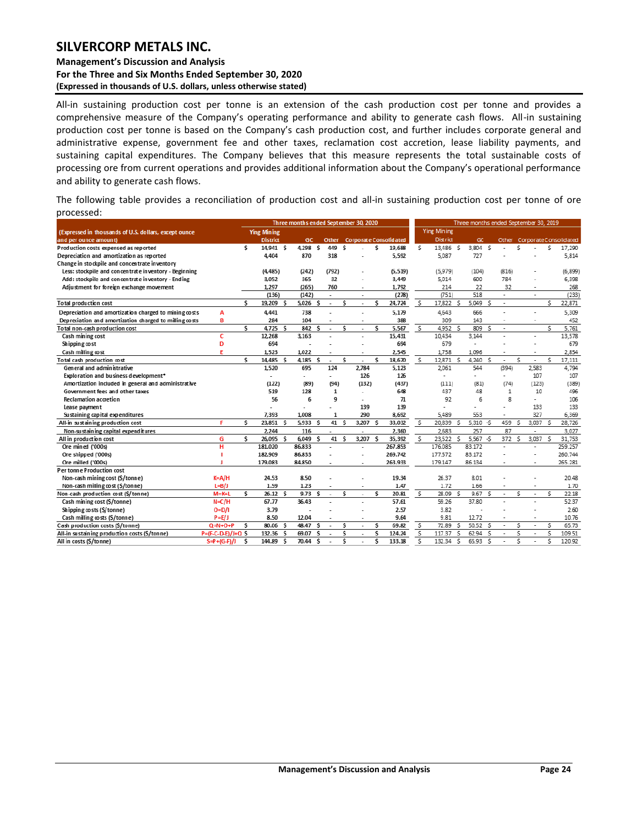#### **Management's Discussion and Analysis For the Three and Six Months Ended September 30, 2020 (Expressed in thousands of U.S. dollars, unless otherwise stated)**

All-in sustaining production cost per tonne is an extension of the cash production cost per tonne and provides a comprehensive measure of the Company's operating performance and ability to generate cash flows. All-in sustaining production cost per tonne is based on the Company's cash production cost, and further includes corporate general and administrative expense, government fee and other taxes, reclamation cost accretion, lease liability payments, and sustaining capital expenditures. The Company believes that this measure represents the total sustainable costs of processing ore from current operations and provides additional information about the Company's operational performance and ability to generate cash flows.

The following table provides a reconciliation of production cost and all-in sustaining production cost per tonne of ore processed:

|                                                        |                     |     |                    | Three months ended September 30, 2020 |    |                          |     |                          |          |                               |          |                    |    | Three months ended September 30, 2019 |              |                          |    |                          |     |                             |
|--------------------------------------------------------|---------------------|-----|--------------------|---------------------------------------|----|--------------------------|-----|--------------------------|----------|-------------------------------|----------|--------------------|----|---------------------------------------|--------------|--------------------------|----|--------------------------|-----|-----------------------------|
| (Expressed in thousands of U.S. dollars, except ounce  |                     |     | <b>Ying Mining</b> |                                       |    |                          |     |                          |          |                               |          | <b>Ying Mining</b> |    |                                       |              |                          |    |                          |     |                             |
| and per ounce amount)                                  |                     |     | <b>District</b>    | GC.                                   |    | <b>Other</b>             |     |                          |          | <b>Corporate Consolidated</b> |          | District           |    | G <sub>C</sub>                        |              |                          |    |                          |     | Other CorporateConsolidated |
| Production costs expensed as reported                  |                     | \$. | 14.941 S           | 4.298 S                               |    | 449                      | - S |                          | \$.      | 19,688                        | Ś.       | 13,486 S           |    | 3,804 \$                              |              |                          | Ś  |                          | Ś   | 17,290                      |
| Depreciation and amortization as reported              |                     |     | 4.404              | 870                                   |    | 318                      |     |                          |          | 5,592                         |          | 5,087              |    | 727                                   |              |                          |    |                          |     | 5,814                       |
| Change in stockpile and concentrate inventory          |                     |     |                    |                                       |    |                          |     |                          |          |                               |          |                    |    |                                       |              |                          |    |                          |     |                             |
| Less: stockpile and concentrate inventory - Beginning  |                     |     | (4.485)            | (242)                                 |    | (792)                    |     |                          |          | (5, 519)                      |          | (5,979)            |    | (104)                                 |              | (816)                    |    |                          |     | (6, 899)                    |
| Add: stockpile and concentrate inventory - Ending      |                     |     | 3,052              | 365                                   |    | 32                       |     |                          |          | 3.449                         |          | 5,014              |    | 600                                   |              | 784                      |    |                          |     | 6,398                       |
| Adjustment for foreign exchange movement               |                     |     | 1,297              | (265)                                 |    | 760                      |     |                          |          | 1,792                         |          | 214                |    | 22                                    |              | 32                       |    |                          |     | 268                         |
|                                                        |                     |     | (136)              | (142)                                 |    | $\overline{\phantom{a}}$ |     | $\overline{\phantom{a}}$ |          | (278)                         |          | (751)              |    | 518                                   |              | ٠                        |    | $\overline{\phantom{a}}$ |     | (233)                       |
| Total production cost                                  |                     | \$. | 19,209 S           | 5,026                                 | -S |                          | S   |                          | S        | 24,724                        | .s       | 17.822             | -S | 5.049                                 | \$.          | $\overline{\phantom{a}}$ |    |                          | \$. | 22,871                      |
| Depreciation and amortization charged to mining costs  | A                   |     | 4,441              | 738                                   |    |                          |     |                          |          | 5,179                         |          | 4,643              |    | 666                                   |              |                          |    |                          |     | 5,309                       |
| Depreciation and amortization charged to milling costs | B                   |     | 284                | 104                                   |    |                          |     | $\overline{\phantom{a}}$ |          | 388                           |          | 309                |    | 143                                   |              |                          |    |                          |     | 452                         |
| Total non-cash production cost                         |                     | \$. | $4.725$ \$         | 842                                   | -S | ٠                        | S   | ٠                        | s        | 5,567                         | <u>र</u> | 4.952S             |    | 809                                   | \$.          | ٠                        |    |                          | \$. | 5,761                       |
| Cash mining cost                                       | c                   |     | 12,268             | 3.163                                 |    |                          |     | ٠                        |          | 15,431                        |          | 10,434             |    | 3,144                                 |              |                          |    | ٠                        |     | 13,578                      |
| Shipping cost                                          | D                   |     | 694                |                                       |    |                          |     |                          |          | 694                           |          | 679                |    |                                       |              |                          |    |                          |     | 679                         |
| Cash milling cost                                      | F                   |     | 1,523              | 1.022                                 |    |                          |     |                          |          | 2,545                         |          | 1.758              |    | 1.096                                 |              |                          |    |                          |     | 2,854                       |
| Total cash production cost                             |                     | Ś   | 14,485 \$          | 4.185 S                               |    | ÷                        | Ś   |                          | Ś        | 18,670                        | \$       | 12,871 \$          |    | 4,240 \$                              |              |                          | Ś  | ٠                        | S   | 17,111                      |
| General and administrative                             |                     |     | 1,520              | 695                                   |    | 124                      |     | 2.784                    |          | 5.123                         |          | 2,061              |    | 544                                   |              | (394)                    |    | 2,583                    |     | 4,794                       |
| Exploration and business development*                  |                     |     |                    | $\overline{\phantom{a}}$              |    | $\overline{\phantom{a}}$ |     | 126                      |          | 126                           |          | ÷.                 |    |                                       |              |                          |    | 107                      |     | 107                         |
| Amortization included in general and administrative    |                     |     | (122)              | (89)                                  |    | (94)                     |     | (132)                    |          | (437)                         |          | (111)              |    | (81)                                  |              | (74)                     |    | (123)                    |     | (389)                       |
| Government fees and other taxes                        |                     |     | 519                | 128                                   |    | 1                        |     |                          |          | 648                           |          | 437                |    | 48                                    |              | 1                        |    | 10                       |     | 496                         |
| <b>Reclamation accretion</b>                           |                     |     | 56                 | 6                                     |    | 9                        |     |                          |          | 71                            |          | 92                 |    | 6                                     |              | 8                        |    | ä,                       |     | 106                         |
| Lease payment                                          |                     |     |                    |                                       |    |                          |     | 139                      |          | 139                           |          |                    |    |                                       |              |                          |    | 133                      |     | 133                         |
| Sustaining capital expenditures                        |                     |     | 7,393              | 1.008                                 |    | $\mathbf{1}$             |     | 290                      |          | 8,692                         |          | 5.489              |    | 553                                   |              |                          |    | 327                      |     | 6.369                       |
| All-in sustaining production cost                      | F                   | \$. | 23.851 S           | 5.933                                 | -S | 41S                      |     | 3,207                    | <b>S</b> | 33,032                        | S.       | 20.839             | -S | $5.310 - 5$                           |              | 459                      | S  | 3.037                    | S   | 28,726                      |
| Non-sustaining capital expenditures                    |                     |     | 2.244              | 116                                   |    |                          |     | $\overline{\phantom{a}}$ |          | 2,360                         |          | 2.683              |    | 257                                   |              | 87                       |    | $\overline{\phantom{a}}$ |     | 3.027                       |
| All in production cost                                 | G                   | S.  | 26,095 \$          | 6,049                                 | -S | 41 \$                    |     | 3,207 \$                 |          | 35,392                        | S.       | 23,522 \$          |    | $5,567 - $$                           |              | 372                      | -S | 3,037                    | .s  | 31,753                      |
| Ore mined ('000s)                                      | н                   |     | 181.020            | 86.833                                |    |                          |     |                          |          | 267.853                       |          | 176.085            |    | 83.172                                |              |                          |    | ٠                        |     | 259.257                     |
| Ore shipped ('000s)                                    |                     |     | 182.909            | 86,833                                |    |                          |     | ٠                        |          | 269.742                       |          | 177.572            |    | 83.172                                |              |                          |    | $\overline{a}$           |     | 260.744                     |
| Ore milled ('000s)                                     |                     |     | 179.083            | 84.850                                |    |                          |     | ٠                        |          | 263.933                       |          | 179.147            |    | 86.134                                |              |                          |    | $\overline{a}$           |     | 265.281                     |
| Per tonne Production cost                              |                     |     |                    |                                       |    |                          |     |                          |          |                               |          |                    |    |                                       |              |                          |    |                          |     |                             |
| Non-cash mining cost (\$/tonne)                        | $K = A/H$           |     | 24.53              | 8.50                                  |    |                          |     |                          |          | 19.34                         |          | 26.37              |    | 8.01                                  |              |                          |    |                          |     | 20.48                       |
| Non-cash milling cost (\$/tonne)                       | $L=B/J$             |     | 1.59               | 1.23                                  |    |                          |     |                          |          | 1.47                          |          | 1.72               |    | 1.66                                  |              |                          |    |                          |     | 1.70                        |
| Non-cash production cost (\$/tonne)                    | $M = K + L$         | S.  | 26.12 S            | 9.73S                                 |    | $\overline{\phantom{a}}$ | Ś   | ٠                        | Ś        | 20.81                         | S.       | 28.09 \$           |    | 9.67                                  | <sup>5</sup> |                          | Ś  | $\tilde{\phantom{a}}$    | s   | 22.18                       |
| Cash mining cost (\$/tonne)                            | $N = C/H$           |     | 67.77              | 36.43                                 |    |                          |     |                          |          | 57.61                         |          | 59.26              |    | 37.80                                 |              |                          |    |                          |     | 52.37                       |
| Shipping costs (\$/tonne)                              | $O=D/I$             |     | 3.79               |                                       |    |                          |     |                          |          | 2.57                          |          | 3.82               |    |                                       |              |                          |    |                          |     | 2.60                        |
| Cash milling costs (\$/tonne)                          | $P = E/J$           |     | 8.50               | 12.04                                 |    |                          |     | ×.                       |          | 9.64                          |          | 9.81               |    | 12.72                                 |              |                          |    | ٠                        |     | 10.76                       |
| Cash production costs (\$/tonne)                       | $Q = N + O + P$     | S   | 80.06 S            | 48.47                                 | Ŝ  |                          | Ś   | ٠                        | S        | 69.82                         | \$       | 72.89              | -S | 50.52 S                               |              |                          | Ś  | ٠                        | S   | 65.73                       |
| All-in sustaining production costs (\$/tonne)          | $P=(F-C-D-E)/J+Q S$ |     | 132.36 S           | 69.07                                 | Ŝ  |                          | Ś   | ٠                        | Ŝ        | 124.24                        | \$       | 117.37             | S  | 62.94                                 | -S           |                          | Ś  | $\overline{\phantom{a}}$ | s   | 109.51                      |
| All in costs (\$/tonne)                                | $S = P + (G - F)/J$ | S   | 144.89 S           | 70.44                                 | S  |                          | Ś   |                          | Ŝ        | 133.18                        | Ś        | 132.34             | \$ | 65.93                                 | <sub>S</sub> |                          | Ś  |                          | \$. | 120.92                      |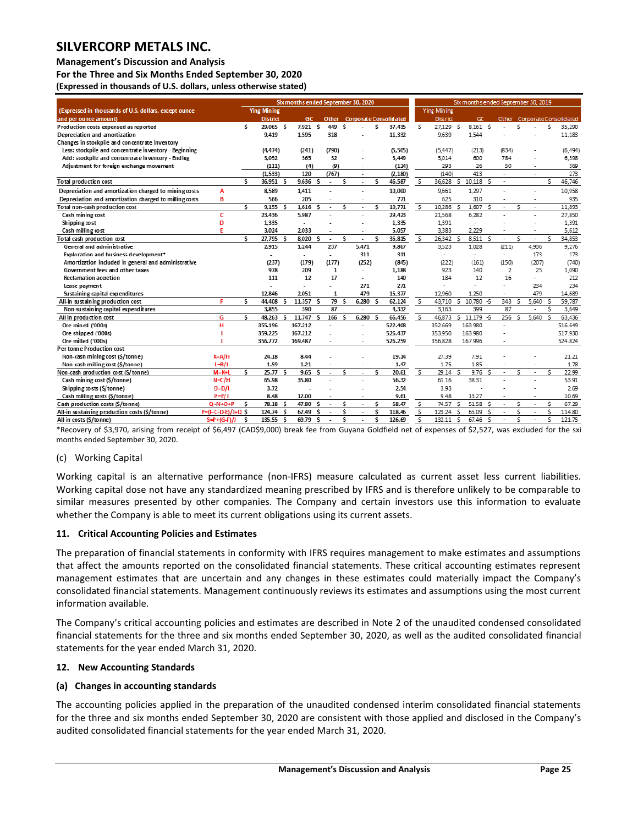#### **Management's Discussion and Analysis**

**For the Three and Six Months Ended September 30, 2020**

**(Expressed in thousands of U.S. dollars, unless otherwise stated)** 

| Six months ended September 30, 2020                    |                      |     |                          |    |                          |    |                          | Six months ended Sept ember 30, 2019 |                          |   |                                     |                          |                    |                         |                          |              |                          |     |                          |                         |                             |
|--------------------------------------------------------|----------------------|-----|--------------------------|----|--------------------------|----|--------------------------|--------------------------------------|--------------------------|---|-------------------------------------|--------------------------|--------------------|-------------------------|--------------------------|--------------|--------------------------|-----|--------------------------|-------------------------|-----------------------------|
| (Expressed in thousands of U.S. dollars, except ounce  |                      |     | <b>Ying Mining</b>       |    |                          |    |                          |                                      |                          |   |                                     |                          | <b>Ying Mining</b> |                         |                          |              |                          |     |                          |                         |                             |
| and per ounce amount)                                  |                      |     | <b>District</b>          |    | <b>GC</b>                |    |                          |                                      |                          |   | <b>Other Corporate Consolidated</b> |                          | District           |                         | GC                       |              |                          |     |                          |                         | Other CorporateConsolidated |
| Production costs expensed as reported                  |                      | \$. | 29.065 S                 |    | 7.921 S                  |    | 449 S                    |                                      |                          | Ś | 37,435                              | \$.                      | 27,129 \$          |                         | 8.161 \$                 |              |                          | Ś   |                          | \$.                     | 35,290                      |
| Depreciation and amortization                          |                      |     | 9,419                    |    | 1.595                    |    | 318                      |                                      |                          |   | 11,332                              |                          | 9.639              |                         | 1.544                    |              |                          |     |                          |                         | 11,183                      |
| Changes in stockpile and concentrate inventory         |                      |     |                          |    |                          |    |                          |                                      |                          |   |                                     |                          |                    |                         |                          |              |                          |     |                          |                         |                             |
| Less: stockpile and concentrate inventory - Beginning  |                      |     | (4.474)                  |    | (241)                    |    | (790)                    |                                      |                          |   | (5,505)                             |                          | (5, 447)           |                         | (213)                    |              | (834)                    |     |                          |                         | (6, 494)                    |
| Add: stockpile and concentrate inventory - Ending      |                      |     | 3,052                    |    | 365                      |    | 32                       |                                      | ä,                       |   | 3,449                               |                          | 5.014              |                         | 600                      |              | 784                      |     |                          |                         | 6,398                       |
| Adjustment for foreign exchange movement               |                      |     | (111)                    |    | (4)                      |    | (9)                      |                                      | ٠                        |   | (124)                               |                          | 293                |                         | 26                       |              | 50                       |     | ٠                        |                         | 369                         |
|                                                        |                      |     | (1, 533)                 |    | 120                      |    | (767)                    |                                      | ٠                        |   | (2, 180)                            |                          | (140)              |                         | 413                      |              | ٠                        |     | ÷.                       |                         | 273                         |
| Total production cost                                  |                      | \$. | 36,951 S                 |    | 9,636                    | S  | $\sim$                   | s                                    | ÷                        | s | 46,587                              | s                        |                    |                         | 36,628 \$ 10,118 \$      |              | ٠                        |     |                          | \$.                     | 46.746                      |
| Depreciation and amortization charged to mining costs  | A                    |     | 8,589                    |    | 1.411                    |    |                          |                                      | L,                       |   | 10,000                              |                          | 9,661              |                         | 1,297                    |              |                          |     | ÷                        |                         | 10,958                      |
| Depreciation and amortization charged to milling costs | в                    |     | 566                      |    | 205                      |    |                          |                                      | $\overline{\phantom{a}}$ |   | 771                                 |                          | 625                |                         | 310                      |              |                          |     | ٠                        |                         | 935                         |
| Total non-cash production cost                         |                      | \$. | 9.155S                   |    | 1.616                    | Ś  | $\overline{\phantom{a}}$ | s                                    | ÷                        | s | 10.771                              | S.                       | 10.286             | Š.                      | 1,607                    | $\mathsf{s}$ | $\overline{\phantom{a}}$ | Ś   | ٠                        |                         | 11.893                      |
| Cash mining cost                                       | c                    |     | 23,436                   |    | 5.987                    |    |                          |                                      | ÷                        |   | 29,423                              |                          | 21,568             |                         | 6,282                    |              |                          |     | ٠                        |                         | 27,850                      |
| Shipping cost                                          | D                    |     | 1.335                    |    | $\overline{\phantom{a}}$ |    |                          |                                      | $\overline{a}$           |   | 1.335                               |                          | 1,391              |                         | ÷.                       |              |                          |     |                          |                         | 1,391                       |
| Cash milling cost                                      | E                    |     | 3.024                    |    | 2033                     |    |                          |                                      | $\overline{\phantom{a}}$ |   | 5,057                               |                          | 3,383              |                         | 2,229                    |              |                          |     |                          |                         | 5,612                       |
| Total cash production cost                             |                      | \$  | 27,795 \$                |    | 8,020                    | s  | $\overline{\phantom{a}}$ | S                                    | ÷,                       | s | 35,815                              | $\mathsf{S}$             | 26,342             | s.                      | 8,511 \$                 |              | $\overline{\phantom{a}}$ | \$. | $\overline{\phantom{a}}$ | Š.                      | 34,853                      |
| General and administrative                             |                      |     | 2.915                    |    | 1.244                    |    | 237                      |                                      | 5.471                    |   | 9.867                               |                          | 3,523              |                         | 1,028                    |              | (211)                    |     | 4,936                    |                         | 9,276                       |
| Exploration and business development*                  |                      |     | $\overline{\phantom{a}}$ |    | $\overline{\phantom{a}}$ |    | $\overline{\phantom{a}}$ |                                      | 311                      |   | 311                                 |                          | $\overline{a}$     |                         | $\overline{\phantom{a}}$ |              | $\overline{\phantom{a}}$ |     | 173                      |                         | 173                         |
| Amortization included in general and administrative    |                      |     | (237)                    |    | (179)                    |    | (177)                    |                                      | (252)                    |   | (845)                               |                          | (222)              |                         | (161)                    |              | (150)                    |     | (207)                    |                         | (740)                       |
| Government fees and other taxes                        |                      |     | 978                      |    | 209                      |    | $\mathbf{1}$             |                                      | ÷                        |   | 1,188                               |                          | 923                |                         | 140                      |              | 2                        |     | 25                       |                         | 1,090                       |
| <b>Reclamation accretion</b>                           |                      |     | 111                      |    | 12                       |    | 17                       |                                      | $\blacksquare$           |   | 140                                 |                          | 184                |                         | 12                       |              | 16                       |     | $\overline{\phantom{a}}$ |                         | 212                         |
| Lease payment                                          |                      |     |                          |    | ٠                        |    |                          |                                      | 271                      |   | 271                                 |                          | ÷                  |                         |                          |              |                          |     | 234                      |                         | 234                         |
| Sustaining capital expenditures                        |                      |     | 12,846                   |    | 2,051                    |    | 1                        |                                      | 479                      |   | 15,377                              |                          | 12,960             |                         | 1,250                    |              |                          |     | 479                      |                         | 14,689                      |
| All-in sustaining production cost                      | Е                    | s.  | 44,408 \$                |    | 11,357                   | S  | 79                       | S                                    | $6,280$ \$               |   | 62,124                              | S.                       | 43,710             |                         | \$10,780.5               |              | 343                      | .s  | 5,640                    | $\mathsf{s}$            | 59.787                      |
| Non-sustaining capital expenditures                    |                      |     | 3.855                    |    | 390                      |    | 87                       |                                      |                          |   | 4,332                               |                          | 3.163              |                         | 399                      |              | 87                       |     |                          | Ś.                      | 3,649                       |
| All in production cost                                 | G                    | S   | 48,263                   | -S | 11,747                   | s  | 166                      | \$.                                  | 6,280                    | s | 66,456                              | s.                       | 46,873             |                         | $5$ 11,179 $-5$          |              | 256                      | Š.  | 5,640                    | $\overline{\mathsf{s}}$ | 63,436                      |
| Ore mined ('000s)                                      | н                    |     | 355,196                  |    | 167.212                  |    |                          |                                      | L.                       |   | 522.408                             |                          | 352.669            |                         | 163.980                  |              |                          |     |                          |                         | 516.649                     |
| Ore shipped ('000s)                                    |                      |     | 359.225                  |    | 167.212                  |    |                          |                                      | ÷                        |   | 526.437                             |                          | 353.950            |                         | 163.980                  |              |                          |     |                          |                         | 517.930                     |
| Ore milled ('000s)                                     |                      |     | 356.772                  |    | 169.487                  |    |                          |                                      |                          |   | 526.259                             |                          | 356.828            |                         | 167.996                  |              |                          |     |                          |                         | 524.824                     |
| Per tonne Production cost                              |                      |     |                          |    |                          |    |                          |                                      |                          |   |                                     |                          |                    |                         |                          |              |                          |     |                          |                         |                             |
| Non-cash mining cost (\$/tonne)                        | $K = A/H$            |     | 24.18                    |    | 8.44                     |    |                          |                                      |                          |   | 19.14                               |                          | 27.39              |                         | 7.91                     |              |                          |     |                          |                         | 21.21                       |
| Non-cash milling cost (\$/tonne)                       | $L = B/J$            |     | 1.59                     |    | 1.21                     |    | $\overline{\phantom{a}}$ |                                      | ٠                        |   | 1.47                                |                          | 1.75               |                         | 1.85                     |              |                          |     | $\overline{\phantom{a}}$ |                         | 1.78                        |
| Non-cash production cost (\$/tonne)                    | $M = K + L$          | s.  | 25.77S                   |    | 9.65                     | s. | $\overline{\phantom{a}}$ | S                                    | ٠                        | s | 20.61                               | $\overline{\mathcal{S}}$ | 29.14 S            |                         | 9.76S                    |              |                          | Ś   | $\overline{\phantom{a}}$ | \$.                     | 22.99                       |
| Cash mining cost (\$/tonne)                            | $N = C/H$            |     | 65.98                    |    | 35.80                    |    |                          |                                      | ٠                        |   | 56.32                               |                          | 61.16              |                         | 38.31                    |              |                          |     |                          |                         | 53.91                       |
| Shipping costs (\$/tonne)                              | $O=D/I$              |     | 3.72                     |    |                          |    |                          |                                      |                          |   | 2.54                                |                          | 3.93               |                         |                          |              |                          |     |                          |                         | 2.69                        |
| Cash milling costs (\$/tonne)                          | $P = E/J$            |     | 8.48                     |    | 12.00                    |    |                          |                                      |                          |   | 9.61                                |                          | 9.48               |                         | 13.27                    |              |                          |     |                          |                         | 10.69                       |
| Cash production costs (\$/tonne)                       | $Q = N + O + P$      | S   | $78.18$ \$               |    | 47.80                    | S  |                          | S                                    | ÷,                       | S | 68.47                               | s                        | 74.57              | S.                      | 51.58 \$                 |              | $\overline{\phantom{a}}$ | \$  | ٠                        | \$                      | 67.29                       |
| All-in sustaining production costs (\$/tonne)          | $P=(F-C-D-E)/J+Q$ \$ |     | 124.74 \$                |    | 67.49                    | Ŝ  |                          | \$.                                  | ÷,                       | s | 118.46                              | $\overline{\mathcal{S}}$ | 123.24             | \$.                     | 65.09                    | <sub>S</sub> |                          | Ś   |                          | \$.                     | 114.80                      |
| All in costs (\$/tonne)                                | $S = P + (G - F)/J$  | Ś   | 135.55 \$                |    | 69.79                    | s  |                          | \$.                                  |                          | Ś | 126.69                              | Ś                        | 132.11             | $\overline{\mathsf{s}}$ | 67.46                    | -S           |                          | Ś   |                          | \$.                     | 121.75                      |

\*Recovery of \$3,970, arising from receipt of \$6,497 (CAD\$9,000) break fee from Guyana Goldfield net of expenses of \$2,527, was excluded for the sxi months ended September 30, 2020.

#### (c) Working Capital

Working capital is an alternative performance (non-IFRS) measure calculated as current asset less current liabilities. Working capital dose not have any standardized meaning prescribed by IFRS and is therefore unlikely to be comparable to similar measures presented by other companies. The Company and certain investors use this information to evaluate whether the Company is able to meet its current obligations using its current assets.

#### <span id="page-25-0"></span>**11. Critical Accounting Policies and Estimates**

The preparation of financial statements in conformity with IFRS requires management to make estimates and assumptions that affect the amounts reported on the consolidated financial statements. These critical accounting estimates represent management estimates that are uncertain and any changes in these estimates could materially impact the Company's consolidated financial statements. Management continuously reviews its estimates and assumptions using the most current information available.

The Company's critical accounting policies and estimates are described in Note 2 of the unaudited condensed consolidated financial statements for the three and six months ended September 30, 2020, as well as the audited consolidated financial statements for the year ended March 31, 2020.

#### <span id="page-25-1"></span>**12. New Accounting Standards**

### **(a) Changes in accounting standards**

The accounting policies applied in the preparation of the unaudited condensed interim consolidated financial statements for the three and six months ended September 30, 2020 are consistent with those applied and disclosed in the Company's audited consolidated financial statements for the year ended March 31, 2020.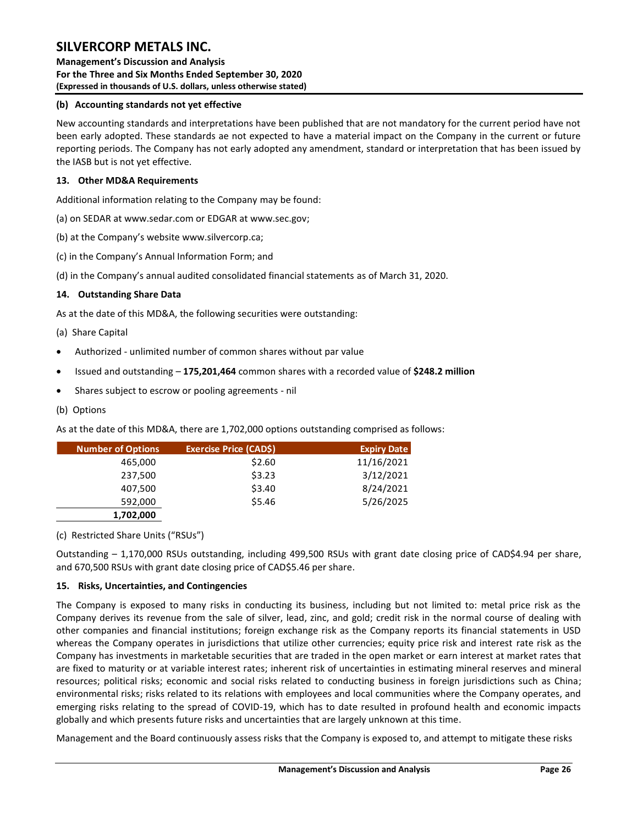**Management's Discussion and Analysis For the Three and Six Months Ended September 30, 2020 (Expressed in thousands of U.S. dollars, unless otherwise stated)** 

### **(b) Accounting standards not yet effective**

New accounting standards and interpretations have been published that are not mandatory for the current period have not been early adopted. These standards ae not expected to have a material impact on the Company in the current or future reporting periods. The Company has not early adopted any amendment, standard or interpretation that has been issued by the IASB but is not yet effective.

### <span id="page-26-0"></span>**13. Other MD&A Requirements**

Additional information relating to the Company may be found:

(a) on SEDAR at www.sedar.com or EDGAR at www.sec.gov;

(b) at the Company's website www.silvercorp.ca;

(c) in the Company's Annual Information Form; and

(d) in the Company's annual audited consolidated financial statements as of March 31, 2020.

### <span id="page-26-1"></span>**14. Outstanding Share Data**

As at the date of this MD&A, the following securities were outstanding:

### (a) Share Capital

- Authorized unlimited number of common shares without par value
- Issued and outstanding **175,201,464** common shares with a recorded value of **\$248.2 million**
- Shares subject to escrow or pooling agreements nil

### (b) Options

As at the date of this MD&A, there are 1,702,000 options outstanding comprised as follows:

| Number of Options | <b>Exercise Price (CAD\$)</b> | <b>Expiry Date</b> |
|-------------------|-------------------------------|--------------------|
| 465,000           | \$2.60                        | 11/16/2021         |
| 237,500           | \$3.23                        | 3/12/2021          |
| 407,500           | \$3.40                        | 8/24/2021          |
| 592,000           | \$5.46                        | 5/26/2025          |
| 1,702,000         |                               |                    |

(c) Restricted Share Units ("RSUs")

Outstanding – 1,170,000 RSUs outstanding, including 499,500 RSUs with grant date closing price of CAD\$4.94 per share, and 670,500 RSUs with grant date closing price of CAD\$5.46 per share.

### <span id="page-26-2"></span>**15. Risks, Uncertainties, and Contingencies**

The Company is exposed to many risks in conducting its business, including but not limited to: metal price risk as the Company derives its revenue from the sale of silver, lead, zinc, and gold; credit risk in the normal course of dealing with other companies and financial institutions; foreign exchange risk as the Company reports its financial statements in USD whereas the Company operates in jurisdictions that utilize other currencies; equity price risk and interest rate risk as the Company has investments in marketable securities that are traded in the open market or earn interest at market rates that are fixed to maturity or at variable interest rates; inherent risk of uncertainties in estimating mineral reserves and mineral resources; political risks; economic and social risks related to conducting business in foreign jurisdictions such as China; environmental risks; risks related to its relations with employees and local communities where the Company operates, and emerging risks relating to the spread of COVID-19, which has to date resulted in profound health and economic impacts globally and which presents future risks and uncertainties that are largely unknown at this time.

Management and the Board continuously assess risks that the Company is exposed to, and attempt to mitigate these risks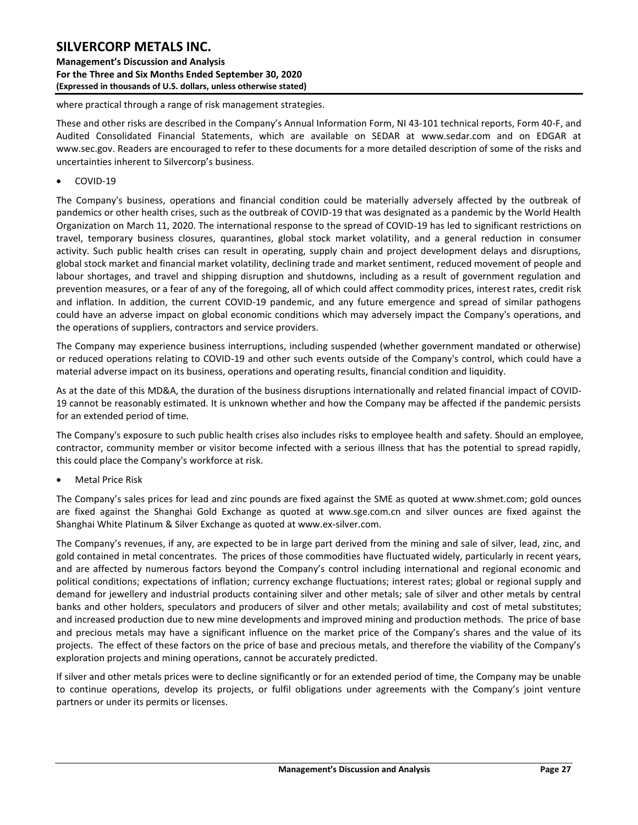**Management's Discussion and Analysis For the Three and Six Months Ended September 30, 2020 (Expressed in thousands of U.S. dollars, unless otherwise stated)** 

where practical through a range of risk management strategies.

These and other risks are described in the Company's Annual Information Form, NI 43-101 technical reports, Form 40-F, and Audited Consolidated Financial Statements, which are available on SEDAR at www.sedar.com and on EDGAR at www.sec.gov. Readers are encouraged to refer to these documents for a more detailed description of some of the risks and uncertainties inherent to Silvercorp's business.

• COVID-19

The Company's business, operations and financial condition could be materially adversely affected by the outbreak of pandemics or other health crises, such as the outbreak of COVID-19 that was designated as a pandemic by the World Health Organization on March 11, 2020. The international response to the spread of COVID-19 has led to significant restrictions on travel, temporary business closures, quarantines, global stock market volatility, and a general reduction in consumer activity. Such public health crises can result in operating, supply chain and project development delays and disruptions, global stock market and financial market volatility, declining trade and market sentiment, reduced movement of people and labour shortages, and travel and shipping disruption and shutdowns, including as a result of government regulation and prevention measures, or a fear of any of the foregoing, all of which could affect commodity prices, interest rates, credit risk and inflation. In addition, the current COVID-19 pandemic, and any future emergence and spread of similar pathogens could have an adverse impact on global economic conditions which may adversely impact the Company's operations, and the operations of suppliers, contractors and service providers.

The Company may experience business interruptions, including suspended (whether government mandated or otherwise) or reduced operations relating to COVID-19 and other such events outside of the Company's control, which could have a material adverse impact on its business, operations and operating results, financial condition and liquidity.

As at the date of this MD&A, the duration of the business disruptions internationally and related financial impact of COVID-19 cannot be reasonably estimated. It is unknown whether and how the Company may be affected if the pandemic persists for an extended period of time.

The Company's exposure to such public health crises also includes risks to employee health and safety. Should an employee, contractor, community member or visitor become infected with a serious illness that has the potential to spread rapidly, this could place the Company's workforce at risk.

• Metal Price Risk

The Company's sales prices for lead and zinc pounds are fixed against the SME as quoted at [www.shmet.com;](http://www.shmet.com/) gold ounces are fixed against the Shanghai Gold Exchange as quoted at www.sge.com.cn and silver ounces are fixed against the Shanghai White Platinum & Silver Exchange as quoted at www.ex-silver.com.

The Company's revenues, if any, are expected to be in large part derived from the mining and sale of silver, lead, zinc, and gold contained in metal concentrates. The prices of those commodities have fluctuated widely, particularly in recent years, and are affected by numerous factors beyond the Company's control including international and regional economic and political conditions; expectations of inflation; currency exchange fluctuations; interest rates; global or regional supply and demand for jewellery and industrial products containing silver and other metals; sale of silver and other metals by central banks and other holders, speculators and producers of silver and other metals; availability and cost of metal substitutes; and increased production due to new mine developments and improved mining and production methods. The price of base and precious metals may have a significant influence on the market price of the Company's shares and the value of its projects. The effect of these factors on the price of base and precious metals, and therefore the viability of the Company's exploration projects and mining operations, cannot be accurately predicted.

If silver and other metals prices were to decline significantly or for an extended period of time, the Company may be unable to continue operations, develop its projects, or fulfil obligations under agreements with the Company's joint venture partners or under its permits or licenses.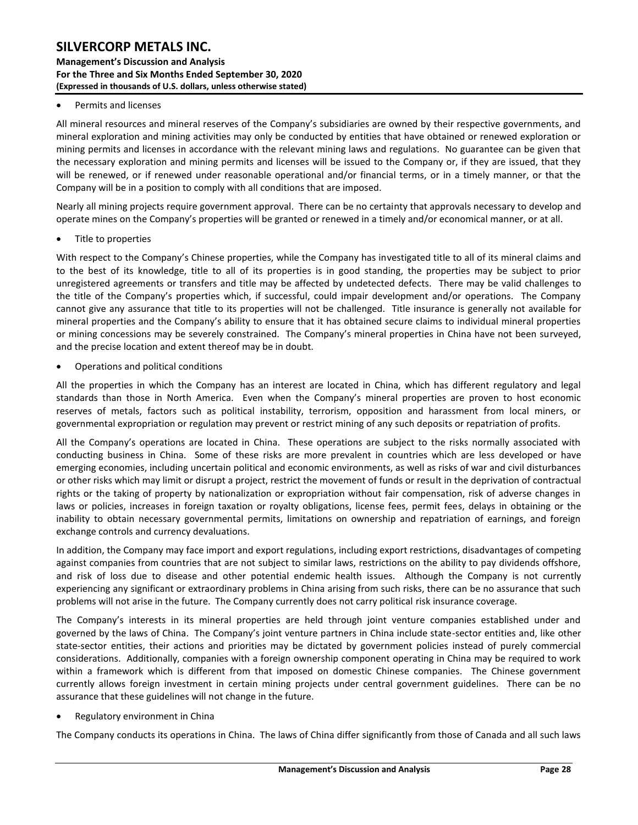### **Management's Discussion and Analysis For the Three and Six Months Ended September 30, 2020 (Expressed in thousands of U.S. dollars, unless otherwise stated)**

#### • Permits and licenses

All mineral resources and mineral reserves of the Company's subsidiaries are owned by their respective governments, and mineral exploration and mining activities may only be conducted by entities that have obtained or renewed exploration or mining permits and licenses in accordance with the relevant mining laws and regulations. No guarantee can be given that the necessary exploration and mining permits and licenses will be issued to the Company or, if they are issued, that they will be renewed, or if renewed under reasonable operational and/or financial terms, or in a timely manner, or that the Company will be in a position to comply with all conditions that are imposed.

Nearly all mining projects require government approval. There can be no certainty that approvals necessary to develop and operate mines on the Company's properties will be granted or renewed in a timely and/or economical manner, or at all.

Title to properties

With respect to the Company's Chinese properties, while the Company has investigated title to all of its mineral claims and to the best of its knowledge, title to all of its properties is in good standing, the properties may be subject to prior unregistered agreements or transfers and title may be affected by undetected defects. There may be valid challenges to the title of the Company's properties which, if successful, could impair development and/or operations. The Company cannot give any assurance that title to its properties will not be challenged. Title insurance is generally not available for mineral properties and the Company's ability to ensure that it has obtained secure claims to individual mineral properties or mining concessions may be severely constrained. The Company's mineral properties in China have not been surveyed, and the precise location and extent thereof may be in doubt.

• Operations and political conditions

All the properties in which the Company has an interest are located in China, which has different regulatory and legal standards than those in North America. Even when the Company's mineral properties are proven to host economic reserves of metals, factors such as political instability, terrorism, opposition and harassment from local miners, or governmental expropriation or regulation may prevent or restrict mining of any such deposits or repatriation of profits.

All the Company's operations are located in China. These operations are subject to the risks normally associated with conducting business in China. Some of these risks are more prevalent in countries which are less developed or have emerging economies, including uncertain political and economic environments, as well as risks of war and civil disturbances or other risks which may limit or disrupt a project, restrict the movement of funds or result in the deprivation of contractual rights or the taking of property by nationalization or expropriation without fair compensation, risk of adverse changes in laws or policies, increases in foreign taxation or royalty obligations, license fees, permit fees, delays in obtaining or the inability to obtain necessary governmental permits, limitations on ownership and repatriation of earnings, and foreign exchange controls and currency devaluations.

In addition, the Company may face import and export regulations, including export restrictions, disadvantages of competing against companies from countries that are not subject to similar laws, restrictions on the ability to pay dividends offshore, and risk of loss due to disease and other potential endemic health issues. Although the Company is not currently experiencing any significant or extraordinary problems in China arising from such risks, there can be no assurance that such problems will not arise in the future. The Company currently does not carry political risk insurance coverage.

The Company's interests in its mineral properties are held through joint venture companies established under and governed by the laws of China. The Company's joint venture partners in China include state-sector entities and, like other state-sector entities, their actions and priorities may be dictated by government policies instead of purely commercial considerations. Additionally, companies with a foreign ownership component operating in China may be required to work within a framework which is different from that imposed on domestic Chinese companies. The Chinese government currently allows foreign investment in certain mining projects under central government guidelines. There can be no assurance that these guidelines will not change in the future.

• Regulatory environment in China

The Company conducts its operations in China. The laws of China differ significantly from those of Canada and all such laws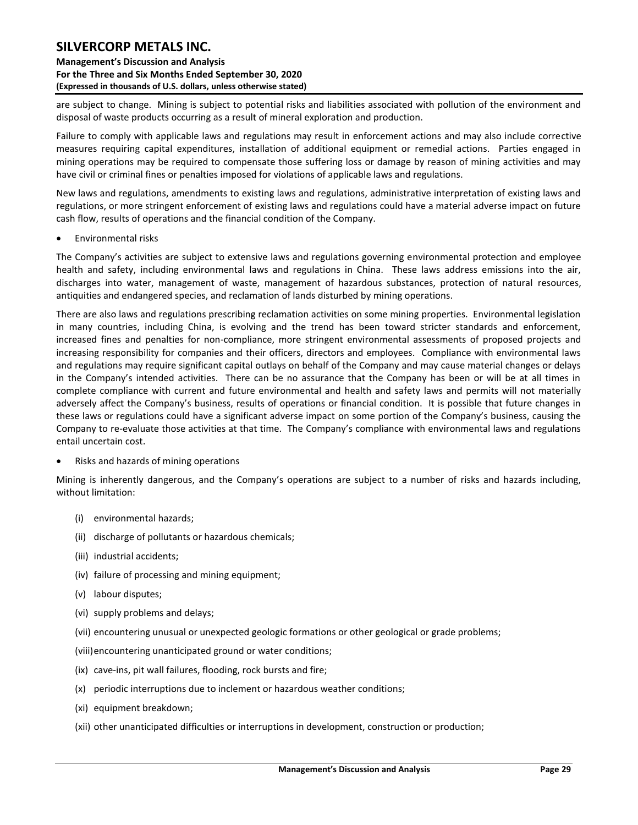**Management's Discussion and Analysis For the Three and Six Months Ended September 30, 2020 (Expressed in thousands of U.S. dollars, unless otherwise stated)** 

are subject to change. Mining is subject to potential risks and liabilities associated with pollution of the environment and disposal of waste products occurring as a result of mineral exploration and production.

Failure to comply with applicable laws and regulations may result in enforcement actions and may also include corrective measures requiring capital expenditures, installation of additional equipment or remedial actions. Parties engaged in mining operations may be required to compensate those suffering loss or damage by reason of mining activities and may have civil or criminal fines or penalties imposed for violations of applicable laws and regulations.

New laws and regulations, amendments to existing laws and regulations, administrative interpretation of existing laws and regulations, or more stringent enforcement of existing laws and regulations could have a material adverse impact on future cash flow, results of operations and the financial condition of the Company.

• Environmental risks

The Company's activities are subject to extensive laws and regulations governing environmental protection and employee health and safety, including environmental laws and regulations in China. These laws address emissions into the air, discharges into water, management of waste, management of hazardous substances, protection of natural resources, antiquities and endangered species, and reclamation of lands disturbed by mining operations.

There are also laws and regulations prescribing reclamation activities on some mining properties. Environmental legislation in many countries, including China, is evolving and the trend has been toward stricter standards and enforcement, increased fines and penalties for non-compliance, more stringent environmental assessments of proposed projects and increasing responsibility for companies and their officers, directors and employees. Compliance with environmental laws and regulations may require significant capital outlays on behalf of the Company and may cause material changes or delays in the Company's intended activities. There can be no assurance that the Company has been or will be at all times in complete compliance with current and future environmental and health and safety laws and permits will not materially adversely affect the Company's business, results of operations or financial condition. It is possible that future changes in these laws or regulations could have a significant adverse impact on some portion of the Company's business, causing the Company to re-evaluate those activities at that time. The Company's compliance with environmental laws and regulations entail uncertain cost.

• Risks and hazards of mining operations

Mining is inherently dangerous, and the Company's operations are subject to a number of risks and hazards including, without limitation:

- (i) environmental hazards;
- (ii) discharge of pollutants or hazardous chemicals;
- (iii) industrial accidents;
- (iv) failure of processing and mining equipment;
- (v) labour disputes;
- (vi) supply problems and delays;
- (vii) encountering unusual or unexpected geologic formations or other geological or grade problems;
- (viii)encountering unanticipated ground or water conditions;
- (ix) cave-ins, pit wall failures, flooding, rock bursts and fire;
- (x) periodic interruptions due to inclement or hazardous weather conditions;
- (xi) equipment breakdown;
- (xii) other unanticipated difficulties or interruptions in development, construction or production;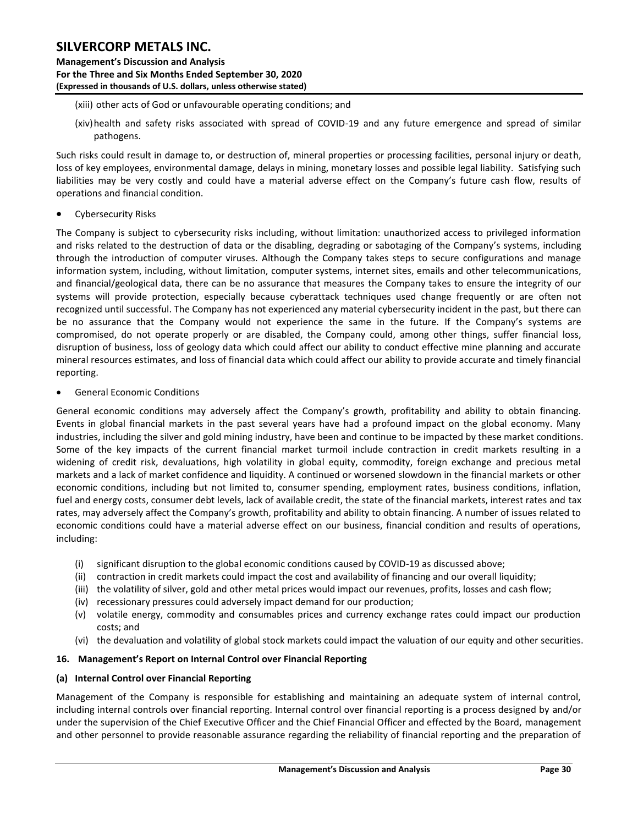**Management's Discussion and Analysis For the Three and Six Months Ended September 30, 2020 (Expressed in thousands of U.S. dollars, unless otherwise stated)** 

- (xiii) other acts of God or unfavourable operating conditions; and
- (xiv)health and safety risks associated with spread of COVID-19 and any future emergence and spread of similar pathogens.

Such risks could result in damage to, or destruction of, mineral properties or processing facilities, personal injury or death, loss of key employees, environmental damage, delays in mining, monetary losses and possible legal liability. Satisfying such liabilities may be very costly and could have a material adverse effect on the Company's future cash flow, results of operations and financial condition.

• Cybersecurity Risks

The Company is subject to cybersecurity risks including, without limitation: unauthorized access to privileged information and risks related to the destruction of data or the disabling, degrading or sabotaging of the Company's systems, including through the introduction of computer viruses. Although the Company takes steps to secure configurations and manage information system, including, without limitation, computer systems, internet sites, emails and other telecommunications, and financial/geological data, there can be no assurance that measures the Company takes to ensure the integrity of our systems will provide protection, especially because cyberattack techniques used change frequently or are often not recognized until successful. The Company has not experienced any material cybersecurity incident in the past, but there can be no assurance that the Company would not experience the same in the future. If the Company's systems are compromised, do not operate properly or are disabled, the Company could, among other things, suffer financial loss, disruption of business, loss of geology data which could affect our ability to conduct effective mine planning and accurate mineral resources estimates, and loss of financial data which could affect our ability to provide accurate and timely financial reporting.

• General Economic Conditions

General economic conditions may adversely affect the Company's growth, profitability and ability to obtain financing. Events in global financial markets in the past several years have had a profound impact on the global economy. Many industries, including the silver and gold mining industry, have been and continue to be impacted by these market conditions. Some of the key impacts of the current financial market turmoil include contraction in credit markets resulting in a widening of credit risk, devaluations, high volatility in global equity, commodity, foreign exchange and precious metal markets and a lack of market confidence and liquidity. A continued or worsened slowdown in the financial markets or other economic conditions, including but not limited to, consumer spending, employment rates, business conditions, inflation, fuel and energy costs, consumer debt levels, lack of available credit, the state of the financial markets, interest rates and tax rates, may adversely affect the Company's growth, profitability and ability to obtain financing. A number of issues related to economic conditions could have a material adverse effect on our business, financial condition and results of operations, including:

- (i) significant disruption to the global economic conditions caused by COVID-19 as discussed above;
- (ii) contraction in credit markets could impact the cost and availability of financing and our overall liquidity;
- (iii) the volatility of silver, gold and other metal prices would impact our revenues, profits, losses and cash flow;
- (iv) recessionary pressures could adversely impact demand for our production;
- (v) volatile energy, commodity and consumables prices and currency exchange rates could impact our production costs; and
- (vi) the devaluation and volatility of global stock markets could impact the valuation of our equity and other securities.

### <span id="page-30-0"></span>**16. Management's Report on Internal Control over Financial Reporting**

### **(a) Internal Control over Financial Reporting**

Management of the Company is responsible for establishing and maintaining an adequate system of internal control, including internal controls over financial reporting. Internal control over financial reporting is a process designed by and/or under the supervision of the Chief Executive Officer and the Chief Financial Officer and effected by the Board, management and other personnel to provide reasonable assurance regarding the reliability of financial reporting and the preparation of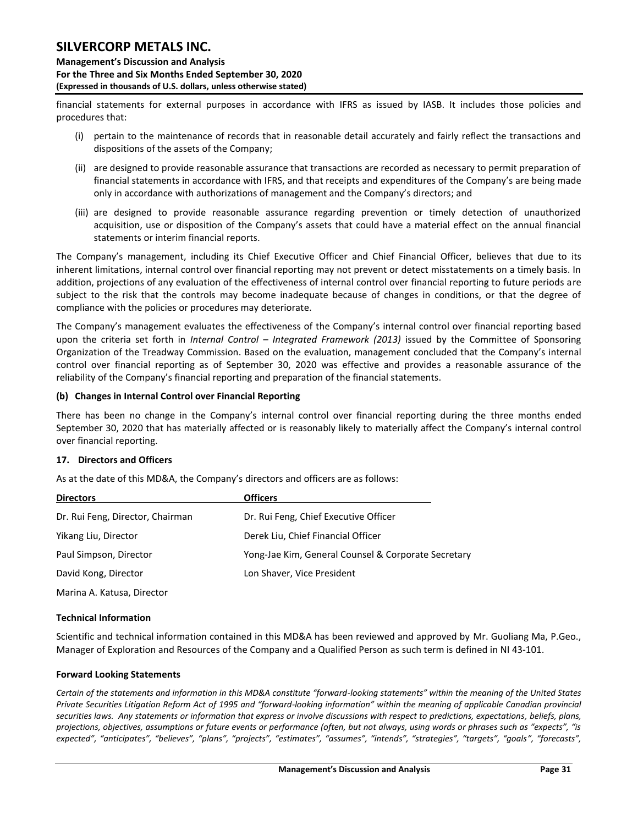**Management's Discussion and Analysis For the Three and Six Months Ended September 30, 2020 (Expressed in thousands of U.S. dollars, unless otherwise stated)** 

financial statements for external purposes in accordance with IFRS as issued by IASB. It includes those policies and procedures that:

- (i) pertain to the maintenance of records that in reasonable detail accurately and fairly reflect the transactions and dispositions of the assets of the Company;
- (ii) are designed to provide reasonable assurance that transactions are recorded as necessary to permit preparation of financial statements in accordance with IFRS, and that receipts and expenditures of the Company's are being made only in accordance with authorizations of management and the Company's directors; and
- (iii) are designed to provide reasonable assurance regarding prevention or timely detection of unauthorized acquisition, use or disposition of the Company's assets that could have a material effect on the annual financial statements or interim financial reports.

The Company's management, including its Chief Executive Officer and Chief Financial Officer, believes that due to its inherent limitations, internal control over financial reporting may not prevent or detect misstatements on a timely basis. In addition, projections of any evaluation of the effectiveness of internal control over financial reporting to future periods are subject to the risk that the controls may become inadequate because of changes in conditions, or that the degree of compliance with the policies or procedures may deteriorate.

The Company's management evaluates the effectiveness of the Company's internal control over financial reporting based upon the criteria set forth in *Internal Control – Integrated Framework (2013)* issued by the Committee of Sponsoring Organization of the Treadway Commission. Based on the evaluation, management concluded that the Company's internal control over financial reporting as of September 30, 2020 was effective and provides a reasonable assurance of the reliability of the Company's financial reporting and preparation of the financial statements.

### **(b) Changes in Internal Control over Financial Reporting**

There has been no change in the Company's internal control over financial reporting during the three months ended September 30, 2020 that has materially affected or is reasonably likely to materially affect the Company's internal control over financial reporting.

### <span id="page-31-0"></span>**17. Directors and Officers**

As at the date of this MD&A, the Company's directors and officers are as follows:

| <b>Directors</b>                 | <b>Officers</b>                                     |
|----------------------------------|-----------------------------------------------------|
| Dr. Rui Feng, Director, Chairman | Dr. Rui Feng, Chief Executive Officer               |
| Yikang Liu, Director             | Derek Liu, Chief Financial Officer                  |
| Paul Simpson, Director           | Yong-Jae Kim, General Counsel & Corporate Secretary |
| David Kong, Director             | Lon Shaver, Vice President                          |
| Marina A. Katusa, Director       |                                                     |

### <span id="page-31-1"></span>**Technical Information**

Scientific and technical information contained in this MD&A has been reviewed and approved by Mr. Guoliang Ma, P.Geo., Manager of Exploration and Resources of the Company and a Qualified Person as such term is defined in NI 43-101.

### <span id="page-31-2"></span>**Forward Looking Statements**

*Certain of the statements and information in this MD&A constitute "forward-looking statements" within the meaning of the United States Private Securities Litigation Reform Act of 1995 and "forward-looking information" within the meaning of applicable Canadian provincial securities laws. Any statements or information that express or involve discussions with respect to predictions, expectations, beliefs, plans, projections, objectives, assumptions or future events or performance (often, but not always, using words or phrases such as "expects", "is expected", "anticipates", "believes", "plans", "projects", "estimates", "assumes", "intends", "strategies", "targets", "goals", "forecasts",*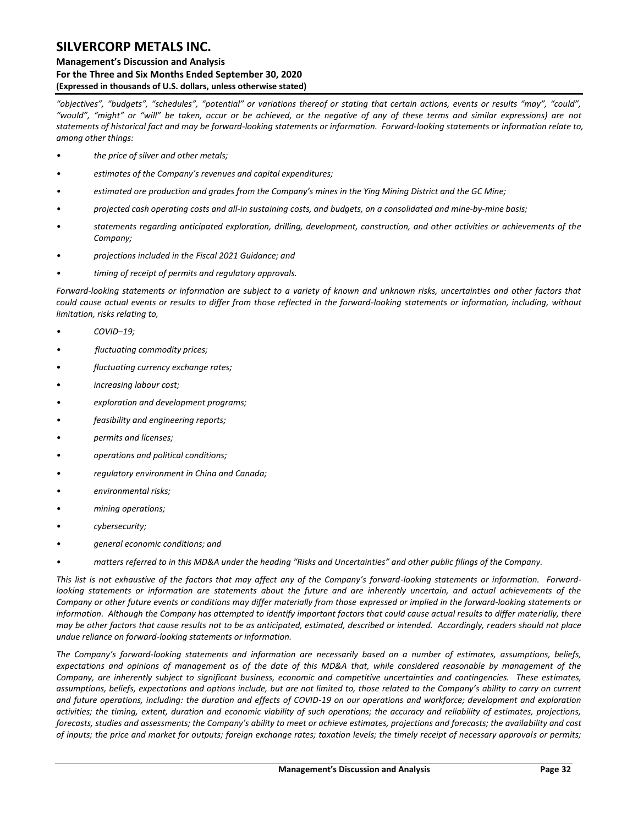#### **Management's Discussion and Analysis For the Three and Six Months Ended September 30, 2020 (Expressed in thousands of U.S. dollars, unless otherwise stated)**

*"objectives", "budgets", "schedules", "potential" or variations thereof or stating that certain actions, events or results "may", "could", "would", "might" or "will" be taken, occur or be achieved, or the negative of any of these terms and similar expressions) are not statements of historical fact and may be forward-looking statements or information. Forward-looking statements or information relate to, among other things:*

- *• the price of silver and other metals;*
- *• estimates of the Company's revenues and capital expenditures;*
- *• estimated ore production and grades from the Company's mines in the Ying Mining District and the GC Mine;*
- *• projected cash operating costs and all-in sustaining costs, and budgets, on a consolidated and mine-by-mine basis;*
- *• statements regarding anticipated exploration, drilling, development, construction, and other activities or achievements of the Company;*
- *• projections included in the Fiscal 2021 Guidance; and*
- *• timing of receipt of permits and regulatory approvals.*

*Forward-looking statements or information are subject to a variety of known and unknown risks, uncertainties and other factors that could cause actual events or results to differ from those reflected in the forward-looking statements or information, including, without limitation, risks relating to,* 

- *• COVID–19;*
- *• fluctuating commodity prices;*
- *fluctuating currency exchange rates;*
- *increasing labour cost;*
- *• exploration and development programs;*
- *• feasibility and engineering reports;*
- *• permits and licenses;*
- *• operations and political conditions;*
- *• regulatory environment in China and Canada;*
- *• environmental risks;*
- *• mining operations;*
- *• cybersecurity;*
- *• general economic conditions; and*
- *• matters referred to in this MD&A under the heading "Risks and Uncertainties" and other public filings of the Company.*

*This list is not exhaustive of the factors that may affect any of the Company's forward-looking statements or information. Forwardlooking statements or information are statements about the future and are inherently uncertain, and actual achievements of the Company or other future events or conditions may differ materially from those expressed or implied in the forward-looking statements or*  information. Although the Company has attempted to identify important factors that could cause actual results to differ materially, there *may be other factors that cause results not to be as anticipated, estimated, described or intended. Accordingly, readers should not place undue reliance on forward-looking statements or information.* 

*The Company's forward-looking statements and information are necessarily based on a number of estimates, assumptions, beliefs, expectations and opinions of management as of the date of this MD&A that, while considered reasonable by management of the Company, are inherently subject to significant business, economic and competitive uncertainties and contingencies. These estimates, assumptions, beliefs, expectations and options include, but are not limited to, those related to the Company's ability to carry on current and future operations, including: the duration and effects of COVID-19 on our operations and workforce; development and exploration activities; the timing, extent, duration and economic viability of such operations; the accuracy and reliability of estimates, projections, forecasts, studies and assessments; the Company's ability to meet or achieve estimates, projections and forecasts; the availability and cost of inputs; the price and market for outputs; foreign exchange rates; taxation levels; the timely receipt of necessary approvals or permits;*